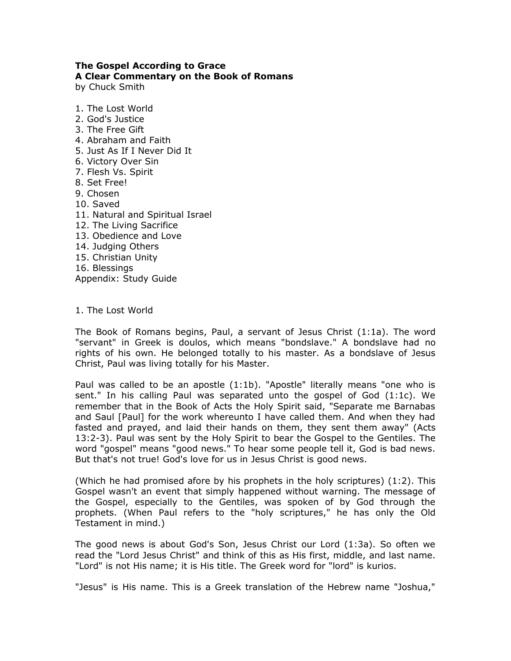## **The Gospel According to Grace A Clear Commentary on the Book of Romans**

by Chuck Smith

- 1. The Lost World
- 2. God's Justice
- 3. The Free Gift
- 4. Abraham and Faith
- 5. Just As If I Never Did It
- 6. Victory Over Sin
- 7. Flesh Vs. Spirit
- 8. Set Free!
- 9. Chosen
- 10. Saved
- 11. Natural and Spiritual Israel
- 12. The Living Sacrifice
- 13. Obedience and Love
- 14. Judging Others
- 15. Christian Unity
- 16. Blessings

Appendix: Study Guide

1. The Lost World

The Book of Romans begins, Paul, a servant of Jesus Christ (1:1a). The word "servant" in Greek is doulos, which means "bondslave." A bondslave had no rights of his own. He belonged totally to his master. As a bondslave of Jesus Christ, Paul was living totally for his Master.

Paul was called to be an apostle (1:1b). "Apostle" literally means "one who is sent." In his calling Paul was separated unto the gospel of God (1:1c). We remember that in the Book of Acts the Holy Spirit said, "Separate me Barnabas and Saul [Paul] for the work whereunto I have called them. And when they had fasted and prayed, and laid their hands on them, they sent them away" (Acts 13:2-3). Paul was sent by the Holy Spirit to bear the Gospel to the Gentiles. The word "gospel" means "good news." To hear some people tell it, God is bad news. But that's not true! God's love for us in Jesus Christ is good news.

(Which he had promised afore by his prophets in the holy scriptures) (1:2). This Gospel wasn't an event that simply happened without warning. The message of the Gospel, especially to the Gentiles, was spoken of by God through the prophets. (When Paul refers to the "holy scriptures," he has only the Old Testament in mind.)

The good news is about God's Son, Jesus Christ our Lord (1:3a). So often we read the "Lord Jesus Christ" and think of this as His first, middle, and last name. "Lord" is not His name; it is His title. The Greek word for "lord" is kurios.

"Jesus" is His name. This is a Greek translation of the Hebrew name "Joshua,"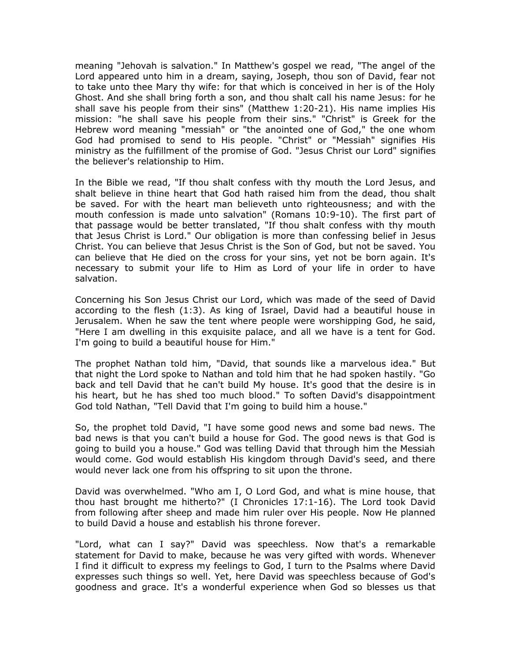meaning "Jehovah is salvation." In Matthew's gospel we read, "The angel of the Lord appeared unto him in a dream, saying, Joseph, thou son of David, fear not to take unto thee Mary thy wife: for that which is conceived in her is of the Holy Ghost. And she shall bring forth a son, and thou shalt call his name Jesus: for he shall save his people from their sins" (Matthew 1:20-21). His name implies His mission: "he shall save his people from their sins." "Christ" is Greek for the Hebrew word meaning "messiah" or "the anointed one of God," the one whom God had promised to send to His people. "Christ" or "Messiah" signifies His ministry as the fulfillment of the promise of God. "Jesus Christ our Lord" signifies the believer's relationship to Him.

In the Bible we read, "If thou shalt confess with thy mouth the Lord Jesus, and shalt believe in thine heart that God hath raised him from the dead, thou shalt be saved. For with the heart man believeth unto righteousness; and with the mouth confession is made unto salvation" (Romans 10:9-10). The first part of that passage would be better translated, "If thou shalt confess with thy mouth that Jesus Christ is Lord." Our obligation is more than confessing belief in Jesus Christ. You can believe that Jesus Christ is the Son of God, but not be saved. You can believe that He died on the cross for your sins, yet not be born again. It's necessary to submit your life to Him as Lord of your life in order to have salvation.

Concerning his Son Jesus Christ our Lord, which was made of the seed of David according to the flesh (1:3). As king of Israel, David had a beautiful house in Jerusalem. When he saw the tent where people were worshipping God, he said, "Here I am dwelling in this exquisite palace, and all we have is a tent for God. I'm going to build a beautiful house for Him."

The prophet Nathan told him, "David, that sounds like a marvelous idea." But that night the Lord spoke to Nathan and told him that he had spoken hastily. "Go back and tell David that he can't build My house. It's good that the desire is in his heart, but he has shed too much blood." To soften David's disappointment God told Nathan, "Tell David that I'm going to build him a house."

So, the prophet told David, "I have some good news and some bad news. The bad news is that you can't build a house for God. The good news is that God is going to build you a house." God was telling David that through him the Messiah would come. God would establish His kingdom through David's seed, and there would never lack one from his offspring to sit upon the throne.

David was overwhelmed. "Who am I, O Lord God, and what is mine house, that thou hast brought me hitherto?" (I Chronicles 17:1-16). The Lord took David from following after sheep and made him ruler over His people. Now He planned to build David a house and establish his throne forever.

"Lord, what can I say?" David was speechless. Now that's a remarkable statement for David to make, because he was very gifted with words. Whenever I find it difficult to express my feelings to God, I turn to the Psalms where David expresses such things so well. Yet, here David was speechless because of God's goodness and grace. It's a wonderful experience when God so blesses us that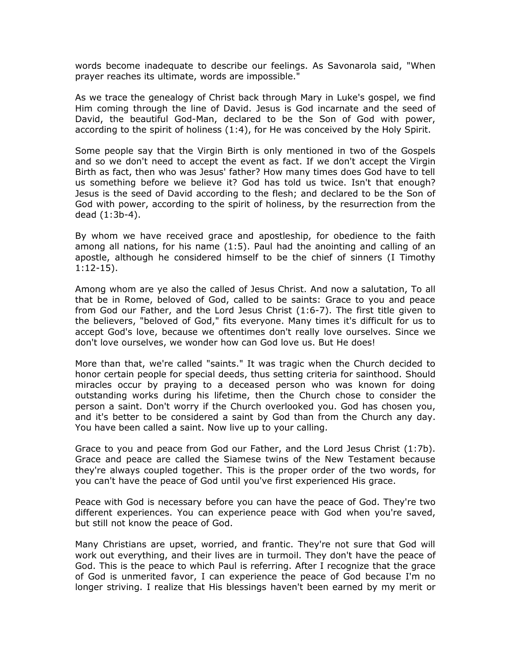words become inadequate to describe our feelings. As Savonarola said, "When prayer reaches its ultimate, words are impossible."

As we trace the genealogy of Christ back through Mary in Luke's gospel, we find Him coming through the line of David. Jesus is God incarnate and the seed of David, the beautiful God-Man, declared to be the Son of God with power, according to the spirit of holiness (1:4), for He was conceived by the Holy Spirit.

Some people say that the Virgin Birth is only mentioned in two of the Gospels and so we don't need to accept the event as fact. If we don't accept the Virgin Birth as fact, then who was Jesus' father? How many times does God have to tell us something before we believe it? God has told us twice. Isn't that enough? Jesus is the seed of David according to the flesh; and declared to be the Son of God with power, according to the spirit of holiness, by the resurrection from the dead (1:3b-4).

By whom we have received grace and apostleship, for obedience to the faith among all nations, for his name (1:5). Paul had the anointing and calling of an apostle, although he considered himself to be the chief of sinners (I Timothy 1:12-15).

Among whom are ye also the called of Jesus Christ. And now a salutation, To all that be in Rome, beloved of God, called to be saints: Grace to you and peace from God our Father, and the Lord Jesus Christ (1:6-7). The first title given to the believers, "beloved of God," fits everyone. Many times it's difficult for us to accept God's love, because we oftentimes don't really love ourselves. Since we don't love ourselves, we wonder how can God love us. But He does!

More than that, we're called "saints." It was tragic when the Church decided to honor certain people for special deeds, thus setting criteria for sainthood. Should miracles occur by praying to a deceased person who was known for doing outstanding works during his lifetime, then the Church chose to consider the person a saint. Don't worry if the Church overlooked you. God has chosen you, and it's better to be considered a saint by God than from the Church any day. You have been called a saint. Now live up to your calling.

Grace to you and peace from God our Father, and the Lord Jesus Christ (1:7b). Grace and peace are called the Siamese twins of the New Testament because they're always coupled together. This is the proper order of the two words, for you can't have the peace of God until you've first experienced His grace.

Peace with God is necessary before you can have the peace of God. They're two different experiences. You can experience peace with God when you're saved, but still not know the peace of God.

Many Christians are upset, worried, and frantic. They're not sure that God will work out everything, and their lives are in turmoil. They don't have the peace of God. This is the peace to which Paul is referring. After I recognize that the grace of God is unmerited favor, I can experience the peace of God because I'm no longer striving. I realize that His blessings haven't been earned by my merit or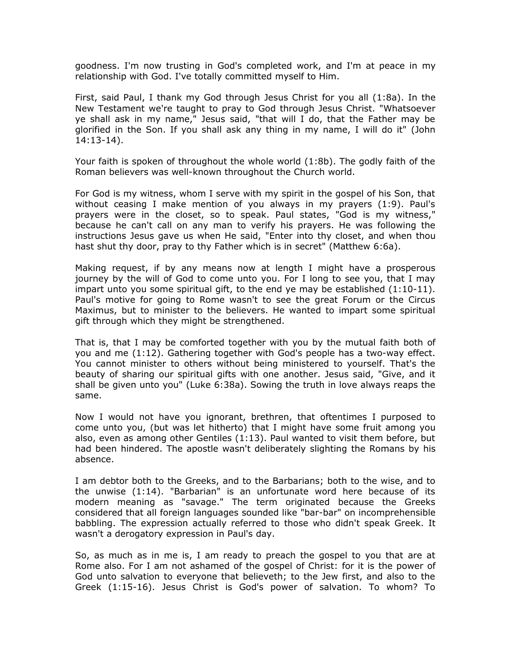goodness. I'm now trusting in God's completed work, and I'm at peace in my relationship with God. I've totally committed myself to Him.

First, said Paul, I thank my God through Jesus Christ for you all (1:8a). In the New Testament we're taught to pray to God through Jesus Christ. "Whatsoever ye shall ask in my name," Jesus said, "that will I do, that the Father may be glorified in the Son. If you shall ask any thing in my name, I will do it" (John 14:13-14).

Your faith is spoken of throughout the whole world (1:8b). The godly faith of the Roman believers was well-known throughout the Church world.

For God is my witness, whom I serve with my spirit in the gospel of his Son, that without ceasing I make mention of you always in my prayers (1:9). Paul's prayers were in the closet, so to speak. Paul states, "God is my witness," because he can't call on any man to verify his prayers. He was following the instructions Jesus gave us when He said, "Enter into thy closet, and when thou hast shut thy door, pray to thy Father which is in secret" (Matthew 6:6a).

Making request, if by any means now at length I might have a prosperous journey by the will of God to come unto you. For I long to see you, that I may impart unto you some spiritual gift, to the end ye may be established (1:10-11). Paul's motive for going to Rome wasn't to see the great Forum or the Circus Maximus, but to minister to the believers. He wanted to impart some spiritual gift through which they might be strengthened.

That is, that I may be comforted together with you by the mutual faith both of you and me (1:12). Gathering together with God's people has a two-way effect. You cannot minister to others without being ministered to yourself. That's the beauty of sharing our spiritual gifts with one another. Jesus said, "Give, and it shall be given unto you" (Luke 6:38a). Sowing the truth in love always reaps the same.

Now I would not have you ignorant, brethren, that oftentimes I purposed to come unto you, (but was let hitherto) that I might have some fruit among you also, even as among other Gentiles (1:13). Paul wanted to visit them before, but had been hindered. The apostle wasn't deliberately slighting the Romans by his absence.

I am debtor both to the Greeks, and to the Barbarians; both to the wise, and to the unwise (1:14). "Barbarian" is an unfortunate word here because of its modern meaning as "savage." The term originated because the Greeks considered that all foreign languages sounded like "bar-bar" on incomprehensible babbling. The expression actually referred to those who didn't speak Greek. It wasn't a derogatory expression in Paul's day.

So, as much as in me is, I am ready to preach the gospel to you that are at Rome also. For I am not ashamed of the gospel of Christ: for it is the power of God unto salvation to everyone that believeth; to the Jew first, and also to the Greek (1:15-16). Jesus Christ is God's power of salvation. To whom? To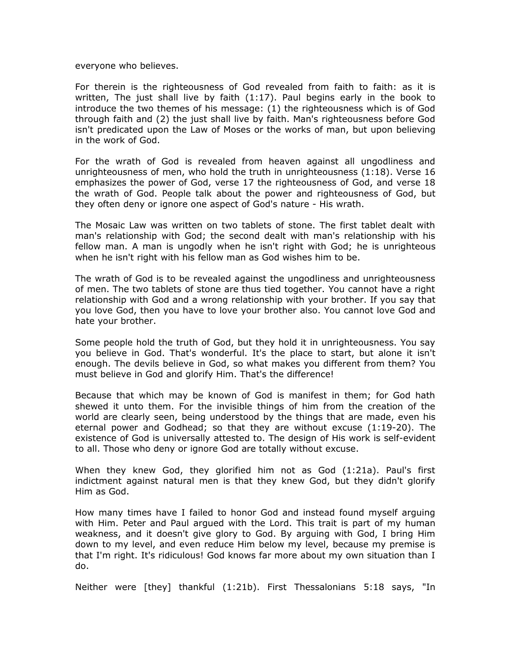everyone who believes.

For therein is the righteousness of God revealed from faith to faith: as it is written, The just shall live by faith (1:17). Paul begins early in the book to introduce the two themes of his message: (1) the righteousness which is of God through faith and (2) the just shall live by faith. Man's righteousness before God isn't predicated upon the Law of Moses or the works of man, but upon believing in the work of God.

For the wrath of God is revealed from heaven against all ungodliness and unrighteousness of men, who hold the truth in unrighteousness (1:18). Verse 16 emphasizes the power of God, verse 17 the righteousness of God, and verse 18 the wrath of God. People talk about the power and righteousness of God, but they often deny or ignore one aspect of God's nature - His wrath.

The Mosaic Law was written on two tablets of stone. The first tablet dealt with man's relationship with God; the second dealt with man's relationship with his fellow man. A man is ungodly when he isn't right with God; he is unrighteous when he isn't right with his fellow man as God wishes him to be.

The wrath of God is to be revealed against the ungodliness and unrighteousness of men. The two tablets of stone are thus tied together. You cannot have a right relationship with God and a wrong relationship with your brother. If you say that you love God, then you have to love your brother also. You cannot love God and hate your brother.

Some people hold the truth of God, but they hold it in unrighteousness. You say you believe in God. That's wonderful. It's the place to start, but alone it isn't enough. The devils believe in God, so what makes you different from them? You must believe in God and glorify Him. That's the difference!

Because that which may be known of God is manifest in them; for God hath shewed it unto them. For the invisible things of him from the creation of the world are clearly seen, being understood by the things that are made, even his eternal power and Godhead; so that they are without excuse (1:19-20). The existence of God is universally attested to. The design of His work is self-evident to all. Those who deny or ignore God are totally without excuse.

When they knew God, they glorified him not as God (1:21a). Paul's first indictment against natural men is that they knew God, but they didn't glorify Him as God.

How many times have I failed to honor God and instead found myself arguing with Him. Peter and Paul argued with the Lord. This trait is part of my human weakness, and it doesn't give glory to God. By arguing with God, I bring Him down to my level, and even reduce Him below my level, because my premise is that I'm right. It's ridiculous! God knows far more about my own situation than I do.

Neither were [they] thankful (1:21b). First Thessalonians 5:18 says, "In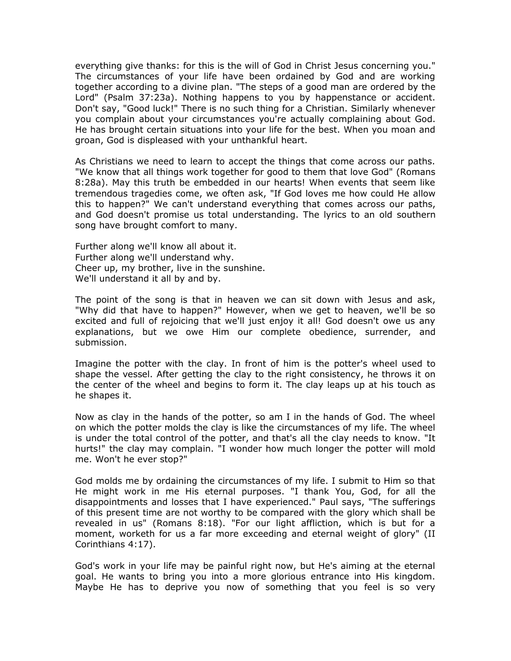everything give thanks: for this is the will of God in Christ Jesus concerning you." The circumstances of your life have been ordained by God and are working together according to a divine plan. "The steps of a good man are ordered by the Lord" (Psalm 37:23a). Nothing happens to you by happenstance or accident. Don't say, "Good luck!" There is no such thing for a Christian. Similarly whenever you complain about your circumstances you're actually complaining about God. He has brought certain situations into your life for the best. When you moan and groan, God is displeased with your unthankful heart.

As Christians we need to learn to accept the things that come across our paths. "We know that all things work together for good to them that love God" (Romans 8:28a). May this truth be embedded in our hearts! When events that seem like tremendous tragedies come, we often ask, "If God loves me how could He allow this to happen?" We can't understand everything that comes across our paths, and God doesn't promise us total understanding. The lyrics to an old southern song have brought comfort to many.

Further along we'll know all about it. Further along we'll understand why. Cheer up, my brother, live in the sunshine. We'll understand it all by and by.

The point of the song is that in heaven we can sit down with Jesus and ask, "Why did that have to happen?" However, when we get to heaven, we'll be so excited and full of rejoicing that we'll just enjoy it all! God doesn't owe us any explanations, but we owe Him our complete obedience, surrender, and submission.

Imagine the potter with the clay. In front of him is the potter's wheel used to shape the vessel. After getting the clay to the right consistency, he throws it on the center of the wheel and begins to form it. The clay leaps up at his touch as he shapes it.

Now as clay in the hands of the potter, so am I in the hands of God. The wheel on which the potter molds the clay is like the circumstances of my life. The wheel is under the total control of the potter, and that's all the clay needs to know. "It hurts!" the clay may complain. "I wonder how much longer the potter will mold me. Won't he ever stop?"

God molds me by ordaining the circumstances of my life. I submit to Him so that He might work in me His eternal purposes. "I thank You, God, for all the disappointments and losses that I have experienced." Paul says, "The sufferings of this present time are not worthy to be compared with the glory which shall be revealed in us" (Romans 8:18). "For our light affliction, which is but for a moment, worketh for us a far more exceeding and eternal weight of glory" (II Corinthians 4:17).

God's work in your life may be painful right now, but He's aiming at the eternal goal. He wants to bring you into a more glorious entrance into His kingdom. Maybe He has to deprive you now of something that you feel is so very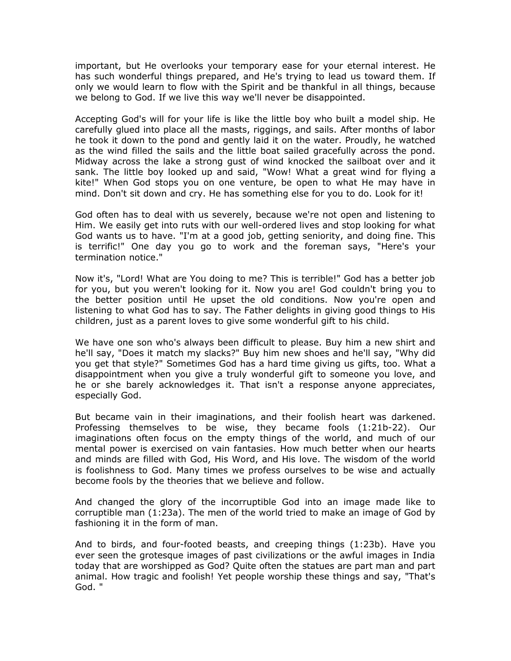important, but He overlooks your temporary ease for your eternal interest. He has such wonderful things prepared, and He's trying to lead us toward them. If only we would learn to flow with the Spirit and be thankful in all things, because we belong to God. If we live this way we'll never be disappointed.

Accepting God's will for your life is like the little boy who built a model ship. He carefully glued into place all the masts, riggings, and sails. After months of labor he took it down to the pond and gently laid it on the water. Proudly, he watched as the wind filled the sails and the little boat sailed gracefully across the pond. Midway across the lake a strong gust of wind knocked the sailboat over and it sank. The little boy looked up and said, "Wow! What a great wind for flying a kite!" When God stops you on one venture, be open to what He may have in mind. Don't sit down and cry. He has something else for you to do. Look for it!

God often has to deal with us severely, because we're not open and listening to Him. We easily get into ruts with our well-ordered lives and stop looking for what God wants us to have. "I'm at a good job, getting seniority, and doing fine. This is terrific!" One day you go to work and the foreman says, "Here's your termination notice."

Now it's, "Lord! What are You doing to me? This is terrible!" God has a better job for you, but you weren't looking for it. Now you are! God couldn't bring you to the better position until He upset the old conditions. Now you're open and listening to what God has to say. The Father delights in giving good things to His children, just as a parent loves to give some wonderful gift to his child.

We have one son who's always been difficult to please. Buy him a new shirt and he'll say, "Does it match my slacks?" Buy him new shoes and he'll say, "Why did you get that style?" Sometimes God has a hard time giving us gifts, too. What a disappointment when you give a truly wonderful gift to someone you love, and he or she barely acknowledges it. That isn't a response anyone appreciates, especially God.

But became vain in their imaginations, and their foolish heart was darkened. Professing themselves to be wise, they became fools (1:21b-22). Our imaginations often focus on the empty things of the world, and much of our mental power is exercised on vain fantasies. How much better when our hearts and minds are filled with God, His Word, and His love. The wisdom of the world is foolishness to God. Many times we profess ourselves to be wise and actually become fools by the theories that we believe and follow.

And changed the glory of the incorruptible God into an image made like to corruptible man (1:23a). The men of the world tried to make an image of God by fashioning it in the form of man.

And to birds, and four-footed beasts, and creeping things (1:23b). Have you ever seen the grotesque images of past civilizations or the awful images in India today that are worshipped as God? Quite often the statues are part man and part animal. How tragic and foolish! Yet people worship these things and say, "That's God. "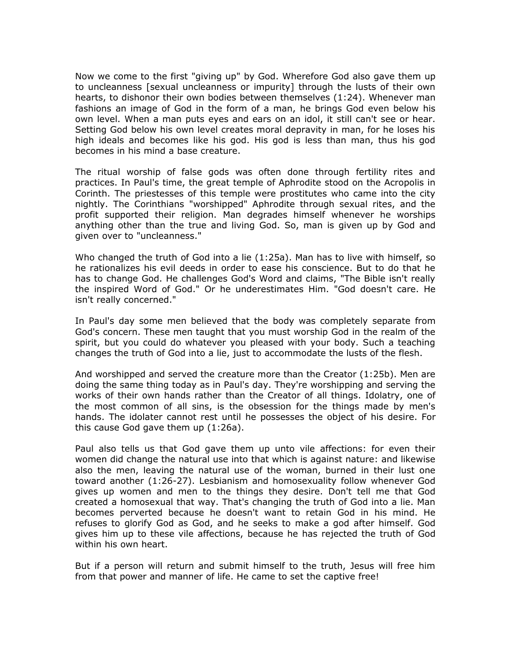Now we come to the first "giving up" by God. Wherefore God also gave them up to uncleanness [sexual uncleanness or impurity] through the lusts of their own hearts, to dishonor their own bodies between themselves (1:24). Whenever man fashions an image of God in the form of a man, he brings God even below his own level. When a man puts eyes and ears on an idol, it still can't see or hear. Setting God below his own level creates moral depravity in man, for he loses his high ideals and becomes like his god. His god is less than man, thus his god becomes in his mind a base creature.

The ritual worship of false gods was often done through fertility rites and practices. In Paul's time, the great temple of Aphrodite stood on the Acropolis in Corinth. The priestesses of this temple were prostitutes who came into the city nightly. The Corinthians "worshipped" Aphrodite through sexual rites, and the profit supported their religion. Man degrades himself whenever he worships anything other than the true and living God. So, man is given up by God and given over to "uncleanness."

Who changed the truth of God into a lie (1:25a). Man has to live with himself, so he rationalizes his evil deeds in order to ease his conscience. But to do that he has to change God. He challenges God's Word and claims, "The Bible isn't really the inspired Word of God." Or he underestimates Him. "God doesn't care. He isn't really concerned."

In Paul's day some men believed that the body was completely separate from God's concern. These men taught that you must worship God in the realm of the spirit, but you could do whatever you pleased with your body. Such a teaching changes the truth of God into a lie, just to accommodate the lusts of the flesh.

And worshipped and served the creature more than the Creator (1:25b). Men are doing the same thing today as in Paul's day. They're worshipping and serving the works of their own hands rather than the Creator of all things. Idolatry, one of the most common of all sins, is the obsession for the things made by men's hands. The idolater cannot rest until he possesses the object of his desire. For this cause God gave them up (1:26a).

Paul also tells us that God gave them up unto vile affections: for even their women did change the natural use into that which is against nature: and likewise also the men, leaving the natural use of the woman, burned in their lust one toward another (1:26-27). Lesbianism and homosexuality follow whenever God gives up women and men to the things they desire. Don't tell me that God created a homosexual that way. That's changing the truth of God into a lie. Man becomes perverted because he doesn't want to retain God in his mind. He refuses to glorify God as God, and he seeks to make a god after himself. God gives him up to these vile affections, because he has rejected the truth of God within his own heart.

But if a person will return and submit himself to the truth, Jesus will free him from that power and manner of life. He came to set the captive free!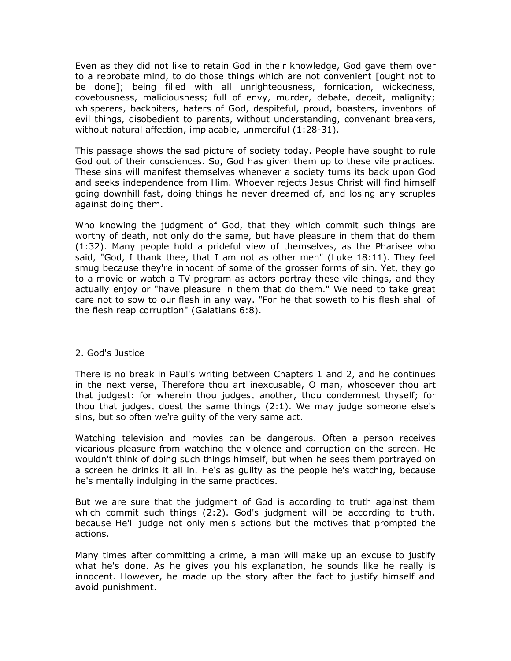Even as they did not like to retain God in their knowledge, God gave them over to a reprobate mind, to do those things which are not convenient [ought not to be done]; being filled with all unrighteousness, fornication, wickedness, covetousness, maliciousness; full of envy, murder, debate, deceit, malignity; whisperers, backbiters, haters of God, despiteful, proud, boasters, inventors of evil things, disobedient to parents, without understanding, convenant breakers, without natural affection, implacable, unmerciful (1:28-31).

This passage shows the sad picture of society today. People have sought to rule God out of their consciences. So, God has given them up to these vile practices. These sins will manifest themselves whenever a society turns its back upon God and seeks independence from Him. Whoever rejects Jesus Christ will find himself going downhill fast, doing things he never dreamed of, and losing any scruples against doing them.

Who knowing the judgment of God, that they which commit such things are worthy of death, not only do the same, but have pleasure in them that do them (1:32). Many people hold a prideful view of themselves, as the Pharisee who said, "God, I thank thee, that I am not as other men" (Luke 18:11). They feel smug because they're innocent of some of the grosser forms of sin. Yet, they go to a movie or watch a TV program as actors portray these vile things, and they actually enjoy or "have pleasure in them that do them." We need to take great care not to sow to our flesh in any way. "For he that soweth to his flesh shall of the flesh reap corruption" (Galatians 6:8).

# 2. God's Justice

There is no break in Paul's writing between Chapters 1 and 2, and he continues in the next verse, Therefore thou art inexcusable, O man, whosoever thou art that judgest: for wherein thou judgest another, thou condemnest thyself; for thou that judgest doest the same things (2:1). We may judge someone else's sins, but so often we're guilty of the very same act.

Watching television and movies can be dangerous. Often a person receives vicarious pleasure from watching the violence and corruption on the screen. He wouldn't think of doing such things himself, but when he sees them portrayed on a screen he drinks it all in. He's as guilty as the people he's watching, because he's mentally indulging in the same practices.

But we are sure that the judgment of God is according to truth against them which commit such things (2:2). God's judgment will be according to truth, because He'll judge not only men's actions but the motives that prompted the actions.

Many times after committing a crime, a man will make up an excuse to justify what he's done. As he gives you his explanation, he sounds like he really is innocent. However, he made up the story after the fact to justify himself and avoid punishment.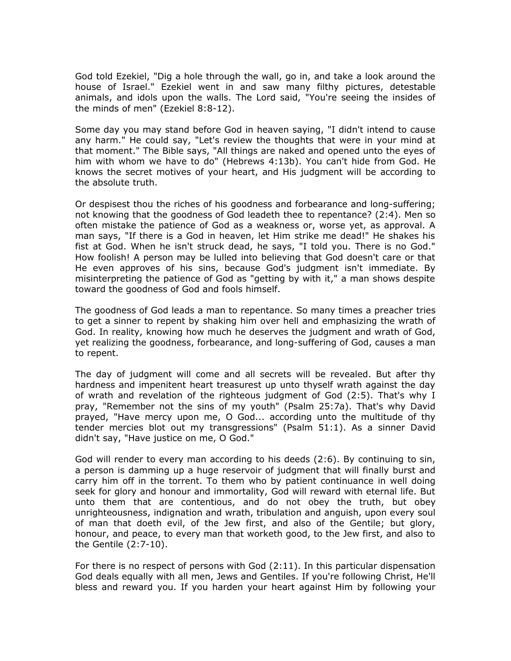God told Ezekiel, "Dig a hole through the wall, go in, and take a look around the house of Israel." Ezekiel went in and saw many filthy pictures, detestable animals, and idols upon the walls. The Lord said, "You're seeing the insides of the minds of men" (Ezekiel 8:8-12).

Some day you may stand before God in heaven saying, "I didn't intend to cause any harm." He could say, "Let's review the thoughts that were in your mind at that moment." The Bible says, "All things are naked and opened unto the eyes of him with whom we have to do" (Hebrews 4:13b). You can't hide from God. He knows the secret motives of your heart, and His judgment will be according to the absolute truth.

Or despisest thou the riches of his goodness and forbearance and long-suffering; not knowing that the goodness of God leadeth thee to repentance? (2:4). Men so often mistake the patience of God as a weakness or, worse yet, as approval. A man says, "If there is a God in heaven, let Him strike me dead!" He shakes his fist at God. When he isn't struck dead, he says, "I told you. There is no God." How foolish! A person may be lulled into believing that God doesn't care or that He even approves of his sins, because God's judgment isn't immediate. By misinterpreting the patience of God as "getting by with it," a man shows despite toward the goodness of God and fools himself.

The goodness of God leads a man to repentance. So many times a preacher tries to get a sinner to repent by shaking him over hell and emphasizing the wrath of God. In reality, knowing how much he deserves the judgment and wrath of God, yet realizing the goodness, forbearance, and long-suffering of God, causes a man to repent.

The day of judgment will come and all secrets will be revealed. But after thy hardness and impenitent heart treasurest up unto thyself wrath against the day of wrath and revelation of the righteous judgment of God (2:5). That's why I pray, "Remember not the sins of my youth" (Psalm 25:7a). That's why David prayed, "Have mercy upon me, O God... according unto the multitude of thy tender mercies blot out my transgressions" (Psalm 51:1). As a sinner David didn't say, "Have justice on me, O God."

God will render to every man according to his deeds (2:6). By continuing to sin, a person is damming up a huge reservoir of judgment that will finally burst and carry him off in the torrent. To them who by patient continuance in well doing seek for glory and honour and immortality, God will reward with eternal life. But unto them that are contentious, and do not obey the truth, but obey unrighteousness, indignation and wrath, tribulation and anguish, upon every soul of man that doeth evil, of the Jew first, and also of the Gentile; but glory, honour, and peace, to every man that worketh good, to the Jew first, and also to the Gentile (2:7-10).

For there is no respect of persons with God (2:11). In this particular dispensation God deals equally with all men, Jews and Gentiles. If you're following Christ, He'll bless and reward you. If you harden your heart against Him by following your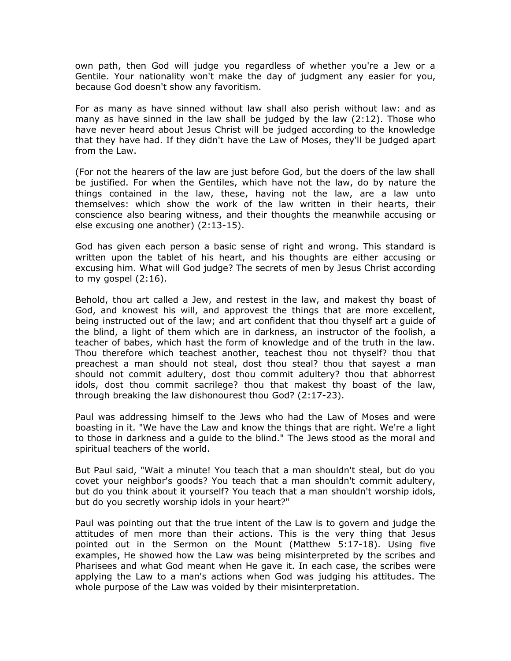own path, then God will judge you regardless of whether you're a Jew or a Gentile. Your nationality won't make the day of judgment any easier for you, because God doesn't show any favoritism.

For as many as have sinned without law shall also perish without law: and as many as have sinned in the law shall be judged by the law (2:12). Those who have never heard about Jesus Christ will be judged according to the knowledge that they have had. If they didn't have the Law of Moses, they'll be judged apart from the Law.

(For not the hearers of the law are just before God, but the doers of the law shall be justified. For when the Gentiles, which have not the law, do by nature the things contained in the law, these, having not the law, are a law unto themselves: which show the work of the law written in their hearts, their conscience also bearing witness, and their thoughts the meanwhile accusing or else excusing one another) (2:13-15).

God has given each person a basic sense of right and wrong. This standard is written upon the tablet of his heart, and his thoughts are either accusing or excusing him. What will God judge? The secrets of men by Jesus Christ according to my gospel  $(2:16)$ .

Behold, thou art called a Jew, and restest in the law, and makest thy boast of God, and knowest his will, and approvest the things that are more excellent, being instructed out of the law; and art confident that thou thyself art a guide of the blind, a light of them which are in darkness, an instructor of the foolish, a teacher of babes, which hast the form of knowledge and of the truth in the law. Thou therefore which teachest another, teachest thou not thyself? thou that preachest a man should not steal, dost thou steal? thou that sayest a man should not commit adultery, dost thou commit adultery? thou that abhorrest idols, dost thou commit sacrilege? thou that makest thy boast of the law, through breaking the law dishonourest thou God? (2:17-23).

Paul was addressing himself to the Jews who had the Law of Moses and were boasting in it. "We have the Law and know the things that are right. We're a light to those in darkness and a guide to the blind." The Jews stood as the moral and spiritual teachers of the world.

But Paul said, "Wait a minute! You teach that a man shouldn't steal, but do you covet your neighbor's goods? You teach that a man shouldn't commit adultery, but do you think about it yourself? You teach that a man shouldn't worship idols, but do you secretly worship idols in your heart?"

Paul was pointing out that the true intent of the Law is to govern and judge the attitudes of men more than their actions. This is the very thing that Jesus pointed out in the Sermon on the Mount (Matthew 5:17-18). Using five examples, He showed how the Law was being misinterpreted by the scribes and Pharisees and what God meant when He gave it. In each case, the scribes were applying the Law to a man's actions when God was judging his attitudes. The whole purpose of the Law was voided by their misinterpretation.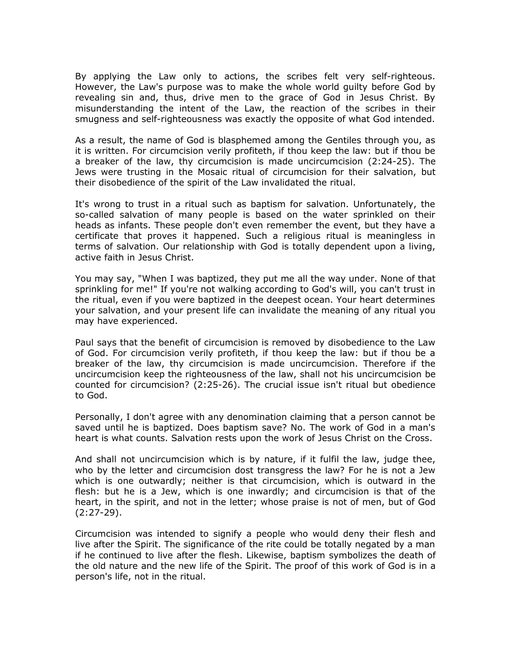By applying the Law only to actions, the scribes felt very self-righteous. However, the Law's purpose was to make the whole world guilty before God by revealing sin and, thus, drive men to the grace of God in Jesus Christ. By misunderstanding the intent of the Law, the reaction of the scribes in their smugness and self-righteousness was exactly the opposite of what God intended.

As a result, the name of God is blasphemed among the Gentiles through you, as it is written. For circumcision verily profiteth, if thou keep the law: but if thou be a breaker of the law, thy circumcision is made uncircumcision (2:24-25). The Jews were trusting in the Mosaic ritual of circumcision for their salvation, but their disobedience of the spirit of the Law invalidated the ritual.

It's wrong to trust in a ritual such as baptism for salvation. Unfortunately, the so-called salvation of many people is based on the water sprinkled on their heads as infants. These people don't even remember the event, but they have a certificate that proves it happened. Such a religious ritual is meaningless in terms of salvation. Our relationship with God is totally dependent upon a living, active faith in Jesus Christ.

You may say, "When I was baptized, they put me all the way under. None of that sprinkling for me!" If you're not walking according to God's will, you can't trust in the ritual, even if you were baptized in the deepest ocean. Your heart determines your salvation, and your present life can invalidate the meaning of any ritual you may have experienced.

Paul says that the benefit of circumcision is removed by disobedience to the Law of God. For circumcision verily profiteth, if thou keep the law: but if thou be a breaker of the law, thy circumcision is made uncircumcision. Therefore if the uncircumcision keep the righteousness of the law, shall not his uncircumcision be counted for circumcision? (2:25-26). The crucial issue isn't ritual but obedience to God.

Personally, I don't agree with any denomination claiming that a person cannot be saved until he is baptized. Does baptism save? No. The work of God in a man's heart is what counts. Salvation rests upon the work of Jesus Christ on the Cross.

And shall not uncircumcision which is by nature, if it fulfil the law, judge thee, who by the letter and circumcision dost transgress the law? For he is not a Jew which is one outwardly; neither is that circumcision, which is outward in the flesh: but he is a Jew, which is one inwardly; and circumcision is that of the heart, in the spirit, and not in the letter; whose praise is not of men, but of God (2:27-29).

Circumcision was intended to signify a people who would deny their flesh and live after the Spirit. The significance of the rite could be totally negated by a man if he continued to live after the flesh. Likewise, baptism symbolizes the death of the old nature and the new life of the Spirit. The proof of this work of God is in a person's life, not in the ritual.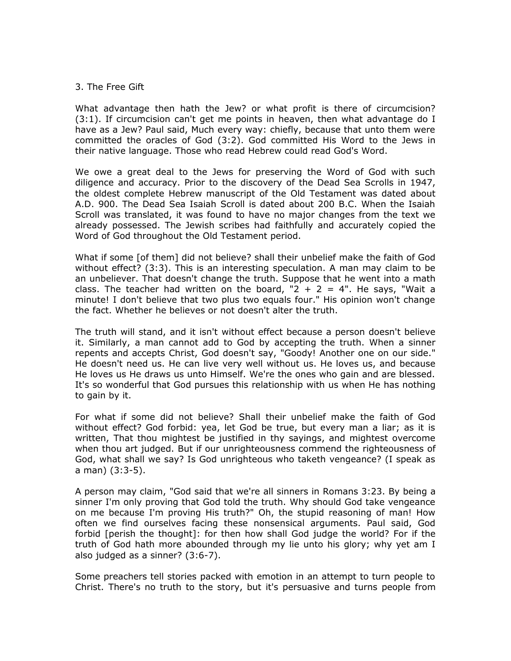### 3. The Free Gift

What advantage then hath the Jew? or what profit is there of circumcision? (3:1). If circumcision can't get me points in heaven, then what advantage do I have as a Jew? Paul said, Much every way: chiefly, because that unto them were committed the oracles of God (3:2). God committed His Word to the Jews in their native language. Those who read Hebrew could read God's Word.

We owe a great deal to the Jews for preserving the Word of God with such diligence and accuracy. Prior to the discovery of the Dead Sea Scrolls in 1947, the oldest complete Hebrew manuscript of the Old Testament was dated about A.D. 900. The Dead Sea Isaiah Scroll is dated about 200 B.C. When the Isaiah Scroll was translated, it was found to have no major changes from the text we already possessed. The Jewish scribes had faithfully and accurately copied the Word of God throughout the Old Testament period.

What if some [of them] did not believe? shall their unbelief make the faith of God without effect? (3:3). This is an interesting speculation. A man may claim to be an unbeliever. That doesn't change the truth. Suppose that he went into a math class. The teacher had written on the board, "2 + 2 = 4". He says, "Wait a minute! I don't believe that two plus two equals four." His opinion won't change the fact. Whether he believes or not doesn't alter the truth.

The truth will stand, and it isn't without effect because a person doesn't believe it. Similarly, a man cannot add to God by accepting the truth. When a sinner repents and accepts Christ, God doesn't say, "Goody! Another one on our side." He doesn't need us. He can live very well without us. He loves us, and because He loves us He draws us unto Himself. We're the ones who gain and are blessed. It's so wonderful that God pursues this relationship with us when He has nothing to gain by it.

For what if some did not believe? Shall their unbelief make the faith of God without effect? God forbid: yea, let God be true, but every man a liar; as it is written, That thou mightest be justified in thy sayings, and mightest overcome when thou art judged. But if our unrighteousness commend the righteousness of God, what shall we say? Is God unrighteous who taketh vengeance? (I speak as a man) (3:3-5).

A person may claim, "God said that we're all sinners in Romans 3:23. By being a sinner I'm only proving that God told the truth. Why should God take vengeance on me because I'm proving His truth?" Oh, the stupid reasoning of man! How often we find ourselves facing these nonsensical arguments. Paul said, God forbid [perish the thought]: for then how shall God judge the world? For if the truth of God hath more abounded through my lie unto his glory; why yet am I also judged as a sinner? (3:6-7).

Some preachers tell stories packed with emotion in an attempt to turn people to Christ. There's no truth to the story, but it's persuasive and turns people from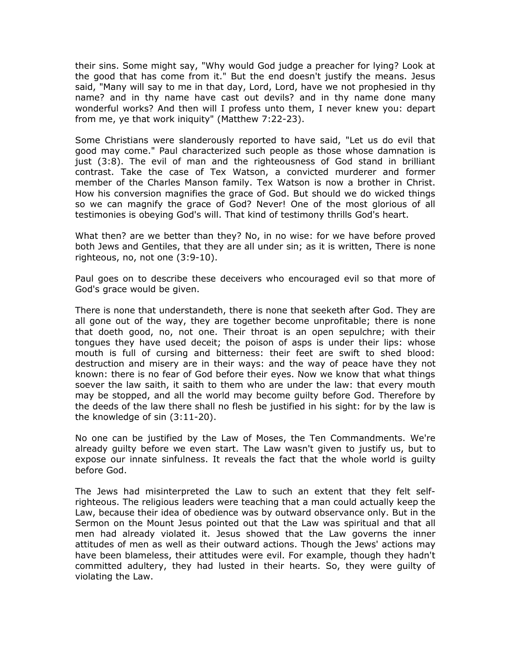their sins. Some might say, "Why would God judge a preacher for lying? Look at the good that has come from it." But the end doesn't justify the means. Jesus said, "Many will say to me in that day, Lord, Lord, have we not prophesied in thy name? and in thy name have cast out devils? and in thy name done many wonderful works? And then will I profess unto them, I never knew you: depart from me, ye that work iniquity" (Matthew 7:22-23).

Some Christians were slanderously reported to have said, "Let us do evil that good may come." Paul characterized such people as those whose damnation is just (3:8). The evil of man and the righteousness of God stand in brilliant contrast. Take the case of Tex Watson, a convicted murderer and former member of the Charles Manson family. Tex Watson is now a brother in Christ. How his conversion magnifies the grace of God. But should we do wicked things so we can magnify the grace of God? Never! One of the most glorious of all testimonies is obeying God's will. That kind of testimony thrills God's heart.

What then? are we better than they? No, in no wise: for we have before proved both Jews and Gentiles, that they are all under sin; as it is written, There is none righteous, no, not one (3:9-10).

Paul goes on to describe these deceivers who encouraged evil so that more of God's grace would be given.

There is none that understandeth, there is none that seeketh after God. They are all gone out of the way, they are together become unprofitable; there is none that doeth good, no, not one. Their throat is an open sepulchre; with their tongues they have used deceit; the poison of asps is under their lips: whose mouth is full of cursing and bitterness: their feet are swift to shed blood: destruction and misery are in their ways: and the way of peace have they not known: there is no fear of God before their eyes. Now we know that what things soever the law saith, it saith to them who are under the law: that every mouth may be stopped, and all the world may become guilty before God. Therefore by the deeds of the law there shall no flesh be justified in his sight: for by the law is the knowledge of sin (3:11-20).

No one can be justified by the Law of Moses, the Ten Commandments. We're already guilty before we even start. The Law wasn't given to justify us, but to expose our innate sinfulness. It reveals the fact that the whole world is guilty before God.

The Jews had misinterpreted the Law to such an extent that they felt selfrighteous. The religious leaders were teaching that a man could actually keep the Law, because their idea of obedience was by outward observance only. But in the Sermon on the Mount Jesus pointed out that the Law was spiritual and that all men had already violated it. Jesus showed that the Law governs the inner attitudes of men as well as their outward actions. Though the Jews' actions may have been blameless, their attitudes were evil. For example, though they hadn't committed adultery, they had lusted in their hearts. So, they were guilty of violating the Law.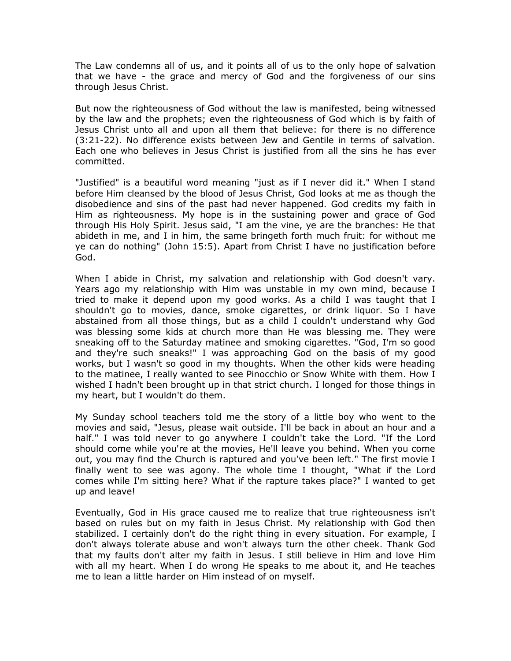The Law condemns all of us, and it points all of us to the only hope of salvation that we have - the grace and mercy of God and the forgiveness of our sins through Jesus Christ.

But now the righteousness of God without the law is manifested, being witnessed by the law and the prophets; even the righteousness of God which is by faith of Jesus Christ unto all and upon all them that believe: for there is no difference (3:21-22). No difference exists between Jew and Gentile in terms of salvation. Each one who believes in Jesus Christ is justified from all the sins he has ever committed.

"Justified" is a beautiful word meaning "just as if I never did it." When I stand before Him cleansed by the blood of Jesus Christ, God looks at me as though the disobedience and sins of the past had never happened. God credits my faith in Him as righteousness. My hope is in the sustaining power and grace of God through His Holy Spirit. Jesus said, "I am the vine, ye are the branches: He that abideth in me, and I in him, the same bringeth forth much fruit: for without me ye can do nothing" (John 15:5). Apart from Christ I have no justification before God.

When I abide in Christ, my salvation and relationship with God doesn't vary. Years ago my relationship with Him was unstable in my own mind, because I tried to make it depend upon my good works. As a child I was taught that I shouldn't go to movies, dance, smoke cigarettes, or drink liquor. So I have abstained from all those things, but as a child I couldn't understand why God was blessing some kids at church more than He was blessing me. They were sneaking off to the Saturday matinee and smoking cigarettes. "God, I'm so good and they're such sneaks!" I was approaching God on the basis of my good works, but I wasn't so good in my thoughts. When the other kids were heading to the matinee, I really wanted to see Pinocchio or Snow White with them. How I wished I hadn't been brought up in that strict church. I longed for those things in my heart, but I wouldn't do them.

My Sunday school teachers told me the story of a little boy who went to the movies and said, "Jesus, please wait outside. I'll be back in about an hour and a half." I was told never to go anywhere I couldn't take the Lord. "If the Lord should come while you're at the movies, He'll leave you behind. When you come out, you may find the Church is raptured and you've been left." The first movie I finally went to see was agony. The whole time I thought, "What if the Lord comes while I'm sitting here? What if the rapture takes place?" I wanted to get up and leave!

Eventually, God in His grace caused me to realize that true righteousness isn't based on rules but on my faith in Jesus Christ. My relationship with God then stabilized. I certainly don't do the right thing in every situation. For example, I don't always tolerate abuse and won't always turn the other cheek. Thank God that my faults don't alter my faith in Jesus. I still believe in Him and love Him with all my heart. When I do wrong He speaks to me about it, and He teaches me to lean a little harder on Him instead of on myself.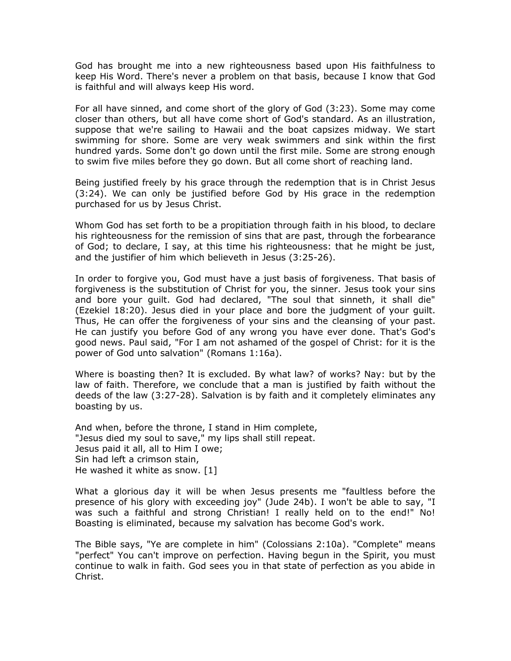God has brought me into a new righteousness based upon His faithfulness to keep His Word. There's never a problem on that basis, because I know that God is faithful and will always keep His word.

For all have sinned, and come short of the glory of God (3:23). Some may come closer than others, but all have come short of God's standard. As an illustration, suppose that we're sailing to Hawaii and the boat capsizes midway. We start swimming for shore. Some are very weak swimmers and sink within the first hundred yards. Some don't go down until the first mile. Some are strong enough to swim five miles before they go down. But all come short of reaching land.

Being justified freely by his grace through the redemption that is in Christ Jesus (3:24). We can only be justified before God by His grace in the redemption purchased for us by Jesus Christ.

Whom God has set forth to be a propitiation through faith in his blood, to declare his righteousness for the remission of sins that are past, through the forbearance of God; to declare, I say, at this time his righteousness: that he might be just, and the justifier of him which believeth in Jesus (3:25-26).

In order to forgive you, God must have a just basis of forgiveness. That basis of forgiveness is the substitution of Christ for you, the sinner. Jesus took your sins and bore your guilt. God had declared, "The soul that sinneth, it shall die" (Ezekiel 18:20). Jesus died in your place and bore the judgment of your guilt. Thus, He can offer the forgiveness of your sins and the cleansing of your past. He can justify you before God of any wrong you have ever done. That's God's good news. Paul said, "For I am not ashamed of the gospel of Christ: for it is the power of God unto salvation" (Romans 1:16a).

Where is boasting then? It is excluded. By what law? of works? Nay: but by the law of faith. Therefore, we conclude that a man is justified by faith without the deeds of the law (3:27-28). Salvation is by faith and it completely eliminates any boasting by us.

And when, before the throne, I stand in Him complete, "Jesus died my soul to save," my lips shall still repeat. Jesus paid it all, all to Him I owe; Sin had left a crimson stain, He washed it white as snow. [1]

What a glorious day it will be when Jesus presents me "faultless before the presence of his glory with exceeding joy" (Jude 24b). I won't be able to say, "I was such a faithful and strong Christian! I really held on to the end!" No! Boasting is eliminated, because my salvation has become God's work.

The Bible says, "Ye are complete in him" (Colossians 2:10a). "Complete" means "perfect" You can't improve on perfection. Having begun in the Spirit, you must continue to walk in faith. God sees you in that state of perfection as you abide in Christ.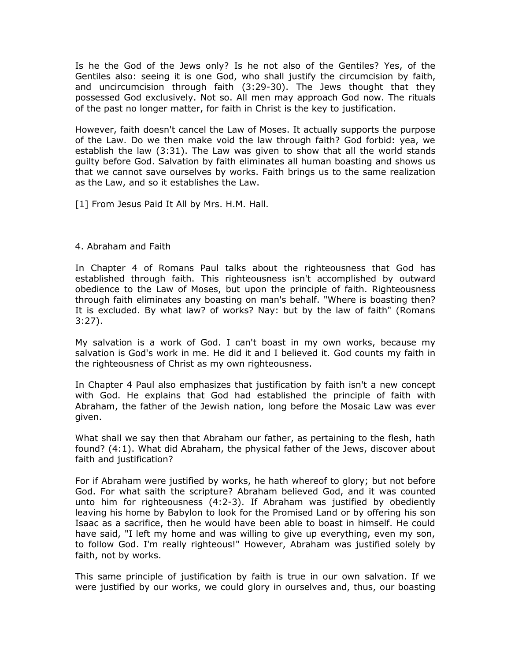Is he the God of the Jews only? Is he not also of the Gentiles? Yes, of the Gentiles also: seeing it is one God, who shall justify the circumcision by faith, and uncircumcision through faith (3:29-30). The Jews thought that they possessed God exclusively. Not so. All men may approach God now. The rituals of the past no longer matter, for faith in Christ is the key to justification.

However, faith doesn't cancel the Law of Moses. It actually supports the purpose of the Law. Do we then make void the law through faith? God forbid: yea, we establish the law (3:31). The Law was given to show that all the world stands guilty before God. Salvation by faith eliminates all human boasting and shows us that we cannot save ourselves by works. Faith brings us to the same realization as the Law, and so it establishes the Law.

[1] From Jesus Paid It All by Mrs. H.M. Hall.

## 4. Abraham and Faith

In Chapter 4 of Romans Paul talks about the righteousness that God has established through faith. This righteousness isn't accomplished by outward obedience to the Law of Moses, but upon the principle of faith. Righteousness through faith eliminates any boasting on man's behalf. "Where is boasting then? It is excluded. By what law? of works? Nay: but by the law of faith" (Romans 3:27).

My salvation is a work of God. I can't boast in my own works, because my salvation is God's work in me. He did it and I believed it. God counts my faith in the righteousness of Christ as my own righteousness.

In Chapter 4 Paul also emphasizes that justification by faith isn't a new concept with God. He explains that God had established the principle of faith with Abraham, the father of the Jewish nation, long before the Mosaic Law was ever given.

What shall we say then that Abraham our father, as pertaining to the flesh, hath found? (4:1). What did Abraham, the physical father of the Jews, discover about faith and justification?

For if Abraham were justified by works, he hath whereof to glory; but not before God. For what saith the scripture? Abraham believed God, and it was counted unto him for righteousness (4:2-3). If Abraham was justified by obediently leaving his home by Babylon to look for the Promised Land or by offering his son Isaac as a sacrifice, then he would have been able to boast in himself. He could have said, "I left my home and was willing to give up everything, even my son, to follow God. I'm really righteous!" However, Abraham was justified solely by faith, not by works.

This same principle of justification by faith is true in our own salvation. If we were justified by our works, we could glory in ourselves and, thus, our boasting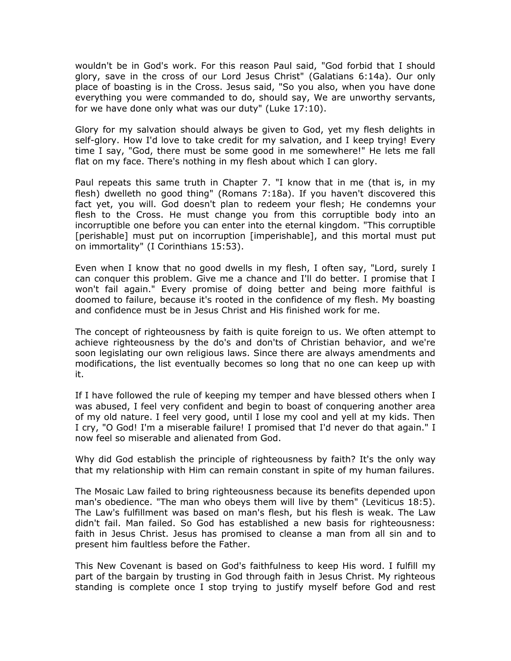wouldn't be in God's work. For this reason Paul said, "God forbid that I should glory, save in the cross of our Lord Jesus Christ" (Galatians 6:14a). Our only place of boasting is in the Cross. Jesus said, "So you also, when you have done everything you were commanded to do, should say, We are unworthy servants, for we have done only what was our duty" (Luke 17:10).

Glory for my salvation should always be given to God, yet my flesh delights in self-glory. How I'd love to take credit for my salvation, and I keep trying! Every time I say, "God, there must be some good in me somewhere!" He lets me fall flat on my face. There's nothing in my flesh about which I can glory.

Paul repeats this same truth in Chapter 7. "I know that in me (that is, in my flesh) dwelleth no good thing" (Romans 7:18a). If you haven't discovered this fact yet, you will. God doesn't plan to redeem your flesh; He condemns your flesh to the Cross. He must change you from this corruptible body into an incorruptible one before you can enter into the eternal kingdom. "This corruptible [perishable] must put on incorruption [imperishable], and this mortal must put on immortality" (I Corinthians 15:53).

Even when I know that no good dwells in my flesh, I often say, "Lord, surely I can conquer this problem. Give me a chance and I'll do better. I promise that I won't fail again." Every promise of doing better and being more faithful is doomed to failure, because it's rooted in the confidence of my flesh. My boasting and confidence must be in Jesus Christ and His finished work for me.

The concept of righteousness by faith is quite foreign to us. We often attempt to achieve righteousness by the do's and don'ts of Christian behavior, and we're soon legislating our own religious laws. Since there are always amendments and modifications, the list eventually becomes so long that no one can keep up with it.

If I have followed the rule of keeping my temper and have blessed others when I was abused, I feel very confident and begin to boast of conquering another area of my old nature. I feel very good, until I lose my cool and yell at my kids. Then I cry, "O God! I'm a miserable failure! I promised that I'd never do that again." I now feel so miserable and alienated from God.

Why did God establish the principle of righteousness by faith? It's the only way that my relationship with Him can remain constant in spite of my human failures.

The Mosaic Law failed to bring righteousness because its benefits depended upon man's obedience. "The man who obeys them will live by them" (Leviticus 18:5). The Law's fulfillment was based on man's flesh, but his flesh is weak. The Law didn't fail. Man failed. So God has established a new basis for righteousness: faith in Jesus Christ. Jesus has promised to cleanse a man from all sin and to present him faultless before the Father.

This New Covenant is based on God's faithfulness to keep His word. I fulfill my part of the bargain by trusting in God through faith in Jesus Christ. My righteous standing is complete once I stop trying to justify myself before God and rest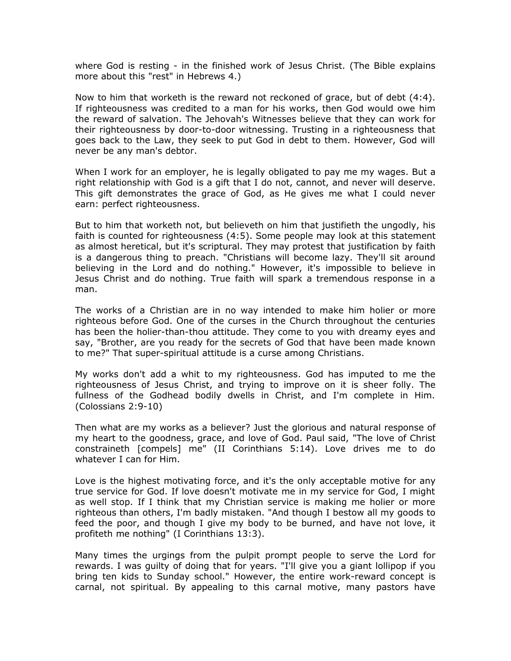where God is resting - in the finished work of Jesus Christ. (The Bible explains more about this "rest" in Hebrews 4.)

Now to him that worketh is the reward not reckoned of grace, but of debt (4:4). If righteousness was credited to a man for his works, then God would owe him the reward of salvation. The Jehovah's Witnesses believe that they can work for their righteousness by door-to-door witnessing. Trusting in a righteousness that goes back to the Law, they seek to put God in debt to them. However, God will never be any man's debtor.

When I work for an employer, he is legally obligated to pay me my wages. But a right relationship with God is a gift that I do not, cannot, and never will deserve. This gift demonstrates the grace of God, as He gives me what I could never earn: perfect righteousness.

But to him that worketh not, but believeth on him that justifieth the ungodly, his faith is counted for righteousness (4:5). Some people may look at this statement as almost heretical, but it's scriptural. They may protest that justification by faith is a dangerous thing to preach. "Christians will become lazy. They'll sit around believing in the Lord and do nothing." However, it's impossible to believe in Jesus Christ and do nothing. True faith will spark a tremendous response in a man.

The works of a Christian are in no way intended to make him holier or more righteous before God. One of the curses in the Church throughout the centuries has been the holier-than-thou attitude. They come to you with dreamy eyes and say, "Brother, are you ready for the secrets of God that have been made known to me?" That super-spiritual attitude is a curse among Christians.

My works don't add a whit to my righteousness. God has imputed to me the righteousness of Jesus Christ, and trying to improve on it is sheer folly. The fullness of the Godhead bodily dwells in Christ, and I'm complete in Him. (Colossians 2:9-10)

Then what are my works as a believer? Just the glorious and natural response of my heart to the goodness, grace, and love of God. Paul said, "The love of Christ constraineth [compels] me" (II Corinthians 5:14). Love drives me to do whatever I can for Him.

Love is the highest motivating force, and it's the only acceptable motive for any true service for God. If love doesn't motivate me in my service for God, I might as well stop. If I think that my Christian service is making me holier or more righteous than others, I'm badly mistaken. "And though I bestow all my goods to feed the poor, and though I give my body to be burned, and have not love, it profiteth me nothing" (I Corinthians 13:3).

Many times the urgings from the pulpit prompt people to serve the Lord for rewards. I was guilty of doing that for years. "I'll give you a giant lollipop if you bring ten kids to Sunday school." However, the entire work-reward concept is carnal, not spiritual. By appealing to this carnal motive, many pastors have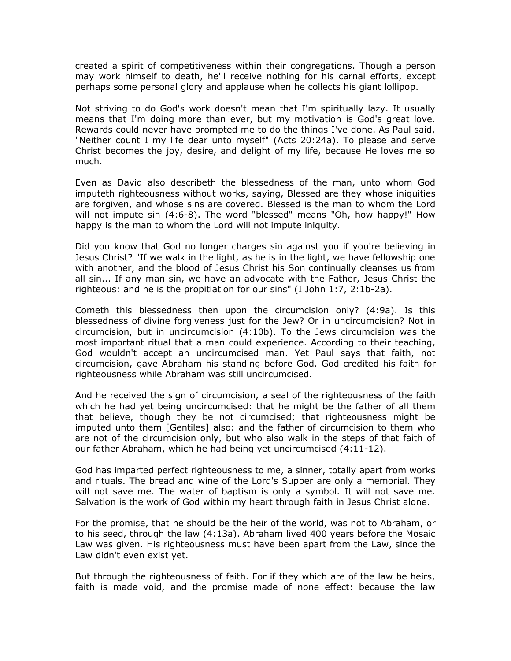created a spirit of competitiveness within their congregations. Though a person may work himself to death, he'll receive nothing for his carnal efforts, except perhaps some personal glory and applause when he collects his giant lollipop.

Not striving to do God's work doesn't mean that I'm spiritually lazy. It usually means that I'm doing more than ever, but my motivation is God's great love. Rewards could never have prompted me to do the things I've done. As Paul said, "Neither count I my life dear unto myself" (Acts 20:24a). To please and serve Christ becomes the joy, desire, and delight of my life, because He loves me so much.

Even as David also describeth the blessedness of the man, unto whom God imputeth righteousness without works, saying, Blessed are they whose iniquities are forgiven, and whose sins are covered. Blessed is the man to whom the Lord will not impute sin (4:6-8). The word "blessed" means "Oh, how happy!" How happy is the man to whom the Lord will not impute iniquity.

Did you know that God no longer charges sin against you if you're believing in Jesus Christ? "If we walk in the light, as he is in the light, we have fellowship one with another, and the blood of Jesus Christ his Son continually cleanses us from all sin... If any man sin, we have an advocate with the Father, Jesus Christ the righteous: and he is the propitiation for our sins" (I John 1:7, 2:1b-2a).

Cometh this blessedness then upon the circumcision only? (4:9a). Is this blessedness of divine forgiveness just for the Jew? Or in uncircumcision? Not in circumcision, but in uncircumcision (4:10b). To the Jews circumcision was the most important ritual that a man could experience. According to their teaching, God wouldn't accept an uncircumcised man. Yet Paul says that faith, not circumcision, gave Abraham his standing before God. God credited his faith for righteousness while Abraham was still uncircumcised.

And he received the sign of circumcision, a seal of the righteousness of the faith which he had yet being uncircumcised: that he might be the father of all them that believe, though they be not circumcised; that righteousness might be imputed unto them [Gentiles] also: and the father of circumcision to them who are not of the circumcision only, but who also walk in the steps of that faith of our father Abraham, which he had being yet uncircumcised (4:11-12).

God has imparted perfect righteousness to me, a sinner, totally apart from works and rituals. The bread and wine of the Lord's Supper are only a memorial. They will not save me. The water of baptism is only a symbol. It will not save me. Salvation is the work of God within my heart through faith in Jesus Christ alone.

For the promise, that he should be the heir of the world, was not to Abraham, or to his seed, through the law (4:13a). Abraham lived 400 years before the Mosaic Law was given. His righteousness must have been apart from the Law, since the Law didn't even exist yet.

But through the righteousness of faith. For if they which are of the law be heirs, faith is made void, and the promise made of none effect: because the law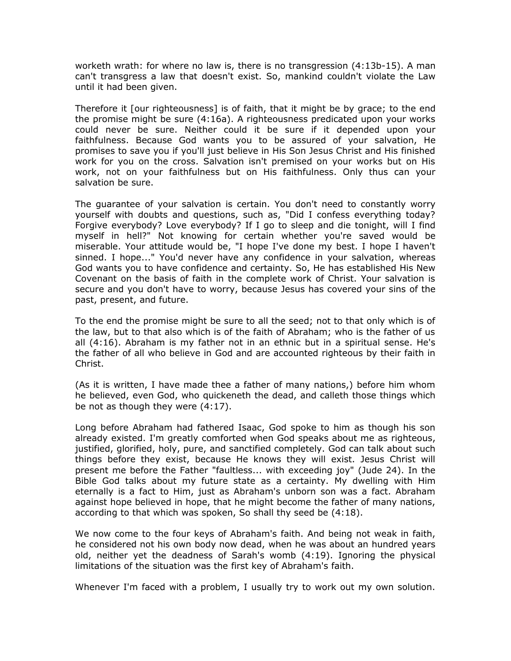worketh wrath: for where no law is, there is no transgression (4:13b-15). A man can't transgress a law that doesn't exist. So, mankind couldn't violate the Law until it had been given.

Therefore it [our righteousness] is of faith, that it might be by grace; to the end the promise might be sure (4:16a). A righteousness predicated upon your works could never be sure. Neither could it be sure if it depended upon your faithfulness. Because God wants you to be assured of your salvation, He promises to save you if you'll just believe in His Son Jesus Christ and His finished work for you on the cross. Salvation isn't premised on your works but on His work, not on your faithfulness but on His faithfulness. Only thus can your salvation be sure.

The guarantee of your salvation is certain. You don't need to constantly worry yourself with doubts and questions, such as, "Did I confess everything today? Forgive everybody? Love everybody? If I go to sleep and die tonight, will I find myself in hell?" Not knowing for certain whether you're saved would be miserable. Your attitude would be, "I hope I've done my best. I hope I haven't sinned. I hope..." You'd never have any confidence in your salvation, whereas God wants you to have confidence and certainty. So, He has established His New Covenant on the basis of faith in the complete work of Christ. Your salvation is secure and you don't have to worry, because Jesus has covered your sins of the past, present, and future.

To the end the promise might be sure to all the seed; not to that only which is of the law, but to that also which is of the faith of Abraham; who is the father of us all (4:16). Abraham is my father not in an ethnic but in a spiritual sense. He's the father of all who believe in God and are accounted righteous by their faith in Christ.

(As it is written, I have made thee a father of many nations,) before him whom he believed, even God, who quickeneth the dead, and calleth those things which be not as though they were (4:17).

Long before Abraham had fathered Isaac, God spoke to him as though his son already existed. I'm greatly comforted when God speaks about me as righteous, justified, glorified, holy, pure, and sanctified completely. God can talk about such things before they exist, because He knows they will exist. Jesus Christ will present me before the Father "faultless... with exceeding joy" (Jude 24). In the Bible God talks about my future state as a certainty. My dwelling with Him eternally is a fact to Him, just as Abraham's unborn son was a fact. Abraham against hope believed in hope, that he might become the father of many nations, according to that which was spoken, So shall thy seed be (4:18).

We now come to the four keys of Abraham's faith. And being not weak in faith, he considered not his own body now dead, when he was about an hundred years old, neither yet the deadness of Sarah's womb (4:19). Ignoring the physical limitations of the situation was the first key of Abraham's faith.

Whenever I'm faced with a problem, I usually try to work out my own solution.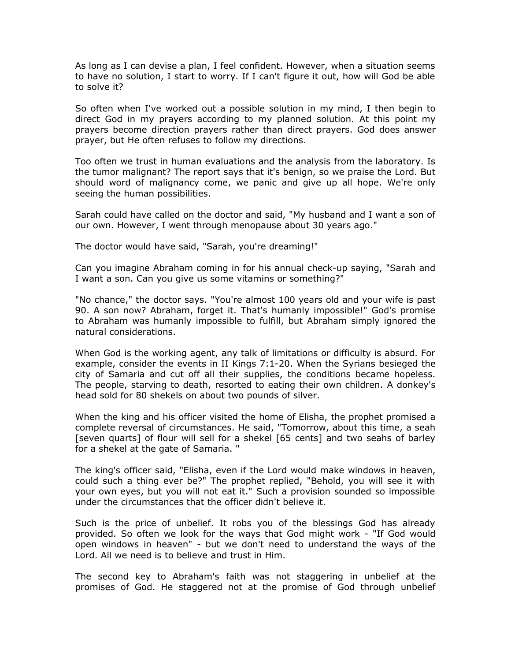As long as I can devise a plan, I feel confident. However, when a situation seems to have no solution, I start to worry. If I can't figure it out, how will God be able to solve it?

So often when I've worked out a possible solution in my mind, I then begin to direct God in my prayers according to my planned solution. At this point my prayers become direction prayers rather than direct prayers. God does answer prayer, but He often refuses to follow my directions.

Too often we trust in human evaluations and the analysis from the laboratory. Is the tumor malignant? The report says that it's benign, so we praise the Lord. But should word of malignancy come, we panic and give up all hope. We're only seeing the human possibilities.

Sarah could have called on the doctor and said, "My husband and I want a son of our own. However, I went through menopause about 30 years ago."

The doctor would have said, "Sarah, you're dreaming!"

Can you imagine Abraham coming in for his annual check-up saying, "Sarah and I want a son. Can you give us some vitamins or something?"

"No chance," the doctor says. "You're almost 100 years old and your wife is past 90. A son now? Abraham, forget it. That's humanly impossible!" God's promise to Abraham was humanly impossible to fulfill, but Abraham simply ignored the natural considerations.

When God is the working agent, any talk of limitations or difficulty is absurd. For example, consider the events in II Kings 7:1-20. When the Syrians besieged the city of Samaria and cut off all their supplies, the conditions became hopeless. The people, starving to death, resorted to eating their own children. A donkey's head sold for 80 shekels on about two pounds of silver.

When the king and his officer visited the home of Elisha, the prophet promised a complete reversal of circumstances. He said, "Tomorrow, about this time, a seah [seven quarts] of flour will sell for a shekel [65 cents] and two seahs of barley for a shekel at the gate of Samaria. "

The king's officer said, "Elisha, even if the Lord would make windows in heaven, could such a thing ever be?" The prophet replied, "Behold, you will see it with your own eyes, but you will not eat it." Such a provision sounded so impossible under the circumstances that the officer didn't believe it.

Such is the price of unbelief. It robs you of the blessings God has already provided. So often we look for the ways that God might work - "If God would open windows in heaven" - but we don't need to understand the ways of the Lord. All we need is to believe and trust in Him.

The second key to Abraham's faith was not staggering in unbelief at the promises of God. He staggered not at the promise of God through unbelief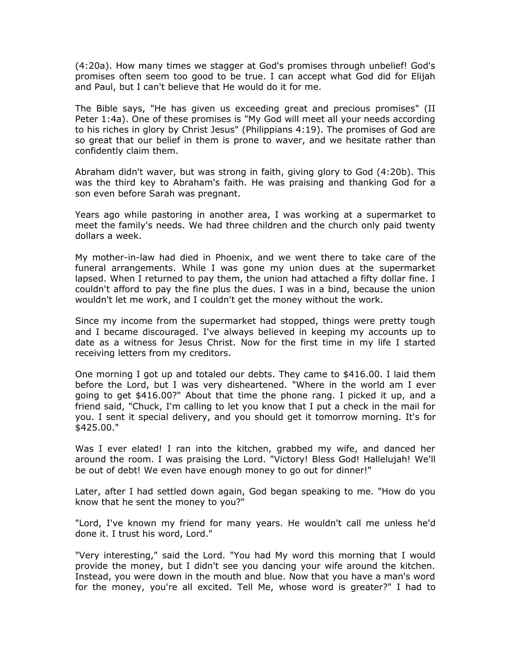(4:20a). How many times we stagger at God's promises through unbelief! God's promises often seem too good to be true. I can accept what God did for Elijah and Paul, but I can't believe that He would do it for me.

The Bible says, "He has given us exceeding great and precious promises" (II Peter 1:4a). One of these promises is "My God will meet all your needs according to his riches in glory by Christ Jesus" (Philippians 4:19). The promises of God are so great that our belief in them is prone to waver, and we hesitate rather than confidently claim them.

Abraham didn't waver, but was strong in faith, giving glory to God (4:20b). This was the third key to Abraham's faith. He was praising and thanking God for a son even before Sarah was pregnant.

Years ago while pastoring in another area, I was working at a supermarket to meet the family's needs. We had three children and the church only paid twenty dollars a week.

My mother-in-law had died in Phoenix, and we went there to take care of the funeral arrangements. While I was gone my union dues at the supermarket lapsed. When I returned to pay them, the union had attached a fifty dollar fine. I couldn't afford to pay the fine plus the dues. I was in a bind, because the union wouldn't let me work, and I couldn't get the money without the work.

Since my income from the supermarket had stopped, things were pretty tough and I became discouraged. I've always believed in keeping my accounts up to date as a witness for Jesus Christ. Now for the first time in my life I started receiving letters from my creditors.

One morning I got up and totaled our debts. They came to \$416.00. I laid them before the Lord, but I was very disheartened. "Where in the world am I ever going to get \$416.00?" About that time the phone rang. I picked it up, and a friend said, "Chuck, I'm calling to let you know that I put a check in the mail for you. I sent it special delivery, and you should get it tomorrow morning. It's for \$425.00."

Was I ever elated! I ran into the kitchen, grabbed my wife, and danced her around the room. I was praising the Lord. "Victory! Bless God! Hallelujah! We'll be out of debt! We even have enough money to go out for dinner!"

Later, after I had settled down again, God began speaking to me. "How do you know that he sent the money to you?"

"Lord, I've known my friend for many years. He wouldn't call me unless he'd done it. I trust his word, Lord."

"Very interesting," said the Lord. "You had My word this morning that I would provide the money, but I didn't see you dancing your wife around the kitchen. Instead, you were down in the mouth and blue. Now that you have a man's word for the money, you're all excited. Tell Me, whose word is greater?" I had to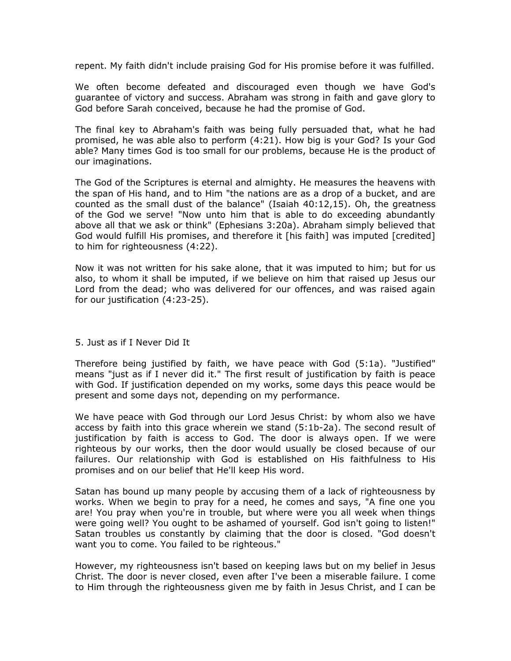repent. My faith didn't include praising God for His promise before it was fulfilled.

We often become defeated and discouraged even though we have God's guarantee of victory and success. Abraham was strong in faith and gave glory to God before Sarah conceived, because he had the promise of God.

The final key to Abraham's faith was being fully persuaded that, what he had promised, he was able also to perform (4:21). How big is your God? Is your God able? Many times God is too small for our problems, because He is the product of our imaginations.

The God of the Scriptures is eternal and almighty. He measures the heavens with the span of His hand, and to Him "the nations are as a drop of a bucket, and are counted as the small dust of the balance" (Isaiah 40:12,15). Oh, the greatness of the God we serve! "Now unto him that is able to do exceeding abundantly above all that we ask or think" (Ephesians 3:20a). Abraham simply believed that God would fulfill His promises, and therefore it [his faith] was imputed [credited] to him for righteousness (4:22).

Now it was not written for his sake alone, that it was imputed to him; but for us also, to whom it shall be imputed, if we believe on him that raised up Jesus our Lord from the dead; who was delivered for our offences, and was raised again for our justification (4:23-25).

#### 5. Just as if I Never Did It

Therefore being justified by faith, we have peace with God (5:1a). "Justified" means "just as if I never did it." The first result of justification by faith is peace with God. If justification depended on my works, some days this peace would be present and some days not, depending on my performance.

We have peace with God through our Lord Jesus Christ: by whom also we have access by faith into this grace wherein we stand (5:1b-2a). The second result of justification by faith is access to God. The door is always open. If we were righteous by our works, then the door would usually be closed because of our failures. Our relationship with God is established on His faithfulness to His promises and on our belief that He'll keep His word.

Satan has bound up many people by accusing them of a lack of righteousness by works. When we begin to pray for a need, he comes and says, "A fine one you are! You pray when you're in trouble, but where were you all week when things were going well? You ought to be ashamed of yourself. God isn't going to listen!" Satan troubles us constantly by claiming that the door is closed. "God doesn't want you to come. You failed to be righteous."

However, my righteousness isn't based on keeping laws but on my belief in Jesus Christ. The door is never closed, even after I've been a miserable failure. I come to Him through the righteousness given me by faith in Jesus Christ, and I can be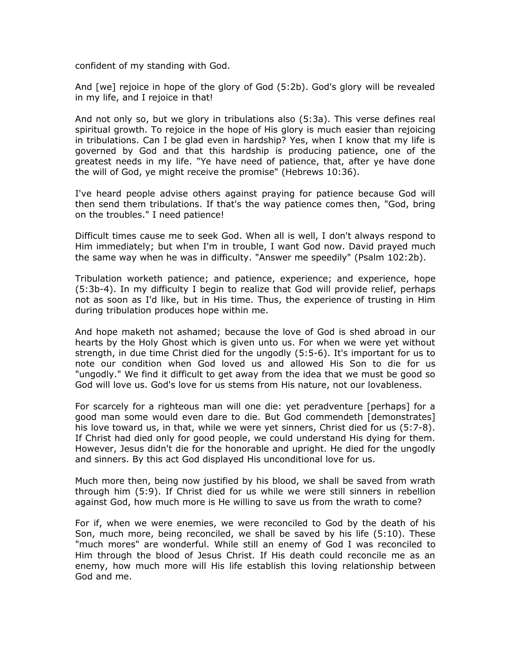confident of my standing with God.

And [we] rejoice in hope of the glory of God (5:2b). God's glory will be revealed in my life, and I rejoice in that!

And not only so, but we glory in tribulations also (5:3a). This verse defines real spiritual growth. To rejoice in the hope of His glory is much easier than rejoicing in tribulations. Can I be glad even in hardship? Yes, when I know that my life is governed by God and that this hardship is producing patience, one of the greatest needs in my life. "Ye have need of patience, that, after ye have done the will of God, ye might receive the promise" (Hebrews 10:36).

I've heard people advise others against praying for patience because God will then send them tribulations. If that's the way patience comes then, "God, bring on the troubles." I need patience!

Difficult times cause me to seek God. When all is well, I don't always respond to Him immediately; but when I'm in trouble, I want God now. David prayed much the same way when he was in difficulty. "Answer me speedily" (Psalm 102:2b).

Tribulation worketh patience; and patience, experience; and experience, hope (5:3b-4). In my difficulty I begin to realize that God will provide relief, perhaps not as soon as I'd like, but in His time. Thus, the experience of trusting in Him during tribulation produces hope within me.

And hope maketh not ashamed; because the love of God is shed abroad in our hearts by the Holy Ghost which is given unto us. For when we were yet without strength, in due time Christ died for the ungodly (5:5-6). It's important for us to note our condition when God loved us and allowed His Son to die for us "ungodly." We find it difficult to get away from the idea that we must be good so God will love us. God's love for us stems from His nature, not our lovableness.

For scarcely for a righteous man will one die: yet peradventure [perhaps] for a good man some would even dare to die. But God commendeth [demonstrates] his love toward us, in that, while we were yet sinners, Christ died for us (5:7-8). If Christ had died only for good people, we could understand His dying for them. However, Jesus didn't die for the honorable and upright. He died for the ungodly and sinners. By this act God displayed His unconditional love for us.

Much more then, being now justified by his blood, we shall be saved from wrath through him (5:9). If Christ died for us while we were still sinners in rebellion against God, how much more is He willing to save us from the wrath to come?

For if, when we were enemies, we were reconciled to God by the death of his Son, much more, being reconciled, we shall be saved by his life (5:10). These "much mores" are wonderful. While still an enemy of God I was reconciled to Him through the blood of Jesus Christ. If His death could reconcile me as an enemy, how much more will His life establish this loving relationship between God and me.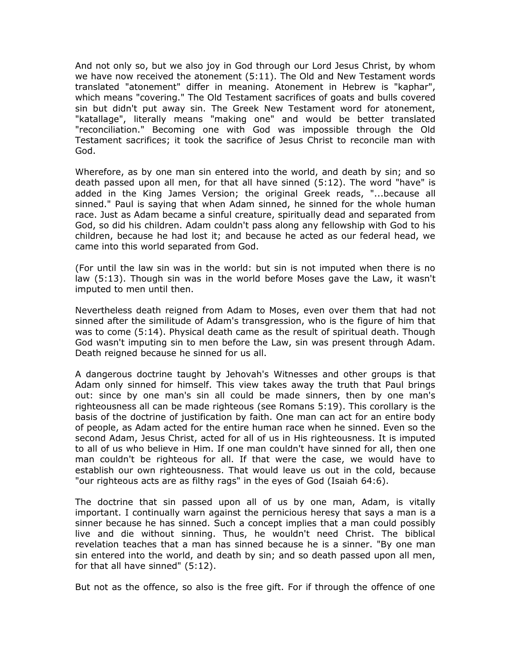And not only so, but we also joy in God through our Lord Jesus Christ, by whom we have now received the atonement (5:11). The Old and New Testament words translated "atonement" differ in meaning. Atonement in Hebrew is "kaphar", which means "covering." The Old Testament sacrifices of goats and bulls covered sin but didn't put away sin. The Greek New Testament word for atonement, "katallage", literally means "making one" and would be better translated "reconciliation." Becoming one with God was impossible through the Old Testament sacrifices; it took the sacrifice of Jesus Christ to reconcile man with God.

Wherefore, as by one man sin entered into the world, and death by sin; and so death passed upon all men, for that all have sinned (5:12). The word "have" is added in the King James Version; the original Greek reads, "...because all sinned." Paul is saying that when Adam sinned, he sinned for the whole human race. Just as Adam became a sinful creature, spiritually dead and separated from God, so did his children. Adam couldn't pass along any fellowship with God to his children, because he had lost it; and because he acted as our federal head, we came into this world separated from God.

(For until the law sin was in the world: but sin is not imputed when there is no law (5:13). Though sin was in the world before Moses gave the Law, it wasn't imputed to men until then.

Nevertheless death reigned from Adam to Moses, even over them that had not sinned after the similitude of Adam's transgression, who is the figure of him that was to come (5:14). Physical death came as the result of spiritual death. Though God wasn't imputing sin to men before the Law, sin was present through Adam. Death reigned because he sinned for us all.

A dangerous doctrine taught by Jehovah's Witnesses and other groups is that Adam only sinned for himself. This view takes away the truth that Paul brings out: since by one man's sin all could be made sinners, then by one man's righteousness all can be made righteous (see Romans 5:19). This corollary is the basis of the doctrine of justification by faith. One man can act for an entire body of people, as Adam acted for the entire human race when he sinned. Even so the second Adam, Jesus Christ, acted for all of us in His righteousness. It is imputed to all of us who believe in Him. If one man couldn't have sinned for all, then one man couldn't be righteous for all. If that were the case, we would have to establish our own righteousness. That would leave us out in the cold, because "our righteous acts are as filthy rags" in the eyes of God (Isaiah 64:6).

The doctrine that sin passed upon all of us by one man, Adam, is vitally important. I continually warn against the pernicious heresy that says a man is a sinner because he has sinned. Such a concept implies that a man could possibly live and die without sinning. Thus, he wouldn't need Christ. The biblical revelation teaches that a man has sinned because he is a sinner. "By one man sin entered into the world, and death by sin; and so death passed upon all men, for that all have sinned" (5:12).

But not as the offence, so also is the free gift. For if through the offence of one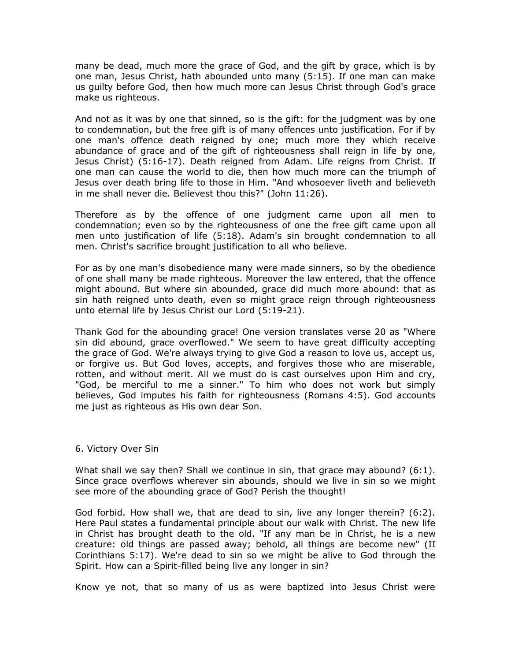many be dead, much more the grace of God, and the gift by grace, which is by one man, Jesus Christ, hath abounded unto many (5:15). If one man can make us guilty before God, then how much more can Jesus Christ through God's grace make us righteous.

And not as it was by one that sinned, so is the gift: for the judgment was by one to condemnation, but the free gift is of many offences unto justification. For if by one man's offence death reigned by one; much more they which receive abundance of grace and of the gift of righteousness shall reign in life by one, Jesus Christ) (5:16-17). Death reigned from Adam. Life reigns from Christ. If one man can cause the world to die, then how much more can the triumph of Jesus over death bring life to those in Him. "And whosoever liveth and believeth in me shall never die. Believest thou this?" (John 11:26).

Therefore as by the offence of one judgment came upon all men to condemnation; even so by the righteousness of one the free gift came upon all men unto justification of life (5:18). Adam's sin brought condemnation to all men. Christ's sacrifice brought justification to all who believe.

For as by one man's disobedience many were made sinners, so by the obedience of one shall many be made righteous. Moreover the law entered, that the offence might abound. But where sin abounded, grace did much more abound: that as sin hath reigned unto death, even so might grace reign through righteousness unto eternal life by Jesus Christ our Lord (5:19-21).

Thank God for the abounding grace! One version translates verse 20 as "Where sin did abound, grace overflowed." We seem to have great difficulty accepting the grace of God. We're always trying to give God a reason to love us, accept us, or forgive us. But God loves, accepts, and forgives those who are miserable, rotten, and without merit. All we must do is cast ourselves upon Him and cry, "God, be merciful to me a sinner." To him who does not work but simply believes, God imputes his faith for righteousness (Romans 4:5). God accounts me just as righteous as His own dear Son.

#### 6. Victory Over Sin

What shall we say then? Shall we continue in sin, that grace may abound?  $(6:1)$ . Since grace overflows wherever sin abounds, should we live in sin so we might see more of the abounding grace of God? Perish the thought!

God forbid. How shall we, that are dead to sin, live any longer therein? (6:2). Here Paul states a fundamental principle about our walk with Christ. The new life in Christ has brought death to the old. "If any man be in Christ, he is a new creature: old things are passed away; behold, all things are become new" (II Corinthians 5:17). We're dead to sin so we might be alive to God through the Spirit. How can a Spirit-filled being live any longer in sin?

Know ye not, that so many of us as were baptized into Jesus Christ were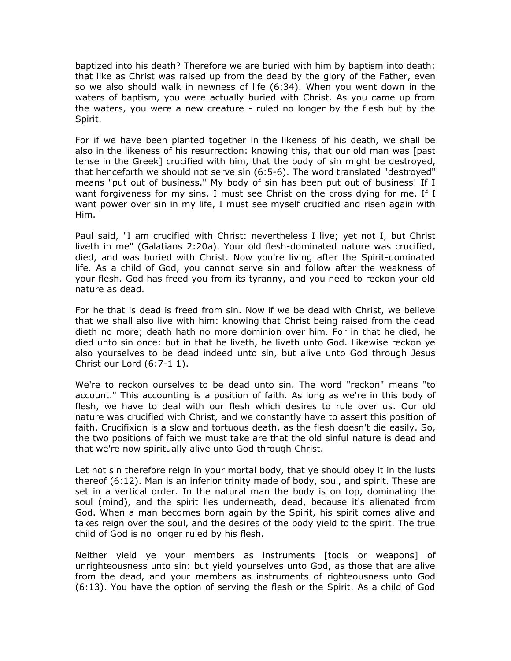baptized into his death? Therefore we are buried with him by baptism into death: that like as Christ was raised up from the dead by the glory of the Father, even so we also should walk in newness of life (6:34). When you went down in the waters of baptism, you were actually buried with Christ. As you came up from the waters, you were a new creature - ruled no longer by the flesh but by the Spirit.

For if we have been planted together in the likeness of his death, we shall be also in the likeness of his resurrection: knowing this, that our old man was [past tense in the Greek] crucified with him, that the body of sin might be destroyed, that henceforth we should not serve sin (6:5-6). The word translated "destroyed" means "put out of business." My body of sin has been put out of business! If I want forgiveness for my sins, I must see Christ on the cross dying for me. If I want power over sin in my life, I must see myself crucified and risen again with Him.

Paul said, "I am crucified with Christ: nevertheless I live; yet not I, but Christ liveth in me" (Galatians 2:20a). Your old flesh-dominated nature was crucified, died, and was buried with Christ. Now you're living after the Spirit-dominated life. As a child of God, you cannot serve sin and follow after the weakness of your flesh. God has freed you from its tyranny, and you need to reckon your old nature as dead.

For he that is dead is freed from sin. Now if we be dead with Christ, we believe that we shall also live with him: knowing that Christ being raised from the dead dieth no more; death hath no more dominion over him. For in that he died, he died unto sin once: but in that he liveth, he liveth unto God. Likewise reckon ye also yourselves to be dead indeed unto sin, but alive unto God through Jesus Christ our Lord (6:7-1 1).

We're to reckon ourselves to be dead unto sin. The word "reckon" means "to account." This accounting is a position of faith. As long as we're in this body of flesh, we have to deal with our flesh which desires to rule over us. Our old nature was crucified with Christ, and we constantly have to assert this position of faith. Crucifixion is a slow and tortuous death, as the flesh doesn't die easily. So, the two positions of faith we must take are that the old sinful nature is dead and that we're now spiritually alive unto God through Christ.

Let not sin therefore reign in your mortal body, that ye should obey it in the lusts thereof (6:12). Man is an inferior trinity made of body, soul, and spirit. These are set in a vertical order. In the natural man the body is on top, dominating the soul (mind), and the spirit lies underneath, dead, because it's alienated from God. When a man becomes born again by the Spirit, his spirit comes alive and takes reign over the soul, and the desires of the body yield to the spirit. The true child of God is no longer ruled by his flesh.

Neither yield ye your members as instruments [tools or weapons] of unrighteousness unto sin: but yield yourselves unto God, as those that are alive from the dead, and your members as instruments of righteousness unto God (6:13). You have the option of serving the flesh or the Spirit. As a child of God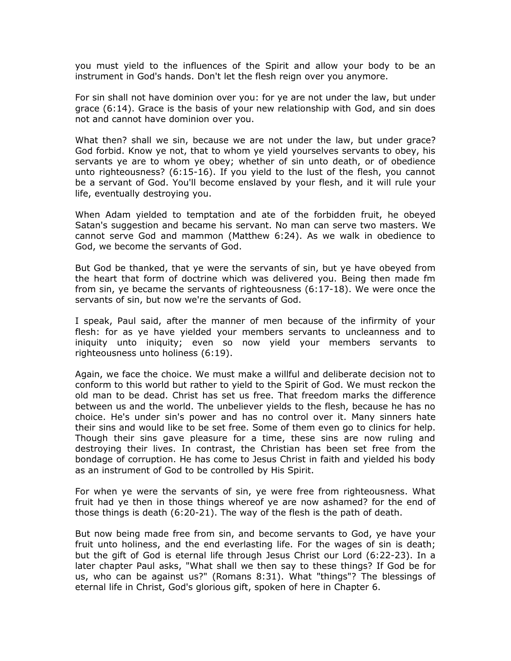you must yield to the influences of the Spirit and allow your body to be an instrument in God's hands. Don't let the flesh reign over you anymore.

For sin shall not have dominion over you: for ye are not under the law, but under grace (6:14). Grace is the basis of your new relationship with God, and sin does not and cannot have dominion over you.

What then? shall we sin, because we are not under the law, but under grace? God forbid. Know ye not, that to whom ye yield yourselves servants to obey, his servants ye are to whom ye obey; whether of sin unto death, or of obedience unto righteousness? (6:15-16). If you yield to the lust of the flesh, you cannot be a servant of God. You'll become enslaved by your flesh, and it will rule your life, eventually destroying you.

When Adam yielded to temptation and ate of the forbidden fruit, he obeyed Satan's suggestion and became his servant. No man can serve two masters. We cannot serve God and mammon (Matthew 6:24). As we walk in obedience to God, we become the servants of God.

But God be thanked, that ye were the servants of sin, but ye have obeyed from the heart that form of doctrine which was delivered you. Being then made fm from sin, ye became the servants of righteousness (6:17-18). We were once the servants of sin, but now we're the servants of God.

I speak, Paul said, after the manner of men because of the infirmity of your flesh: for as ye have yielded your members servants to uncleanness and to iniquity unto iniquity; even so now yield your members servants to righteousness unto holiness (6:19).

Again, we face the choice. We must make a willful and deliberate decision not to conform to this world but rather to yield to the Spirit of God. We must reckon the old man to be dead. Christ has set us free. That freedom marks the difference between us and the world. The unbeliever yields to the flesh, because he has no choice. He's under sin's power and has no control over it. Many sinners hate their sins and would like to be set free. Some of them even go to clinics for help. Though their sins gave pleasure for a time, these sins are now ruling and destroying their lives. In contrast, the Christian has been set free from the bondage of corruption. He has come to Jesus Christ in faith and yielded his body as an instrument of God to be controlled by His Spirit.

For when ye were the servants of sin, ye were free from righteousness. What fruit had ye then in those things whereof ye are now ashamed? for the end of those things is death (6:20-21). The way of the flesh is the path of death.

But now being made free from sin, and become servants to God, ye have your fruit unto holiness, and the end everlasting life. For the wages of sin is death; but the gift of God is eternal life through Jesus Christ our Lord (6:22-23). In a later chapter Paul asks, "What shall we then say to these things? If God be for us, who can be against us?" (Romans 8:31). What "things"? The blessings of eternal life in Christ, God's glorious gift, spoken of here in Chapter 6.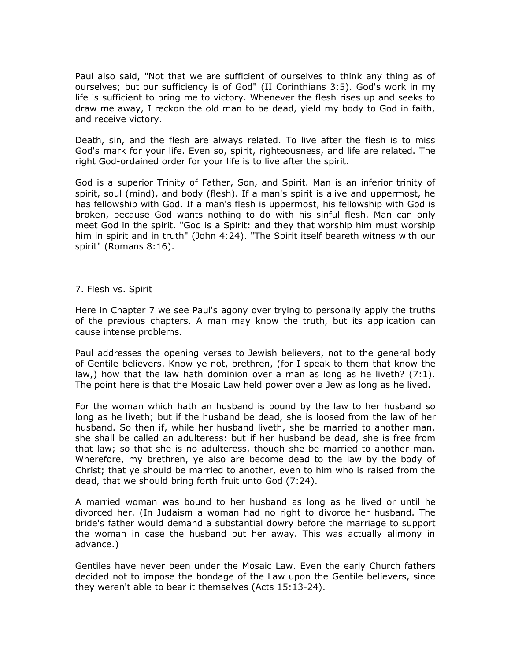Paul also said, "Not that we are sufficient of ourselves to think any thing as of ourselves; but our sufficiency is of God" (II Corinthians 3:5). God's work in my life is sufficient to bring me to victory. Whenever the flesh rises up and seeks to draw me away, I reckon the old man to be dead, yield my body to God in faith, and receive victory.

Death, sin, and the flesh are always related. To live after the flesh is to miss God's mark for your life. Even so, spirit, righteousness, and life are related. The right God-ordained order for your life is to live after the spirit.

God is a superior Trinity of Father, Son, and Spirit. Man is an inferior trinity of spirit, soul (mind), and body (flesh). If a man's spirit is alive and uppermost, he has fellowship with God. If a man's flesh is uppermost, his fellowship with God is broken, because God wants nothing to do with his sinful flesh. Man can only meet God in the spirit. "God is a Spirit: and they that worship him must worship him in spirit and in truth" (John 4:24). "The Spirit itself beareth witness with our spirit" (Romans 8:16).

#### 7. Flesh vs. Spirit

Here in Chapter 7 we see Paul's agony over trying to personally apply the truths of the previous chapters. A man may know the truth, but its application can cause intense problems.

Paul addresses the opening verses to Jewish believers, not to the general body of Gentile believers. Know ye not, brethren, (for I speak to them that know the law,) how that the law hath dominion over a man as long as he liveth? (7:1). The point here is that the Mosaic Law held power over a Jew as long as he lived.

For the woman which hath an husband is bound by the law to her husband so long as he liveth; but if the husband be dead, she is loosed from the law of her husband. So then if, while her husband liveth, she be married to another man, she shall be called an adulteress: but if her husband be dead, she is free from that law; so that she is no adulteress, though she be married to another man. Wherefore, my brethren, ye also are become dead to the law by the body of Christ; that ye should be married to another, even to him who is raised from the dead, that we should bring forth fruit unto God (7:24).

A married woman was bound to her husband as long as he lived or until he divorced her. (In Judaism a woman had no right to divorce her husband. The bride's father would demand a substantial dowry before the marriage to support the woman in case the husband put her away. This was actually alimony in advance.)

Gentiles have never been under the Mosaic Law. Even the early Church fathers decided not to impose the bondage of the Law upon the Gentile believers, since they weren't able to bear it themselves (Acts 15:13-24).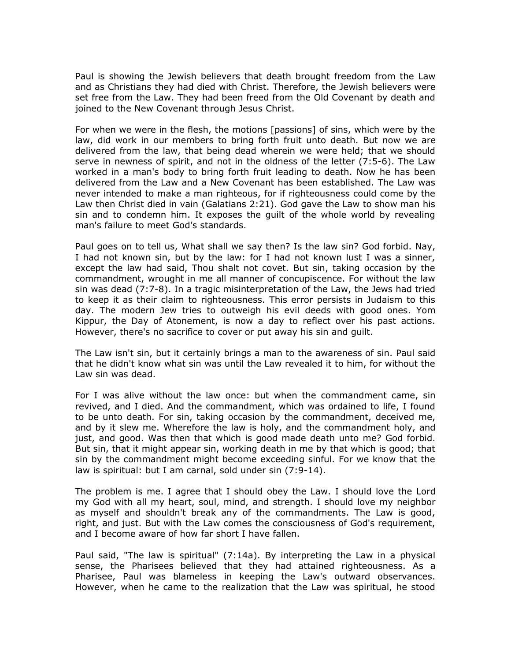Paul is showing the Jewish believers that death brought freedom from the Law and as Christians they had died with Christ. Therefore, the Jewish believers were set free from the Law. They had been freed from the Old Covenant by death and joined to the New Covenant through Jesus Christ.

For when we were in the flesh, the motions [passions] of sins, which were by the law, did work in our members to bring forth fruit unto death. But now we are delivered from the law, that being dead wherein we were held; that we should serve in newness of spirit, and not in the oldness of the letter (7:5-6). The Law worked in a man's body to bring forth fruit leading to death. Now he has been delivered from the Law and a New Covenant has been established. The Law was never intended to make a man righteous, for if righteousness could come by the Law then Christ died in vain (Galatians 2:21). God gave the Law to show man his sin and to condemn him. It exposes the guilt of the whole world by revealing man's failure to meet God's standards.

Paul goes on to tell us, What shall we say then? Is the law sin? God forbid. Nay, I had not known sin, but by the law: for I had not known lust I was a sinner, except the law had said, Thou shalt not covet. But sin, taking occasion by the commandment, wrought in me all manner of concupiscence. For without the law sin was dead (7:7-8). In a tragic misinterpretation of the Law, the Jews had tried to keep it as their claim to righteousness. This error persists in Judaism to this day. The modern Jew tries to outweigh his evil deeds with good ones. Yom Kippur, the Day of Atonement, is now a day to reflect over his past actions. However, there's no sacrifice to cover or put away his sin and guilt.

The Law isn't sin, but it certainly brings a man to the awareness of sin. Paul said that he didn't know what sin was until the Law revealed it to him, for without the Law sin was dead.

For I was alive without the law once: but when the commandment came, sin revived, and I died. And the commandment, which was ordained to life, I found to be unto death. For sin, taking occasion by the commandment, deceived me, and by it slew me. Wherefore the law is holy, and the commandment holy, and just, and good. Was then that which is good made death unto me? God forbid. But sin, that it might appear sin, working death in me by that which is good; that sin by the commandment might become exceeding sinful. For we know that the law is spiritual: but I am carnal, sold under sin (7:9-14).

The problem is me. I agree that I should obey the Law. I should love the Lord my God with all my heart, soul, mind, and strength. I should love my neighbor as myself and shouldn't break any of the commandments. The Law is good, right, and just. But with the Law comes the consciousness of God's requirement, and I become aware of how far short I have fallen.

Paul said, "The law is spiritual" (7:14a). By interpreting the Law in a physical sense, the Pharisees believed that they had attained righteousness. As a Pharisee, Paul was blameless in keeping the Law's outward observances. However, when he came to the realization that the Law was spiritual, he stood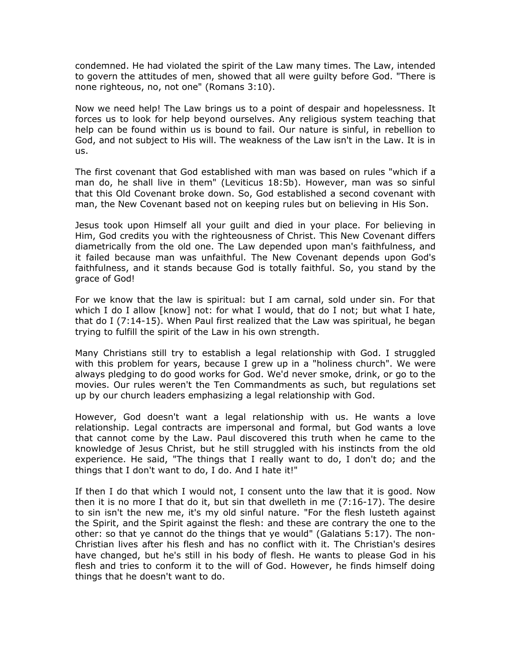condemned. He had violated the spirit of the Law many times. The Law, intended to govern the attitudes of men, showed that all were guilty before God. "There is none righteous, no, not one" (Romans 3:10).

Now we need help! The Law brings us to a point of despair and hopelessness. It forces us to look for help beyond ourselves. Any religious system teaching that help can be found within us is bound to fail. Our nature is sinful, in rebellion to God, and not subject to His will. The weakness of the Law isn't in the Law. It is in us.

The first covenant that God established with man was based on rules "which if a man do, he shall live in them" (Leviticus 18:5b). However, man was so sinful that this Old Covenant broke down. So, God established a second covenant with man, the New Covenant based not on keeping rules but on believing in His Son.

Jesus took upon Himself all your guilt and died in your place. For believing in Him, God credits you with the righteousness of Christ. This New Covenant differs diametrically from the old one. The Law depended upon man's faithfulness, and it failed because man was unfaithful. The New Covenant depends upon God's faithfulness, and it stands because God is totally faithful. So, you stand by the grace of God!

For we know that the law is spiritual: but I am carnal, sold under sin. For that which I do I allow [know] not: for what I would, that do I not; but what I hate, that do I (7:14-15). When Paul first realized that the Law was spiritual, he began trying to fulfill the spirit of the Law in his own strength.

Many Christians still try to establish a legal relationship with God. I struggled with this problem for years, because I grew up in a "holiness church". We were always pledging to do good works for God. We'd never smoke, drink, or go to the movies. Our rules weren't the Ten Commandments as such, but regulations set up by our church leaders emphasizing a legal relationship with God.

However, God doesn't want a legal relationship with us. He wants a love relationship. Legal contracts are impersonal and formal, but God wants a love that cannot come by the Law. Paul discovered this truth when he came to the knowledge of Jesus Christ, but he still struggled with his instincts from the old experience. He said, "The things that I really want to do, I don't do; and the things that I don't want to do, I do. And I hate it!"

If then I do that which I would not, I consent unto the law that it is good. Now then it is no more I that do it, but sin that dwelleth in me (7:16-17). The desire to sin isn't the new me, it's my old sinful nature. "For the flesh lusteth against the Spirit, and the Spirit against the flesh: and these are contrary the one to the other: so that ye cannot do the things that ye would" (Galatians 5:17). The non-Christian lives after his flesh and has no conflict with it. The Christian's desires have changed, but he's still in his body of flesh. He wants to please God in his flesh and tries to conform it to the will of God. However, he finds himself doing things that he doesn't want to do.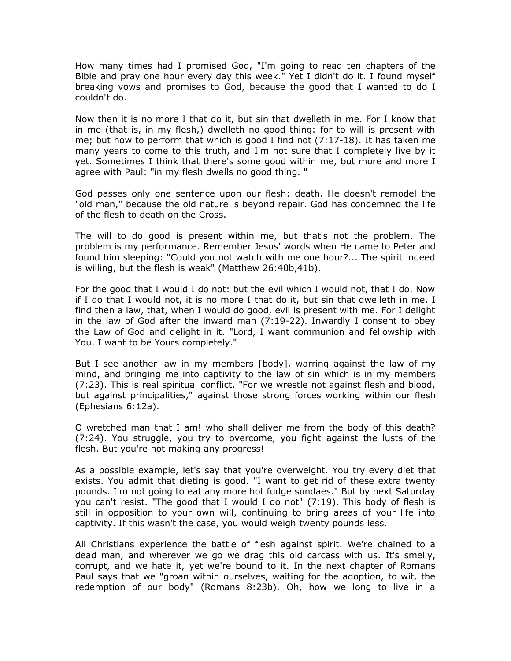How many times had I promised God, "I'm going to read ten chapters of the Bible and pray one hour every day this week." Yet I didn't do it. I found myself breaking vows and promises to God, because the good that I wanted to do I couldn't do.

Now then it is no more I that do it, but sin that dwelleth in me. For I know that in me (that is, in my flesh,) dwelleth no good thing: for to will is present with me; but how to perform that which is good I find not (7:17-18). It has taken me many years to come to this truth, and I'm not sure that I completely live by it yet. Sometimes I think that there's some good within me, but more and more I agree with Paul: "in my flesh dwells no good thing. "

God passes only one sentence upon our flesh: death. He doesn't remodel the "old man," because the old nature is beyond repair. God has condemned the life of the flesh to death on the Cross.

The will to do good is present within me, but that's not the problem. The problem is my performance. Remember Jesus' words when He came to Peter and found him sleeping: "Could you not watch with me one hour?... The spirit indeed is willing, but the flesh is weak" (Matthew 26:40b,41b).

For the good that I would I do not: but the evil which I would not, that I do. Now if I do that I would not, it is no more I that do it, but sin that dwelleth in me. I find then a law, that, when I would do good, evil is present with me. For I delight in the law of God after the inward man (7:19-22). Inwardly I consent to obey the Law of God and delight in it. "Lord, I want communion and fellowship with You. I want to be Yours completely."

But I see another law in my members [body], warring against the law of my mind, and bringing me into captivity to the law of sin which is in my members (7:23). This is real spiritual conflict. "For we wrestle not against flesh and blood, but against principalities," against those strong forces working within our flesh (Ephesians 6:12a).

O wretched man that I am! who shall deliver me from the body of this death? (7:24). You struggle, you try to overcome, you fight against the lusts of the flesh. But you're not making any progress!

As a possible example, let's say that you're overweight. You try every diet that exists. You admit that dieting is good. "I want to get rid of these extra twenty pounds. I'm not going to eat any more hot fudge sundaes." But by next Saturday you can't resist. "The good that I would I do not" (7:19). This body of flesh is still in opposition to your own will, continuing to bring areas of your life into captivity. If this wasn't the case, you would weigh twenty pounds less.

All Christians experience the battle of flesh against spirit. We're chained to a dead man, and wherever we go we drag this old carcass with us. It's smelly, corrupt, and we hate it, yet we're bound to it. In the next chapter of Romans Paul says that we "groan within ourselves, waiting for the adoption, to wit, the redemption of our body" (Romans 8:23b). Oh, how we long to live in a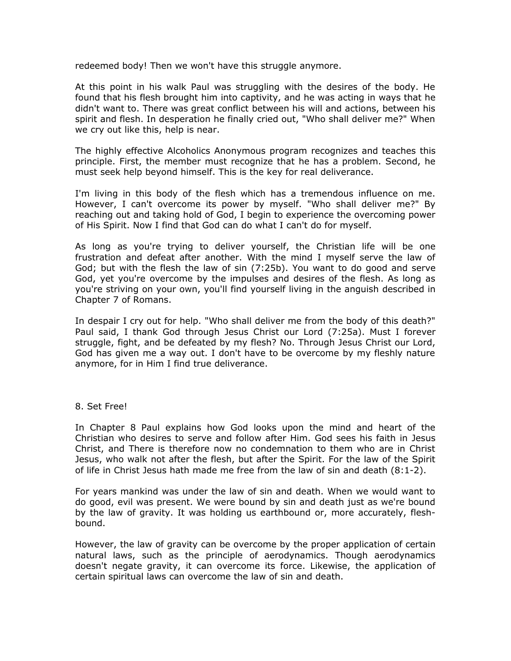redeemed body! Then we won't have this struggle anymore.

At this point in his walk Paul was struggling with the desires of the body. He found that his flesh brought him into captivity, and he was acting in ways that he didn't want to. There was great conflict between his will and actions, between his spirit and flesh. In desperation he finally cried out, "Who shall deliver me?" When we cry out like this, help is near.

The highly effective Alcoholics Anonymous program recognizes and teaches this principle. First, the member must recognize that he has a problem. Second, he must seek help beyond himself. This is the key for real deliverance.

I'm living in this body of the flesh which has a tremendous influence on me. However, I can't overcome its power by myself. "Who shall deliver me?" By reaching out and taking hold of God, I begin to experience the overcoming power of His Spirit. Now I find that God can do what I can't do for myself.

As long as you're trying to deliver yourself, the Christian life will be one frustration and defeat after another. With the mind I myself serve the law of God; but with the flesh the law of sin (7:25b). You want to do good and serve God, yet you're overcome by the impulses and desires of the flesh. As long as you're striving on your own, you'll find yourself living in the anguish described in Chapter 7 of Romans.

In despair I cry out for help. "Who shall deliver me from the body of this death?" Paul said, I thank God through Jesus Christ our Lord (7:25a). Must I forever struggle, fight, and be defeated by my flesh? No. Through Jesus Christ our Lord, God has given me a way out. I don't have to be overcome by my fleshly nature anymore, for in Him I find true deliverance.

#### 8. Set Free!

In Chapter 8 Paul explains how God looks upon the mind and heart of the Christian who desires to serve and follow after Him. God sees his faith in Jesus Christ, and There is therefore now no condemnation to them who are in Christ Jesus, who walk not after the flesh, but after the Spirit. For the law of the Spirit of life in Christ Jesus hath made me free from the law of sin and death (8:1-2).

For years mankind was under the law of sin and death. When we would want to do good, evil was present. We were bound by sin and death just as we're bound by the law of gravity. It was holding us earthbound or, more accurately, fleshbound.

However, the law of gravity can be overcome by the proper application of certain natural laws, such as the principle of aerodynamics. Though aerodynamics doesn't negate gravity, it can overcome its force. Likewise, the application of certain spiritual laws can overcome the law of sin and death.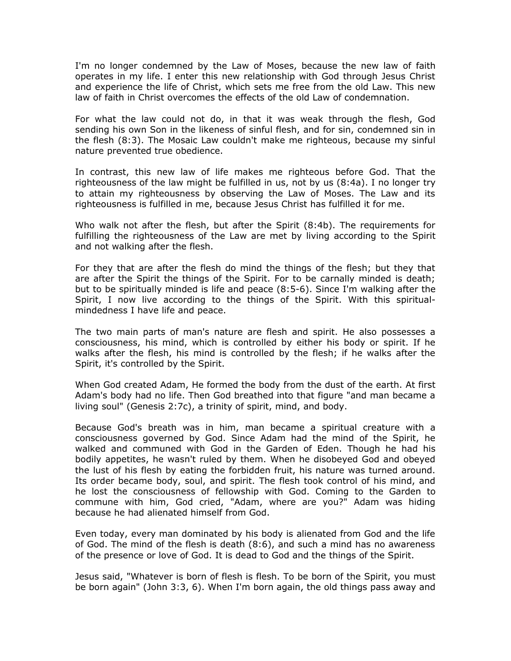I'm no longer condemned by the Law of Moses, because the new law of faith operates in my life. I enter this new relationship with God through Jesus Christ and experience the life of Christ, which sets me free from the old Law. This new law of faith in Christ overcomes the effects of the old Law of condemnation.

For what the law could not do, in that it was weak through the flesh, God sending his own Son in the likeness of sinful flesh, and for sin, condemned sin in the flesh (8:3). The Mosaic Law couldn't make me righteous, because my sinful nature prevented true obedience.

In contrast, this new law of life makes me righteous before God. That the righteousness of the law might be fulfilled in us, not by us (8:4a). I no longer try to attain my righteousness by observing the Law of Moses. The Law and its righteousness is fulfilled in me, because Jesus Christ has fulfilled it for me.

Who walk not after the flesh, but after the Spirit (8:4b). The requirements for fulfilling the righteousness of the Law are met by living according to the Spirit and not walking after the flesh.

For they that are after the flesh do mind the things of the flesh; but they that are after the Spirit the things of the Spirit. For to be carnally minded is death; but to be spiritually minded is life and peace (8:5-6). Since I'm walking after the Spirit, I now live according to the things of the Spirit. With this spiritualmindedness I have life and peace.

The two main parts of man's nature are flesh and spirit. He also possesses a consciousness, his mind, which is controlled by either his body or spirit. If he walks after the flesh, his mind is controlled by the flesh; if he walks after the Spirit, it's controlled by the Spirit.

When God created Adam, He formed the body from the dust of the earth. At first Adam's body had no life. Then God breathed into that figure "and man became a living soul" (Genesis 2:7c), a trinity of spirit, mind, and body.

Because God's breath was in him, man became a spiritual creature with a consciousness governed by God. Since Adam had the mind of the Spirit, he walked and communed with God in the Garden of Eden. Though he had his bodily appetites, he wasn't ruled by them. When he disobeyed God and obeyed the lust of his flesh by eating the forbidden fruit, his nature was turned around. Its order became body, soul, and spirit. The flesh took control of his mind, and he lost the consciousness of fellowship with God. Coming to the Garden to commune with him, God cried, "Adam, where are you?" Adam was hiding because he had alienated himself from God.

Even today, every man dominated by his body is alienated from God and the life of God. The mind of the flesh is death (8:6), and such a mind has no awareness of the presence or love of God. It is dead to God and the things of the Spirit.

Jesus said, "Whatever is born of flesh is flesh. To be born of the Spirit, you must be born again" (John 3:3, 6). When I'm born again, the old things pass away and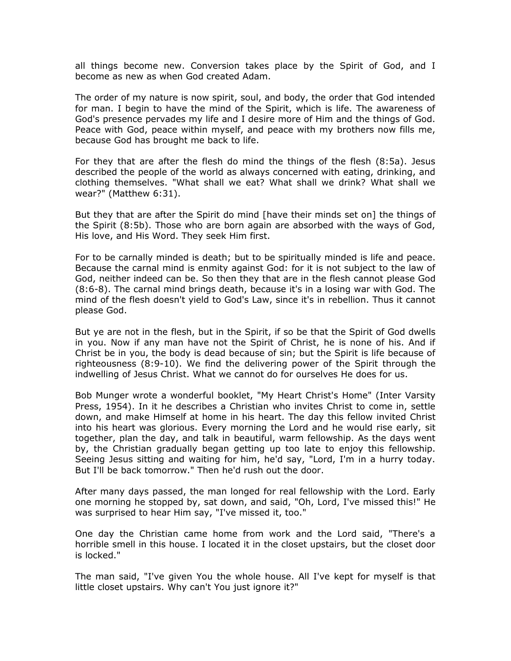all things become new. Conversion takes place by the Spirit of God, and I become as new as when God created Adam.

The order of my nature is now spirit, soul, and body, the order that God intended for man. I begin to have the mind of the Spirit, which is life. The awareness of God's presence pervades my life and I desire more of Him and the things of God. Peace with God, peace within myself, and peace with my brothers now fills me, because God has brought me back to life.

For they that are after the flesh do mind the things of the flesh (8:5a). Jesus described the people of the world as always concerned with eating, drinking, and clothing themselves. "What shall we eat? What shall we drink? What shall we wear?" (Matthew 6:31).

But they that are after the Spirit do mind [have their minds set on] the things of the Spirit (8:5b). Those who are born again are absorbed with the ways of God, His love, and His Word. They seek Him first.

For to be carnally minded is death; but to be spiritually minded is life and peace. Because the carnal mind is enmity against God: for it is not subject to the law of God, neither indeed can be. So then they that are in the flesh cannot please God (8:6-8). The carnal mind brings death, because it's in a losing war with God. The mind of the flesh doesn't yield to God's Law, since it's in rebellion. Thus it cannot please God.

But ye are not in the flesh, but in the Spirit, if so be that the Spirit of God dwells in you. Now if any man have not the Spirit of Christ, he is none of his. And if Christ be in you, the body is dead because of sin; but the Spirit is life because of righteousness (8:9-10). We find the delivering power of the Spirit through the indwelling of Jesus Christ. What we cannot do for ourselves He does for us.

Bob Munger wrote a wonderful booklet, "My Heart Christ's Home" (Inter Varsity Press, 1954). In it he describes a Christian who invites Christ to come in, settle down, and make Himself at home in his heart. The day this fellow invited Christ into his heart was glorious. Every morning the Lord and he would rise early, sit together, plan the day, and talk in beautiful, warm fellowship. As the days went by, the Christian gradually began getting up too late to enjoy this fellowship. Seeing Jesus sitting and waiting for him, he'd say, "Lord, I'm in a hurry today. But I'll be back tomorrow." Then he'd rush out the door.

After many days passed, the man longed for real fellowship with the Lord. Early one morning he stopped by, sat down, and said, "Oh, Lord, I've missed this!" He was surprised to hear Him say, "I've missed it, too."

One day the Christian came home from work and the Lord said, "There's a horrible smell in this house. I located it in the closet upstairs, but the closet door is locked."

The man said, "I've given You the whole house. All I've kept for myself is that little closet upstairs. Why can't You just ignore it?"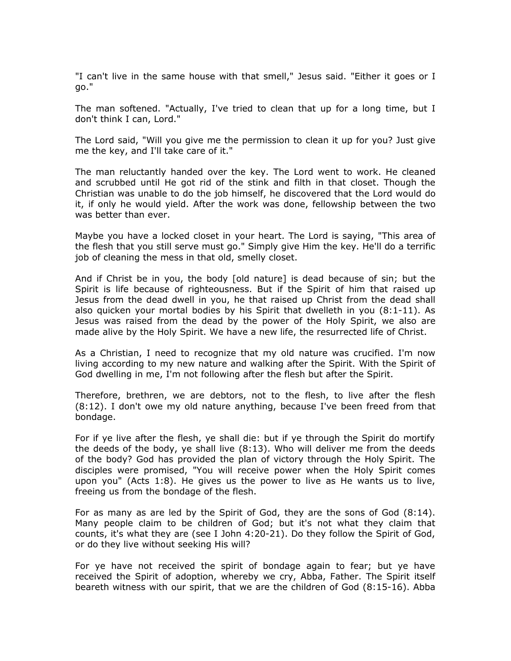"I can't live in the same house with that smell," Jesus said. "Either it goes or I go."

The man softened. "Actually, I've tried to clean that up for a long time, but I don't think I can, Lord."

The Lord said, "Will you give me the permission to clean it up for you? Just give me the key, and I'll take care of it."

The man reluctantly handed over the key. The Lord went to work. He cleaned and scrubbed until He got rid of the stink and filth in that closet. Though the Christian was unable to do the job himself, he discovered that the Lord would do it, if only he would yield. After the work was done, fellowship between the two was better than ever.

Maybe you have a locked closet in your heart. The Lord is saying, "This area of the flesh that you still serve must go." Simply give Him the key. He'll do a terrific job of cleaning the mess in that old, smelly closet.

And if Christ be in you, the body [old nature] is dead because of sin; but the Spirit is life because of righteousness. But if the Spirit of him that raised up Jesus from the dead dwell in you, he that raised up Christ from the dead shall also quicken your mortal bodies by his Spirit that dwelleth in you (8:1-11). As Jesus was raised from the dead by the power of the Holy Spirit, we also are made alive by the Holy Spirit. We have a new life, the resurrected life of Christ.

As a Christian, I need to recognize that my old nature was crucified. I'm now living according to my new nature and walking after the Spirit. With the Spirit of God dwelling in me, I'm not following after the flesh but after the Spirit.

Therefore, brethren, we are debtors, not to the flesh, to live after the flesh (8:12). I don't owe my old nature anything, because I've been freed from that bondage.

For if ye live after the flesh, ye shall die: but if ye through the Spirit do mortify the deeds of the body, ye shall live (8:13). Who will deliver me from the deeds of the body? God has provided the plan of victory through the Holy Spirit. The disciples were promised, "You will receive power when the Holy Spirit comes upon you" (Acts 1:8). He gives us the power to live as He wants us to live, freeing us from the bondage of the flesh.

For as many as are led by the Spirit of God, they are the sons of God (8:14). Many people claim to be children of God; but it's not what they claim that counts, it's what they are (see I John 4:20-21). Do they follow the Spirit of God, or do they live without seeking His will?

For ye have not received the spirit of bondage again to fear; but ye have received the Spirit of adoption, whereby we cry, Abba, Father. The Spirit itself beareth witness with our spirit, that we are the children of God (8:15-16). Abba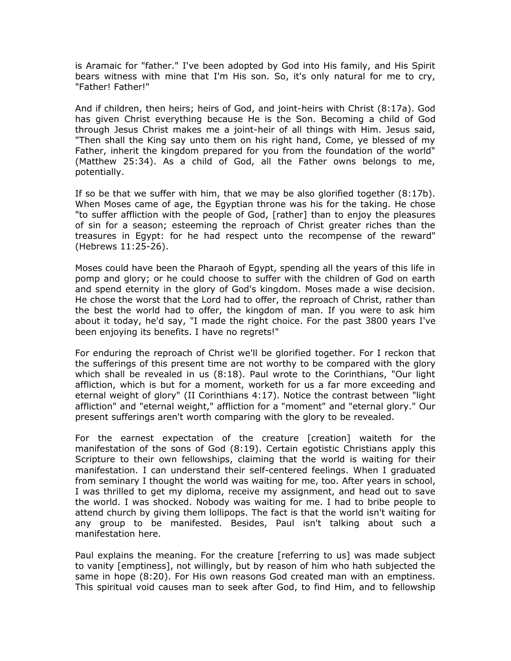is Aramaic for "father." I've been adopted by God into His family, and His Spirit bears witness with mine that I'm His son. So, it's only natural for me to cry, "Father! Father!"

And if children, then heirs; heirs of God, and joint-heirs with Christ (8:17a). God has given Christ everything because He is the Son. Becoming a child of God through Jesus Christ makes me a joint-heir of all things with Him. Jesus said, "Then shall the King say unto them on his right hand, Come, ye blessed of my Father, inherit the kingdom prepared for you from the foundation of the world" (Matthew 25:34). As a child of God, all the Father owns belongs to me, potentially.

If so be that we suffer with him, that we may be also glorified together (8:17b). When Moses came of age, the Egyptian throne was his for the taking. He chose "to suffer affliction with the people of God, [rather] than to enjoy the pleasures of sin for a season; esteeming the reproach of Christ greater riches than the treasures in Egypt: for he had respect unto the recompense of the reward" (Hebrews 11:25-26).

Moses could have been the Pharaoh of Egypt, spending all the years of this life in pomp and glory; or he could choose to suffer with the children of God on earth and spend eternity in the glory of God's kingdom. Moses made a wise decision. He chose the worst that the Lord had to offer, the reproach of Christ, rather than the best the world had to offer, the kingdom of man. If you were to ask him about it today, he'd say, "I made the right choice. For the past 3800 years I've been enjoying its benefits. I have no regrets!"

For enduring the reproach of Christ we'll be glorified together. For I reckon that the sufferings of this present time are not worthy to be compared with the glory which shall be revealed in us (8:18). Paul wrote to the Corinthians, "Our light affliction, which is but for a moment, worketh for us a far more exceeding and eternal weight of glory" (II Corinthians 4:17). Notice the contrast between "light affliction" and "eternal weight," affliction for a "moment" and "eternal glory." Our present sufferings aren't worth comparing with the glory to be revealed.

For the earnest expectation of the creature [creation] waiteth for the manifestation of the sons of God (8:19). Certain egotistic Christians apply this Scripture to their own fellowships, claiming that the world is waiting for their manifestation. I can understand their self-centered feelings. When I graduated from seminary I thought the world was waiting for me, too. After years in school, I was thrilled to get my diploma, receive my assignment, and head out to save the world. I was shocked. Nobody was waiting for me. I had to bribe people to attend church by giving them lollipops. The fact is that the world isn't waiting for any group to be manifested. Besides, Paul isn't talking about such a manifestation here.

Paul explains the meaning. For the creature [referring to us] was made subject to vanity [emptiness], not willingly, but by reason of him who hath subjected the same in hope (8:20). For His own reasons God created man with an emptiness. This spiritual void causes man to seek after God, to find Him, and to fellowship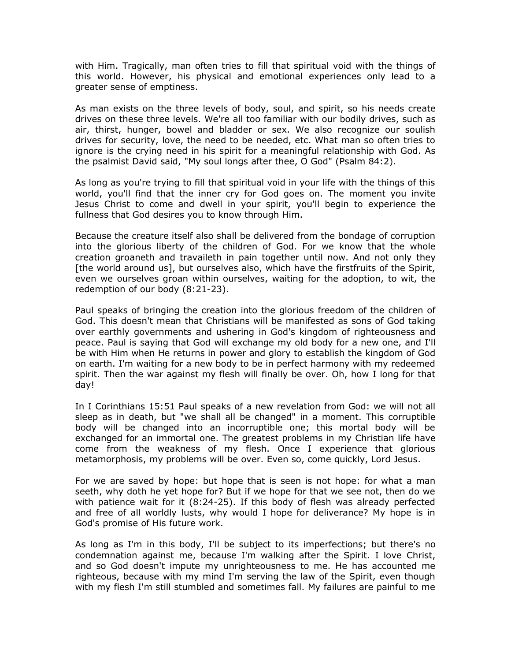with Him. Tragically, man often tries to fill that spiritual void with the things of this world. However, his physical and emotional experiences only lead to a greater sense of emptiness.

As man exists on the three levels of body, soul, and spirit, so his needs create drives on these three levels. We're all too familiar with our bodily drives, such as air, thirst, hunger, bowel and bladder or sex. We also recognize our soulish drives for security, love, the need to be needed, etc. What man so often tries to ignore is the crying need in his spirit for a meaningful relationship with God. As the psalmist David said, "My soul longs after thee, O God" (Psalm 84:2).

As long as you're trying to fill that spiritual void in your life with the things of this world, you'll find that the inner cry for God goes on. The moment you invite Jesus Christ to come and dwell in your spirit, you'll begin to experience the fullness that God desires you to know through Him.

Because the creature itself also shall be delivered from the bondage of corruption into the glorious liberty of the children of God. For we know that the whole creation groaneth and travaileth in pain together until now. And not only they [the world around us], but ourselves also, which have the firstfruits of the Spirit, even we ourselves groan within ourselves, waiting for the adoption, to wit, the redemption of our body (8:21-23).

Paul speaks of bringing the creation into the glorious freedom of the children of God. This doesn't mean that Christians will be manifested as sons of God taking over earthly governments and ushering in God's kingdom of righteousness and peace. Paul is saying that God will exchange my old body for a new one, and I'll be with Him when He returns in power and glory to establish the kingdom of God on earth. I'm waiting for a new body to be in perfect harmony with my redeemed spirit. Then the war against my flesh will finally be over. Oh, how I long for that day!

In I Corinthians 15:51 Paul speaks of a new revelation from God: we will not all sleep as in death, but "we shall all be changed" in a moment. This corruptible body will be changed into an incorruptible one; this mortal body will be exchanged for an immortal one. The greatest problems in my Christian life have come from the weakness of my flesh. Once I experience that glorious metamorphosis, my problems will be over. Even so, come quickly, Lord Jesus.

For we are saved by hope: but hope that is seen is not hope: for what a man seeth, why doth he yet hope for? But if we hope for that we see not, then do we with patience wait for it (8:24-25). If this body of flesh was already perfected and free of all worldly lusts, why would I hope for deliverance? My hope is in God's promise of His future work.

As long as I'm in this body, I'll be subject to its imperfections; but there's no condemnation against me, because I'm walking after the Spirit. I love Christ, and so God doesn't impute my unrighteousness to me. He has accounted me righteous, because with my mind I'm serving the law of the Spirit, even though with my flesh I'm still stumbled and sometimes fall. My failures are painful to me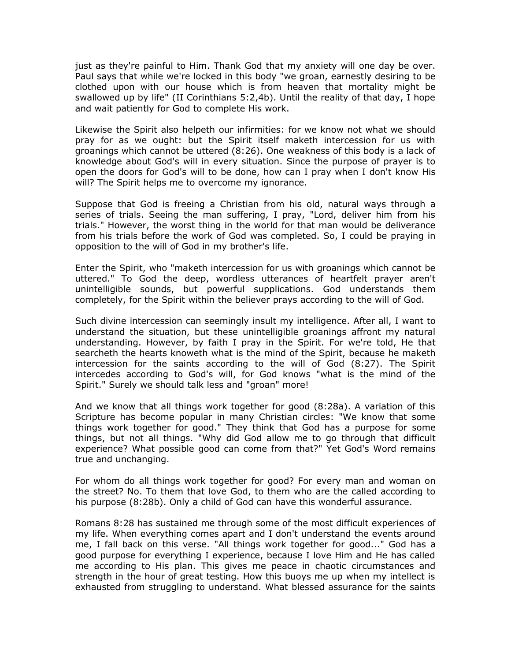just as they're painful to Him. Thank God that my anxiety will one day be over. Paul says that while we're locked in this body "we groan, earnestly desiring to be clothed upon with our house which is from heaven that mortality might be swallowed up by life" (II Corinthians 5:2,4b). Until the reality of that day, I hope and wait patiently for God to complete His work.

Likewise the Spirit also helpeth our infirmities: for we know not what we should pray for as we ought: but the Spirit itself maketh intercession for us with groanings which cannot be uttered (8:26). One weakness of this body is a lack of knowledge about God's will in every situation. Since the purpose of prayer is to open the doors for God's will to be done, how can I pray when I don't know His will? The Spirit helps me to overcome my ignorance.

Suppose that God is freeing a Christian from his old, natural ways through a series of trials. Seeing the man suffering, I pray, "Lord, deliver him from his trials." However, the worst thing in the world for that man would be deliverance from his trials before the work of God was completed. So, I could be praying in opposition to the will of God in my brother's life.

Enter the Spirit, who "maketh intercession for us with groanings which cannot be uttered." To God the deep, wordless utterances of heartfelt prayer aren't unintelligible sounds, but powerful supplications. God understands them completely, for the Spirit within the believer prays according to the will of God.

Such divine intercession can seemingly insult my intelligence. After all, I want to understand the situation, but these unintelligible groanings affront my natural understanding. However, by faith I pray in the Spirit. For we're told, He that searcheth the hearts knoweth what is the mind of the Spirit, because he maketh intercession for the saints according to the will of God (8:27). The Spirit intercedes according to God's will, for God knows "what is the mind of the Spirit." Surely we should talk less and "groan" more!

And we know that all things work together for good (8:28a). A variation of this Scripture has become popular in many Christian circles: "We know that some things work together for good." They think that God has a purpose for some things, but not all things. "Why did God allow me to go through that difficult experience? What possible good can come from that?" Yet God's Word remains true and unchanging.

For whom do all things work together for good? For every man and woman on the street? No. To them that love God, to them who are the called according to his purpose (8:28b). Only a child of God can have this wonderful assurance.

Romans 8:28 has sustained me through some of the most difficult experiences of my life. When everything comes apart and I don't understand the events around me, I fall back on this verse. "All things work together for good..." God has a good purpose for everything I experience, because I love Him and He has called me according to His plan. This gives me peace in chaotic circumstances and strength in the hour of great testing. How this buoys me up when my intellect is exhausted from struggling to understand. What blessed assurance for the saints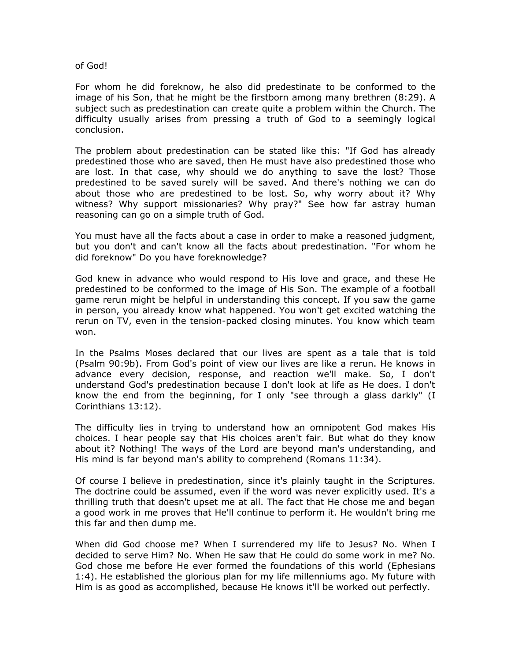### of God!

For whom he did foreknow, he also did predestinate to be conformed to the image of his Son, that he might be the firstborn among many brethren (8:29). A subject such as predestination can create quite a problem within the Church. The difficulty usually arises from pressing a truth of God to a seemingly logical conclusion.

The problem about predestination can be stated like this: "If God has already predestined those who are saved, then He must have also predestined those who are lost. In that case, why should we do anything to save the lost? Those predestined to be saved surely will be saved. And there's nothing we can do about those who are predestined to be lost. So, why worry about it? Why witness? Why support missionaries? Why pray?" See how far astray human reasoning can go on a simple truth of God.

You must have all the facts about a case in order to make a reasoned judgment, but you don't and can't know all the facts about predestination. "For whom he did foreknow" Do you have foreknowledge?

God knew in advance who would respond to His love and grace, and these He predestined to be conformed to the image of His Son. The example of a football game rerun might be helpful in understanding this concept. If you saw the game in person, you already know what happened. You won't get excited watching the rerun on TV, even in the tension-packed closing minutes. You know which team won.

In the Psalms Moses declared that our lives are spent as a tale that is told (Psalm 90:9b). From God's point of view our lives are like a rerun. He knows in advance every decision, response, and reaction we'll make. So, I don't understand God's predestination because I don't look at life as He does. I don't know the end from the beginning, for I only "see through a glass darkly" (I Corinthians 13:12).

The difficulty lies in trying to understand how an omnipotent God makes His choices. I hear people say that His choices aren't fair. But what do they know about it? Nothing! The ways of the Lord are beyond man's understanding, and His mind is far beyond man's ability to comprehend (Romans 11:34).

Of course I believe in predestination, since it's plainly taught in the Scriptures. The doctrine could be assumed, even if the word was never explicitly used. It's a thrilling truth that doesn't upset me at all. The fact that He chose me and began a good work in me proves that He'll continue to perform it. He wouldn't bring me this far and then dump me.

When did God choose me? When I surrendered my life to Jesus? No. When I decided to serve Him? No. When He saw that He could do some work in me? No. God chose me before He ever formed the foundations of this world (Ephesians 1:4). He established the glorious plan for my life millenniums ago. My future with Him is as good as accomplished, because He knows it'll be worked out perfectly.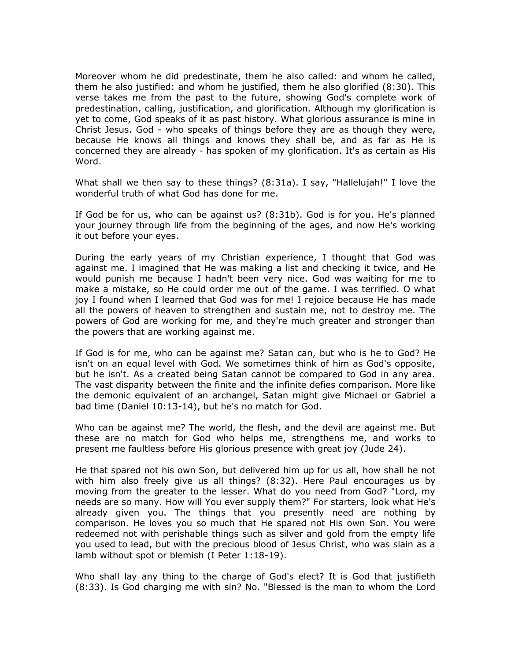Moreover whom he did predestinate, them he also called: and whom he called, them he also justified: and whom he justified, them he also glorified (8:30). This verse takes me from the past to the future, showing God's complete work of predestination, calling, justification, and glorification. Although my glorification is yet to come, God speaks of it as past history. What glorious assurance is mine in Christ Jesus. God - who speaks of things before they are as though they were, because He knows all things and knows they shall be, and as far as He is concerned they are already - has spoken of my glorification. It's as certain as His Word.

What shall we then say to these things? (8:31a). I say, "Hallelujah!" I love the wonderful truth of what God has done for me.

If God be for us, who can be against us? (8:31b). God is for you. He's planned your journey through life from the beginning of the ages, and now He's working it out before your eyes.

During the early years of my Christian experience, I thought that God was against me. I imagined that He was making a list and checking it twice, and He would punish me because I hadn't been very nice. God was waiting for me to make a mistake, so He could order me out of the game. I was terrified. O what joy I found when I learned that God was for me! I rejoice because He has made all the powers of heaven to strengthen and sustain me, not to destroy me. The powers of God are working for me, and they're much greater and stronger than the powers that are working against me.

If God is for me, who can be against me? Satan can, but who is he to God? He isn't on an equal level with God. We sometimes think of him as God's opposite, but he isn't. As a created being Satan cannot be compared to God in any area. The vast disparity between the finite and the infinite defies comparison. More like the demonic equivalent of an archangel, Satan might give Michael or Gabriel a bad time (Daniel 10:13-14), but he's no match for God.

Who can be against me? The world, the flesh, and the devil are against me. But these are no match for God who helps me, strengthens me, and works to present me faultless before His glorious presence with great joy (Jude 24).

He that spared not his own Son, but delivered him up for us all, how shall he not with him also freely give us all things? (8:32). Here Paul encourages us by moving from the greater to the lesser. What do you need from God? "Lord, my needs are so many. How will You ever supply them?" For starters, look what He's already given you. The things that you presently need are nothing by comparison. He loves you so much that He spared not His own Son. You were redeemed not with perishable things such as silver and gold from the empty life you used to lead, but with the precious blood of Jesus Christ, who was slain as a lamb without spot or blemish (I Peter 1:18-19).

Who shall lay any thing to the charge of God's elect? It is God that justifieth (8:33). Is God charging me with sin? No. "Blessed is the man to whom the Lord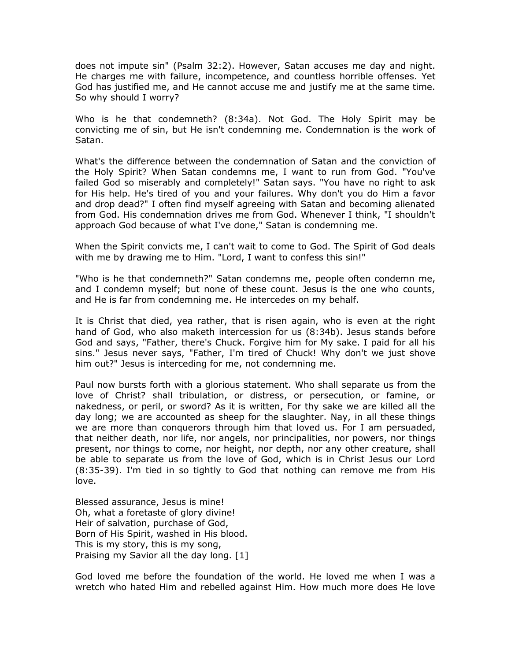does not impute sin" (Psalm 32:2). However, Satan accuses me day and night. He charges me with failure, incompetence, and countless horrible offenses. Yet God has justified me, and He cannot accuse me and justify me at the same time. So why should I worry?

Who is he that condemneth? (8:34a). Not God. The Holy Spirit may be convicting me of sin, but He isn't condemning me. Condemnation is the work of Satan.

What's the difference between the condemnation of Satan and the conviction of the Holy Spirit? When Satan condemns me, I want to run from God. "You've failed God so miserably and completely!" Satan says. "You have no right to ask for His help. He's tired of you and your failures. Why don't you do Him a favor and drop dead?" I often find myself agreeing with Satan and becoming alienated from God. His condemnation drives me from God. Whenever I think, "I shouldn't approach God because of what I've done," Satan is condemning me.

When the Spirit convicts me, I can't wait to come to God. The Spirit of God deals with me by drawing me to Him. "Lord, I want to confess this sin!"

"Who is he that condemneth?" Satan condemns me, people often condemn me, and I condemn myself; but none of these count. Jesus is the one who counts, and He is far from condemning me. He intercedes on my behalf.

It is Christ that died, yea rather, that is risen again, who is even at the right hand of God, who also maketh intercession for us (8:34b). Jesus stands before God and says, "Father, there's Chuck. Forgive him for My sake. I paid for all his sins." Jesus never says, "Father, I'm tired of Chuck! Why don't we just shove him out?" Jesus is interceding for me, not condemning me.

Paul now bursts forth with a glorious statement. Who shall separate us from the love of Christ? shall tribulation, or distress, or persecution, or famine, or nakedness, or peril, or sword? As it is written, For thy sake we are killed all the day long; we are accounted as sheep for the slaughter. Nay, in all these things we are more than conquerors through him that loved us. For I am persuaded, that neither death, nor life, nor angels, nor principalities, nor powers, nor things present, nor things to come, nor height, nor depth, nor any other creature, shall be able to separate us from the love of God, which is in Christ Jesus our Lord (8:35-39). I'm tied in so tightly to God that nothing can remove me from His love.

Blessed assurance, Jesus is mine! Oh, what a foretaste of glory divine! Heir of salvation, purchase of God, Born of His Spirit, washed in His blood. This is my story, this is my song, Praising my Savior all the day long. [1]

God loved me before the foundation of the world. He loved me when I was a wretch who hated Him and rebelled against Him. How much more does He love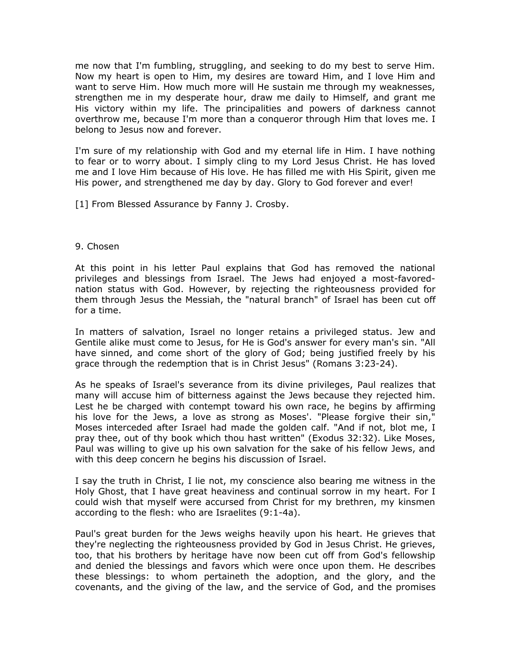me now that I'm fumbling, struggling, and seeking to do my best to serve Him. Now my heart is open to Him, my desires are toward Him, and I love Him and want to serve Him. How much more will He sustain me through my weaknesses, strengthen me in my desperate hour, draw me daily to Himself, and grant me His victory within my life. The principalities and powers of darkness cannot overthrow me, because I'm more than a conqueror through Him that loves me. I belong to Jesus now and forever.

I'm sure of my relationship with God and my eternal life in Him. I have nothing to fear or to worry about. I simply cling to my Lord Jesus Christ. He has loved me and I love Him because of His love. He has filled me with His Spirit, given me His power, and strengthened me day by day. Glory to God forever and ever!

[1] From Blessed Assurance by Fanny J. Crosby.

## 9. Chosen

At this point in his letter Paul explains that God has removed the national privileges and blessings from Israel. The Jews had enjoyed a most-favorednation status with God. However, by rejecting the righteousness provided for them through Jesus the Messiah, the "natural branch" of Israel has been cut off for a time.

In matters of salvation, Israel no longer retains a privileged status. Jew and Gentile alike must come to Jesus, for He is God's answer for every man's sin. "All have sinned, and come short of the glory of God; being justified freely by his grace through the redemption that is in Christ Jesus" (Romans 3:23-24).

As he speaks of Israel's severance from its divine privileges, Paul realizes that many will accuse him of bitterness against the Jews because they rejected him. Lest he be charged with contempt toward his own race, he begins by affirming his love for the Jews, a love as strong as Moses'. "Please forgive their sin," Moses interceded after Israel had made the golden calf. "And if not, blot me, I pray thee, out of thy book which thou hast written" (Exodus 32:32). Like Moses, Paul was willing to give up his own salvation for the sake of his fellow Jews, and with this deep concern he begins his discussion of Israel.

I say the truth in Christ, I lie not, my conscience also bearing me witness in the Holy Ghost, that I have great heaviness and continual sorrow in my heart. For I could wish that myself were accursed from Christ for my brethren, my kinsmen according to the flesh: who are Israelites (9:1-4a).

Paul's great burden for the Jews weighs heavily upon his heart. He grieves that they're neglecting the righteousness provided by God in Jesus Christ. He grieves, too, that his brothers by heritage have now been cut off from God's fellowship and denied the blessings and favors which were once upon them. He describes these blessings: to whom pertaineth the adoption, and the glory, and the covenants, and the giving of the law, and the service of God, and the promises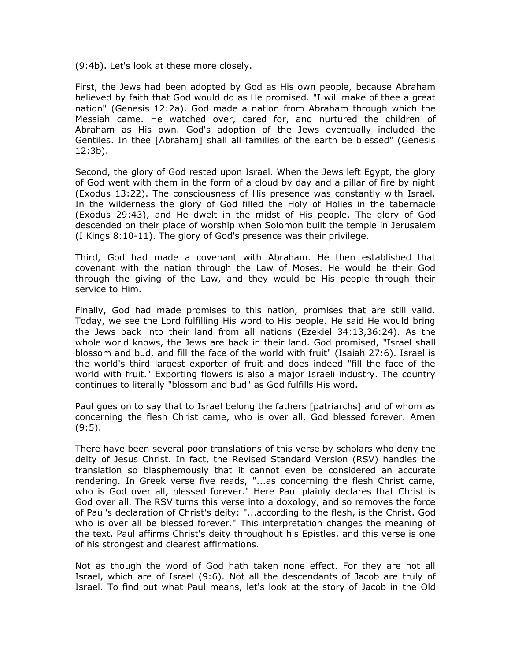(9:4b). Let's look at these more closely.

First, the Jews had been adopted by God as His own people, because Abraham believed by faith that God would do as He promised. "I will make of thee a great nation" (Genesis 12:2a). God made a nation from Abraham through which the Messiah came. He watched over, cared for, and nurtured the children of Abraham as His own. God's adoption of the Jews eventually included the Gentiles. In thee [Abraham] shall all families of the earth be blessed" (Genesis 12:3b).

Second, the glory of God rested upon Israel. When the Jews left Egypt, the glory of God went with them in the form of a cloud by day and a pillar of fire by night (Exodus 13:22). The consciousness of His presence was constantly with Israel. In the wilderness the glory of God filled the Holy of Holies in the tabernacle (Exodus 29:43), and He dwelt in the midst of His people. The glory of God descended on their place of worship when Solomon built the temple in Jerusalem (I Kings 8:10-11). The glory of God's presence was their privilege.

Third, God had made a covenant with Abraham. He then established that covenant with the nation through the Law of Moses. He would be their God through the giving of the Law, and they would be His people through their service to Him.

Finally, God had made promises to this nation, promises that are still valid. Today, we see the Lord fulfilling His word to His people. He said He would bring the Jews back into their land from all nations (Ezekiel 34:13,36:24). As the whole world knows, the Jews are back in their land. God promised, "Israel shall blossom and bud, and fill the face of the world with fruit" (Isaiah 27:6). Israel is the world's third largest exporter of fruit and does indeed "fill the face of the world with fruit." Exporting flowers is also a major Israeli industry. The country continues to literally "blossom and bud" as God fulfills His word.

Paul goes on to say that to Israel belong the fathers [patriarchs] and of whom as concerning the flesh Christ came, who is over all, God blessed forever. Amen (9:5).

There have been several poor translations of this verse by scholars who deny the deity of Jesus Christ. In fact, the Revised Standard Version (RSV) handles the translation so blasphemously that it cannot even be considered an accurate rendering. In Greek verse five reads, "...as concerning the flesh Christ came, who is God over all, blessed forever." Here Paul plainly declares that Christ is God over all. The RSV turns this verse into a doxology, and so removes the force of Paul's declaration of Christ's deity: "...according to the flesh, is the Christ. God who is over all be blessed forever." This interpretation changes the meaning of the text. Paul affirms Christ's deity throughout his Epistles, and this verse is one of his strongest and clearest affirmations.

Not as though the word of God hath taken none effect. For they are not all Israel, which are of Israel (9:6). Not all the descendants of Jacob are truly of Israel. To find out what Paul means, let's look at the story of Jacob in the Old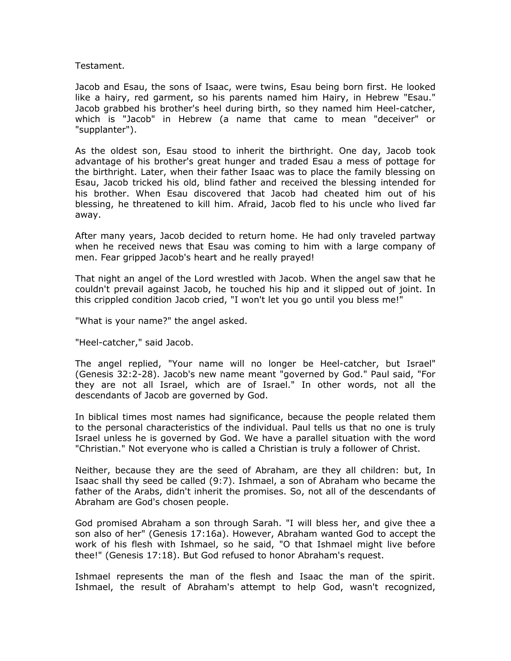Testament.

Jacob and Esau, the sons of Isaac, were twins, Esau being born first. He looked like a hairy, red garment, so his parents named him Hairy, in Hebrew "Esau." Jacob grabbed his brother's heel during birth, so they named him Heel-catcher, which is "Jacob" in Hebrew (a name that came to mean "deceiver" or "supplanter").

As the oldest son, Esau stood to inherit the birthright. One day, Jacob took advantage of his brother's great hunger and traded Esau a mess of pottage for the birthright. Later, when their father Isaac was to place the family blessing on Esau, Jacob tricked his old, blind father and received the blessing intended for his brother. When Esau discovered that Jacob had cheated him out of his blessing, he threatened to kill him. Afraid, Jacob fled to his uncle who lived far away.

After many years, Jacob decided to return home. He had only traveled partway when he received news that Esau was coming to him with a large company of men. Fear gripped Jacob's heart and he really prayed!

That night an angel of the Lord wrestled with Jacob. When the angel saw that he couldn't prevail against Jacob, he touched his hip and it slipped out of joint. In this crippled condition Jacob cried, "I won't let you go until you bless me!"

"What is your name?" the angel asked.

"Heel-catcher," said Jacob.

The angel replied, "Your name will no longer be Heel-catcher, but Israel" (Genesis 32:2-28). Jacob's new name meant "governed by God." Paul said, "For they are not all Israel, which are of Israel." In other words, not all the descendants of Jacob are governed by God.

In biblical times most names had significance, because the people related them to the personal characteristics of the individual. Paul tells us that no one is truly Israel unless he is governed by God. We have a parallel situation with the word "Christian." Not everyone who is called a Christian is truly a follower of Christ.

Neither, because they are the seed of Abraham, are they all children: but, In Isaac shall thy seed be called (9:7). Ishmael, a son of Abraham who became the father of the Arabs, didn't inherit the promises. So, not all of the descendants of Abraham are God's chosen people.

God promised Abraham a son through Sarah. "I will bless her, and give thee a son also of her" (Genesis 17:16a). However, Abraham wanted God to accept the work of his flesh with Ishmael, so he said, "O that Ishmael might live before thee!" (Genesis 17:18). But God refused to honor Abraham's request.

Ishmael represents the man of the flesh and Isaac the man of the spirit. Ishmael, the result of Abraham's attempt to help God, wasn't recognized,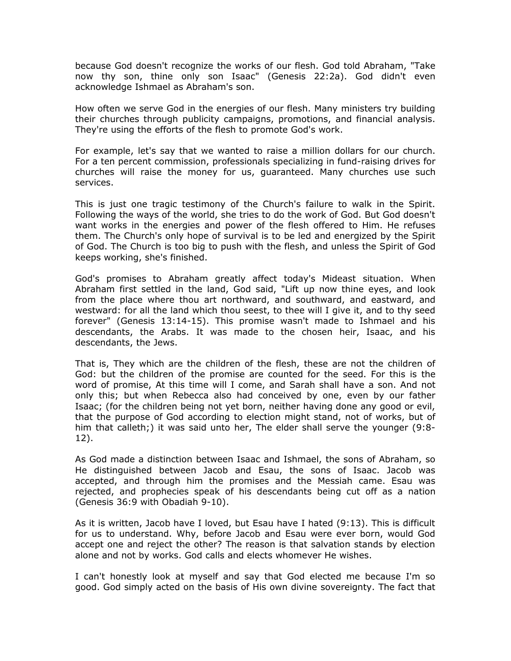because God doesn't recognize the works of our flesh. God told Abraham, "Take now thy son, thine only son Isaac" (Genesis 22:2a). God didn't even acknowledge Ishmael as Abraham's son.

How often we serve God in the energies of our flesh. Many ministers try building their churches through publicity campaigns, promotions, and financial analysis. They're using the efforts of the flesh to promote God's work.

For example, let's say that we wanted to raise a million dollars for our church. For a ten percent commission, professionals specializing in fund-raising drives for churches will raise the money for us, guaranteed. Many churches use such services.

This is just one tragic testimony of the Church's failure to walk in the Spirit. Following the ways of the world, she tries to do the work of God. But God doesn't want works in the energies and power of the flesh offered to Him. He refuses them. The Church's only hope of survival is to be led and energized by the Spirit of God. The Church is too big to push with the flesh, and unless the Spirit of God keeps working, she's finished.

God's promises to Abraham greatly affect today's Mideast situation. When Abraham first settled in the land, God said, "Lift up now thine eyes, and look from the place where thou art northward, and southward, and eastward, and westward: for all the land which thou seest, to thee will I give it, and to thy seed forever" (Genesis 13:14-15). This promise wasn't made to Ishmael and his descendants, the Arabs. It was made to the chosen heir, Isaac, and his descendants, the Jews.

That is, They which are the children of the flesh, these are not the children of God: but the children of the promise are counted for the seed. For this is the word of promise, At this time will I come, and Sarah shall have a son. And not only this; but when Rebecca also had conceived by one, even by our father Isaac; (for the children being not yet born, neither having done any good or evil, that the purpose of God according to election might stand, not of works, but of him that calleth;) it was said unto her, The elder shall serve the younger (9:8- 12).

As God made a distinction between Isaac and Ishmael, the sons of Abraham, so He distinguished between Jacob and Esau, the sons of Isaac. Jacob was accepted, and through him the promises and the Messiah came. Esau was rejected, and prophecies speak of his descendants being cut off as a nation (Genesis 36:9 with Obadiah 9-10).

As it is written, Jacob have I loved, but Esau have I hated (9:13). This is difficult for us to understand. Why, before Jacob and Esau were ever born, would God accept one and reject the other? The reason is that salvation stands by election alone and not by works. God calls and elects whomever He wishes.

I can't honestly look at myself and say that God elected me because I'm so good. God simply acted on the basis of His own divine sovereignty. The fact that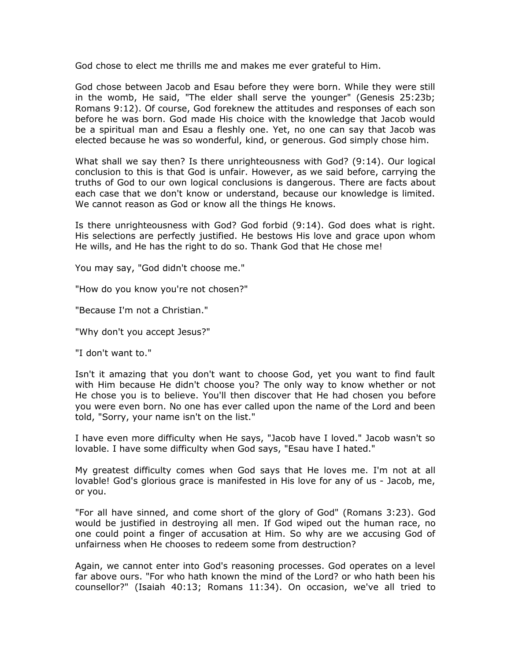God chose to elect me thrills me and makes me ever grateful to Him.

God chose between Jacob and Esau before they were born. While they were still in the womb, He said, "The elder shall serve the younger" (Genesis 25:23b; Romans 9:12). Of course, God foreknew the attitudes and responses of each son before he was born. God made His choice with the knowledge that Jacob would be a spiritual man and Esau a fleshly one. Yet, no one can say that Jacob was elected because he was so wonderful, kind, or generous. God simply chose him.

What shall we say then? Is there unrighteousness with God? (9:14). Our logical conclusion to this is that God is unfair. However, as we said before, carrying the truths of God to our own logical conclusions is dangerous. There are facts about each case that we don't know or understand, because our knowledge is limited. We cannot reason as God or know all the things He knows.

Is there unrighteousness with God? God forbid (9:14). God does what is right. His selections are perfectly justified. He bestows His love and grace upon whom He wills, and He has the right to do so. Thank God that He chose me!

You may say, "God didn't choose me."

"How do you know you're not chosen?"

"Because I'm not a Christian."

"Why don't you accept Jesus?"

"I don't want to."

Isn't it amazing that you don't want to choose God, yet you want to find fault with Him because He didn't choose you? The only way to know whether or not He chose you is to believe. You'll then discover that He had chosen you before you were even born. No one has ever called upon the name of the Lord and been told, "Sorry, your name isn't on the list."

I have even more difficulty when He says, "Jacob have I loved." Jacob wasn't so lovable. I have some difficulty when God says, "Esau have I hated."

My greatest difficulty comes when God says that He loves me. I'm not at all lovable! God's glorious grace is manifested in His love for any of us - Jacob, me, or you.

"For all have sinned, and come short of the glory of God" (Romans 3:23). God would be justified in destroying all men. If God wiped out the human race, no one could point a finger of accusation at Him. So why are we accusing God of unfairness when He chooses to redeem some from destruction?

Again, we cannot enter into God's reasoning processes. God operates on a level far above ours. "For who hath known the mind of the Lord? or who hath been his counsellor?" (Isaiah 40:13; Romans 11:34). On occasion, we've all tried to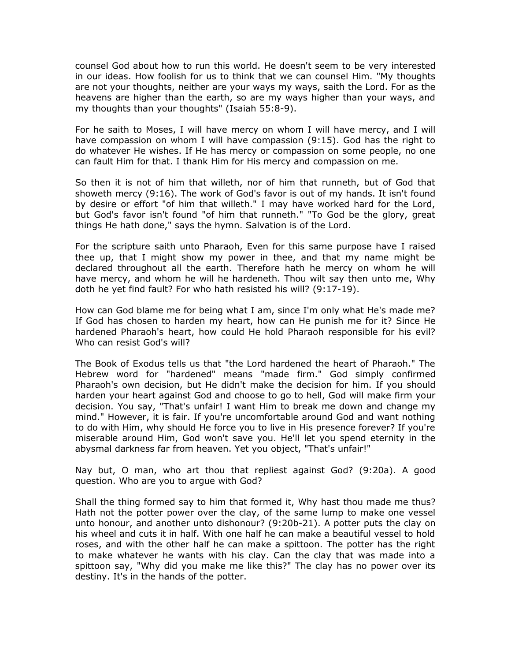counsel God about how to run this world. He doesn't seem to be very interested in our ideas. How foolish for us to think that we can counsel Him. "My thoughts are not your thoughts, neither are your ways my ways, saith the Lord. For as the heavens are higher than the earth, so are my ways higher than your ways, and my thoughts than your thoughts" (Isaiah 55:8-9).

For he saith to Moses, I will have mercy on whom I will have mercy, and I will have compassion on whom I will have compassion (9:15). God has the right to do whatever He wishes. If He has mercy or compassion on some people, no one can fault Him for that. I thank Him for His mercy and compassion on me.

So then it is not of him that willeth, nor of him that runneth, but of God that showeth mercy (9:16). The work of God's favor is out of my hands. It isn't found by desire or effort "of him that willeth." I may have worked hard for the Lord, but God's favor isn't found "of him that runneth." "To God be the glory, great things He hath done," says the hymn. Salvation is of the Lord.

For the scripture saith unto Pharaoh, Even for this same purpose have I raised thee up, that I might show my power in thee, and that my name might be declared throughout all the earth. Therefore hath he mercy on whom he will have mercy, and whom he will he hardeneth. Thou wilt say then unto me, Why doth he yet find fault? For who hath resisted his will? (9:17-19).

How can God blame me for being what I am, since I'm only what He's made me? If God has chosen to harden my heart, how can He punish me for it? Since He hardened Pharaoh's heart, how could He hold Pharaoh responsible for his evil? Who can resist God's will?

The Book of Exodus tells us that "the Lord hardened the heart of Pharaoh." The Hebrew word for "hardened" means "made firm." God simply confirmed Pharaoh's own decision, but He didn't make the decision for him. If you should harden your heart against God and choose to go to hell, God will make firm your decision. You say, "That's unfair! I want Him to break me down and change my mind." However, it is fair. If you're uncomfortable around God and want nothing to do with Him, why should He force you to live in His presence forever? If you're miserable around Him, God won't save you. He'll let you spend eternity in the abysmal darkness far from heaven. Yet you object, "That's unfair!"

Nay but, O man, who art thou that repliest against God? (9:20a). A good question. Who are you to argue with God?

Shall the thing formed say to him that formed it, Why hast thou made me thus? Hath not the potter power over the clay, of the same lump to make one vessel unto honour, and another unto dishonour? (9:20b-21). A potter puts the clay on his wheel and cuts it in half. With one half he can make a beautiful vessel to hold roses, and with the other half he can make a spittoon. The potter has the right to make whatever he wants with his clay. Can the clay that was made into a spittoon say, "Why did you make me like this?" The clay has no power over its destiny. It's in the hands of the potter.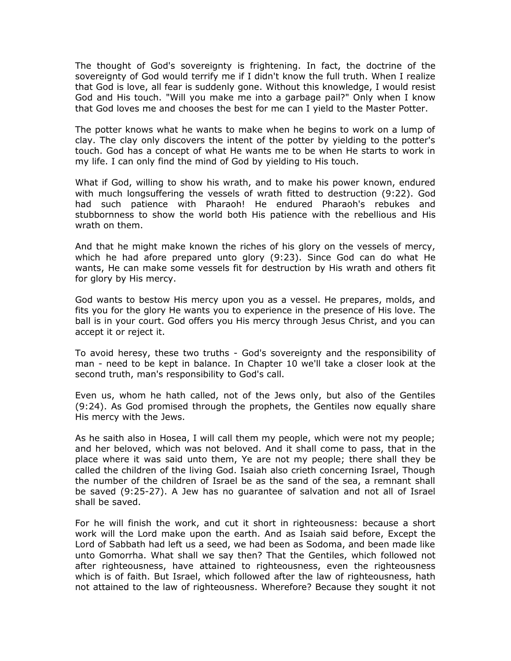The thought of God's sovereignty is frightening. In fact, the doctrine of the sovereignty of God would terrify me if I didn't know the full truth. When I realize that God is love, all fear is suddenly gone. Without this knowledge, I would resist God and His touch. "Will you make me into a garbage pail?" Only when I know that God loves me and chooses the best for me can I yield to the Master Potter.

The potter knows what he wants to make when he begins to work on a lump of clay. The clay only discovers the intent of the potter by yielding to the potter's touch. God has a concept of what He wants me to be when He starts to work in my life. I can only find the mind of God by yielding to His touch.

What if God, willing to show his wrath, and to make his power known, endured with much longsuffering the vessels of wrath fitted to destruction (9:22). God had such patience with Pharaoh! He endured Pharaoh's rebukes and stubbornness to show the world both His patience with the rebellious and His wrath on them.

And that he might make known the riches of his glory on the vessels of mercy, which he had afore prepared unto glory (9:23). Since God can do what He wants, He can make some vessels fit for destruction by His wrath and others fit for glory by His mercy.

God wants to bestow His mercy upon you as a vessel. He prepares, molds, and fits you for the glory He wants you to experience in the presence of His love. The ball is in your court. God offers you His mercy through Jesus Christ, and you can accept it or reject it.

To avoid heresy, these two truths - God's sovereignty and the responsibility of man - need to be kept in balance. In Chapter 10 we'll take a closer look at the second truth, man's responsibility to God's call.

Even us, whom he hath called, not of the Jews only, but also of the Gentiles (9:24). As God promised through the prophets, the Gentiles now equally share His mercy with the Jews.

As he saith also in Hosea, I will call them my people, which were not my people; and her beloved, which was not beloved. And it shall come to pass, that in the place where it was said unto them, Ye are not my people; there shall they be called the children of the living God. Isaiah also crieth concerning Israel, Though the number of the children of Israel be as the sand of the sea, a remnant shall be saved (9:25-27). A Jew has no guarantee of salvation and not all of Israel shall be saved.

For he will finish the work, and cut it short in righteousness: because a short work will the Lord make upon the earth. And as Isaiah said before, Except the Lord of Sabbath had left us a seed, we had been as Sodoma, and been made like unto Gomorrha. What shall we say then? That the Gentiles, which followed not after righteousness, have attained to righteousness, even the righteousness which is of faith. But Israel, which followed after the law of righteousness, hath not attained to the law of righteousness. Wherefore? Because they sought it not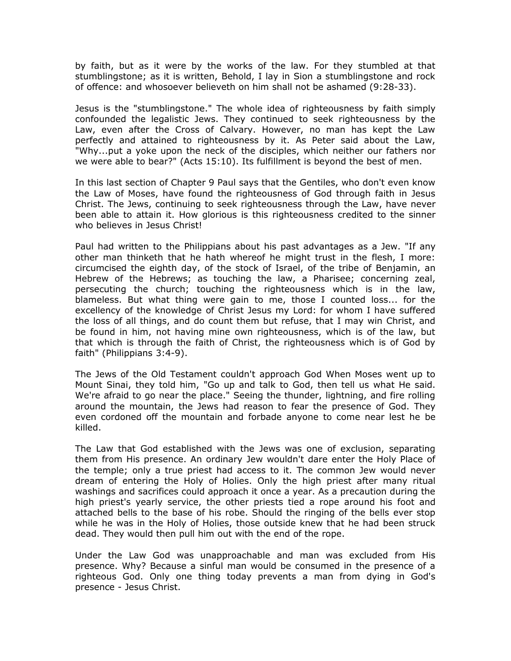by faith, but as it were by the works of the law. For they stumbled at that stumblingstone; as it is written, Behold, I lay in Sion a stumblingstone and rock of offence: and whosoever believeth on him shall not be ashamed (9:28-33).

Jesus is the "stumblingstone." The whole idea of righteousness by faith simply confounded the legalistic Jews. They continued to seek righteousness by the Law, even after the Cross of Calvary. However, no man has kept the Law perfectly and attained to righteousness by it. As Peter said about the Law, "Why...put a yoke upon the neck of the disciples, which neither our fathers nor we were able to bear?" (Acts 15:10). Its fulfillment is beyond the best of men.

In this last section of Chapter 9 Paul says that the Gentiles, who don't even know the Law of Moses, have found the righteousness of God through faith in Jesus Christ. The Jews, continuing to seek righteousness through the Law, have never been able to attain it. How glorious is this righteousness credited to the sinner who believes in Jesus Christ!

Paul had written to the Philippians about his past advantages as a Jew. "If any other man thinketh that he hath whereof he might trust in the flesh, I more: circumcised the eighth day, of the stock of Israel, of the tribe of Benjamin, an Hebrew of the Hebrews; as touching the law, a Pharisee; concerning zeal, persecuting the church; touching the righteousness which is in the law, blameless. But what thing were gain to me, those I counted loss... for the excellency of the knowledge of Christ Jesus my Lord: for whom I have suffered the loss of all things, and do count them but refuse, that I may win Christ, and be found in him, not having mine own righteousness, which is of the law, but that which is through the faith of Christ, the righteousness which is of God by faith" (Philippians 3:4-9).

The Jews of the Old Testament couldn't approach God When Moses went up to Mount Sinai, they told him, "Go up and talk to God, then tell us what He said. We're afraid to go near the place." Seeing the thunder, lightning, and fire rolling around the mountain, the Jews had reason to fear the presence of God. They even cordoned off the mountain and forbade anyone to come near lest he be killed.

The Law that God established with the Jews was one of exclusion, separating them from His presence. An ordinary Jew wouldn't dare enter the Holy Place of the temple; only a true priest had access to it. The common Jew would never dream of entering the Holy of Holies. Only the high priest after many ritual washings and sacrifices could approach it once a year. As a precaution during the high priest's yearly service, the other priests tied a rope around his foot and attached bells to the base of his robe. Should the ringing of the bells ever stop while he was in the Holy of Holies, those outside knew that he had been struck dead. They would then pull him out with the end of the rope.

Under the Law God was unapproachable and man was excluded from His presence. Why? Because a sinful man would be consumed in the presence of a righteous God. Only one thing today prevents a man from dying in God's presence - Jesus Christ.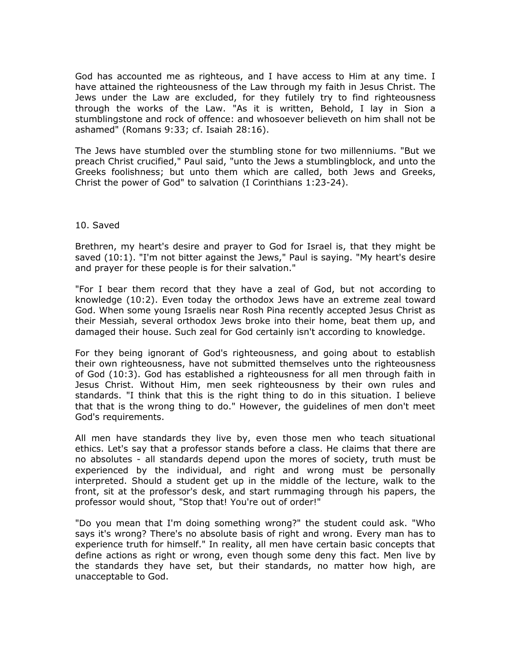God has accounted me as righteous, and I have access to Him at any time. I have attained the righteousness of the Law through my faith in Jesus Christ. The Jews under the Law are excluded, for they futilely try to find righteousness through the works of the Law. "As it is written, Behold, I lay in Sion a stumblingstone and rock of offence: and whosoever believeth on him shall not be ashamed" (Romans 9:33; cf. Isaiah 28:16).

The Jews have stumbled over the stumbling stone for two millenniums. "But we preach Christ crucified," Paul said, "unto the Jews a stumblingblock, and unto the Greeks foolishness; but unto them which are called, both Jews and Greeks, Christ the power of God" to salvation (I Corinthians 1:23-24).

## 10. Saved

Brethren, my heart's desire and prayer to God for Israel is, that they might be saved (10:1). "I'm not bitter against the Jews," Paul is saying. "My heart's desire and prayer for these people is for their salvation."

"For I bear them record that they have a zeal of God, but not according to knowledge (10:2). Even today the orthodox Jews have an extreme zeal toward God. When some young Israelis near Rosh Pina recently accepted Jesus Christ as their Messiah, several orthodox Jews broke into their home, beat them up, and damaged their house. Such zeal for God certainly isn't according to knowledge.

For they being ignorant of God's righteousness, and going about to establish their own righteousness, have not submitted themselves unto the righteousness of God (10:3). God has established a righteousness for all men through faith in Jesus Christ. Without Him, men seek righteousness by their own rules and standards. "I think that this is the right thing to do in this situation. I believe that that is the wrong thing to do." However, the guidelines of men don't meet God's requirements.

All men have standards they live by, even those men who teach situational ethics. Let's say that a professor stands before a class. He claims that there are no absolutes - all standards depend upon the mores of society, truth must be experienced by the individual, and right and wrong must be personally interpreted. Should a student get up in the middle of the lecture, walk to the front, sit at the professor's desk, and start rummaging through his papers, the professor would shout, "Stop that! You're out of order!"

"Do you mean that I'm doing something wrong?" the student could ask. "Who says it's wrong? There's no absolute basis of right and wrong. Every man has to experience truth for himself." In reality, all men have certain basic concepts that define actions as right or wrong, even though some deny this fact. Men live by the standards they have set, but their standards, no matter how high, are unacceptable to God.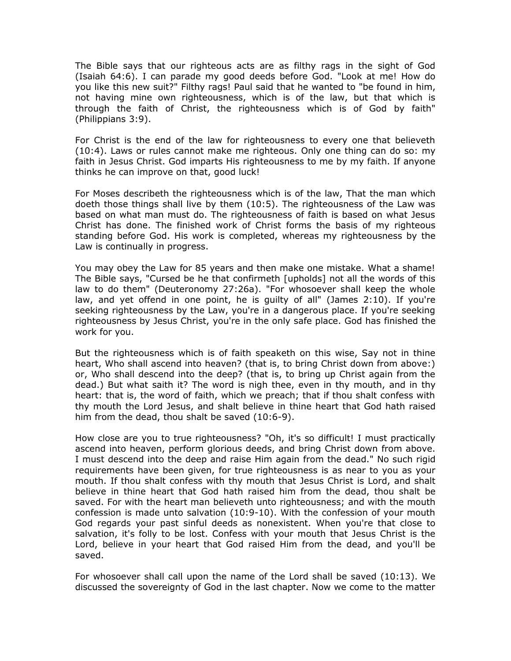The Bible says that our righteous acts are as filthy rags in the sight of God (Isaiah 64:6). I can parade my good deeds before God. "Look at me! How do you like this new suit?" Filthy rags! Paul said that he wanted to "be found in him, not having mine own righteousness, which is of the law, but that which is through the faith of Christ, the righteousness which is of God by faith" (Philippians 3:9).

For Christ is the end of the law for righteousness to every one that believeth (10:4). Laws or rules cannot make me righteous. Only one thing can do so: my faith in Jesus Christ. God imparts His righteousness to me by my faith. If anyone thinks he can improve on that, good luck!

For Moses describeth the righteousness which is of the law, That the man which doeth those things shall live by them (10:5). The righteousness of the Law was based on what man must do. The righteousness of faith is based on what Jesus Christ has done. The finished work of Christ forms the basis of my righteous standing before God. His work is completed, whereas my righteousness by the Law is continually in progress.

You may obey the Law for 85 years and then make one mistake. What a shame! The Bible says, "Cursed be he that confirmeth [upholds] not all the words of this law to do them" (Deuteronomy 27:26a). "For whosoever shall keep the whole law, and yet offend in one point, he is guilty of all" (James 2:10). If you're seeking righteousness by the Law, you're in a dangerous place. If you're seeking righteousness by Jesus Christ, you're in the only safe place. God has finished the work for you.

But the righteousness which is of faith speaketh on this wise, Say not in thine heart, Who shall ascend into heaven? (that is, to bring Christ down from above:) or, Who shall descend into the deep? (that is, to bring up Christ again from the dead.) But what saith it? The word is nigh thee, even in thy mouth, and in thy heart: that is, the word of faith, which we preach; that if thou shalt confess with thy mouth the Lord Jesus, and shalt believe in thine heart that God hath raised him from the dead, thou shalt be saved (10:6-9).

How close are you to true righteousness? "Oh, it's so difficult! I must practically ascend into heaven, perform glorious deeds, and bring Christ down from above. I must descend into the deep and raise Him again from the dead." No such rigid requirements have been given, for true righteousness is as near to you as your mouth. If thou shalt confess with thy mouth that Jesus Christ is Lord, and shalt believe in thine heart that God hath raised him from the dead, thou shalt be saved. For with the heart man believeth unto righteousness; and with the mouth confession is made unto salvation (10:9-10). With the confession of your mouth God regards your past sinful deeds as nonexistent. When you're that close to salvation, it's folly to be lost. Confess with your mouth that Jesus Christ is the Lord, believe in your heart that God raised Him from the dead, and you'll be saved.

For whosoever shall call upon the name of the Lord shall be saved (10:13). We discussed the sovereignty of God in the last chapter. Now we come to the matter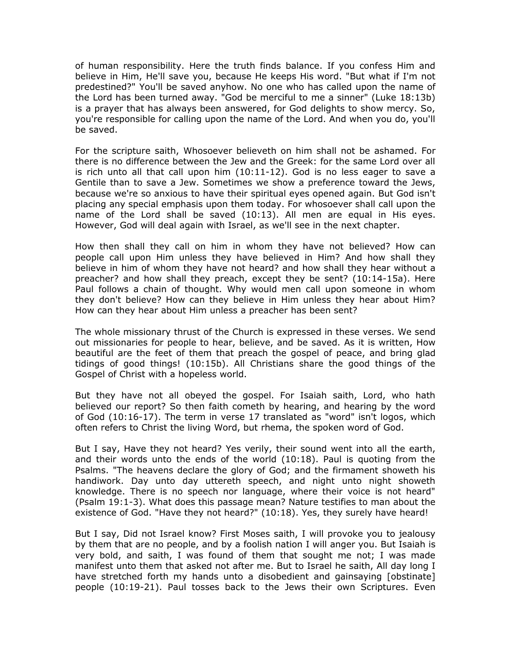of human responsibility. Here the truth finds balance. If you confess Him and believe in Him, He'll save you, because He keeps His word. "But what if I'm not predestined?" You'll be saved anyhow. No one who has called upon the name of the Lord has been turned away. "God be merciful to me a sinner" (Luke 18:13b) is a prayer that has always been answered, for God delights to show mercy. So, you're responsible for calling upon the name of the Lord. And when you do, you'll be saved.

For the scripture saith, Whosoever believeth on him shall not be ashamed. For there is no difference between the Jew and the Greek: for the same Lord over all is rich unto all that call upon him (10:11-12). God is no less eager to save a Gentile than to save a Jew. Sometimes we show a preference toward the Jews, because we're so anxious to have their spiritual eyes opened again. But God isn't placing any special emphasis upon them today. For whosoever shall call upon the name of the Lord shall be saved (10:13). All men are equal in His eyes. However, God will deal again with Israel, as we'll see in the next chapter.

How then shall they call on him in whom they have not believed? How can people call upon Him unless they have believed in Him? And how shall they believe in him of whom they have not heard? and how shall they hear without a preacher? and how shall they preach, except they be sent? (10:14-15a). Here Paul follows a chain of thought. Why would men call upon someone in whom they don't believe? How can they believe in Him unless they hear about Him? How can they hear about Him unless a preacher has been sent?

The whole missionary thrust of the Church is expressed in these verses. We send out missionaries for people to hear, believe, and be saved. As it is written, How beautiful are the feet of them that preach the gospel of peace, and bring glad tidings of good things! (10:15b). All Christians share the good things of the Gospel of Christ with a hopeless world.

But they have not all obeyed the gospel. For Isaiah saith, Lord, who hath believed our report? So then faith cometh by hearing, and hearing by the word of God (10:16-17). The term in verse 17 translated as "word" isn't logos, which often refers to Christ the living Word, but rhema, the spoken word of God.

But I say, Have they not heard? Yes verily, their sound went into all the earth, and their words unto the ends of the world (10:18). Paul is quoting from the Psalms. "The heavens declare the glory of God; and the firmament showeth his handiwork. Day unto day uttereth speech, and night unto night showeth knowledge. There is no speech nor language, where their voice is not heard" (Psalm 19:1-3). What does this passage mean? Nature testifies to man about the existence of God. "Have they not heard?" (10:18). Yes, they surely have heard!

But I say, Did not Israel know? First Moses saith, I will provoke you to jealousy by them that are no people, and by a foolish nation I will anger you. But Isaiah is very bold, and saith, I was found of them that sought me not; I was made manifest unto them that asked not after me. But to Israel he saith, All day long I have stretched forth my hands unto a disobedient and gainsaying [obstinate] people (10:19-21). Paul tosses back to the Jews their own Scriptures. Even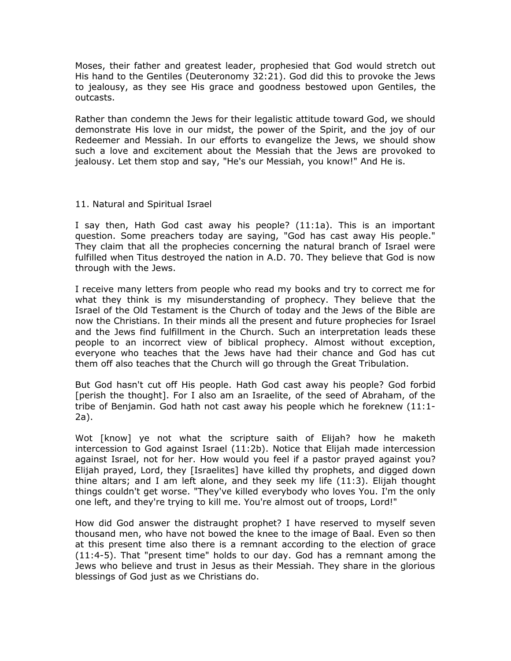Moses, their father and greatest leader, prophesied that God would stretch out His hand to the Gentiles (Deuteronomy 32:21). God did this to provoke the Jews to jealousy, as they see His grace and goodness bestowed upon Gentiles, the outcasts.

Rather than condemn the Jews for their legalistic attitude toward God, we should demonstrate His love in our midst, the power of the Spirit, and the joy of our Redeemer and Messiah. In our efforts to evangelize the Jews, we should show such a love and excitement about the Messiah that the Jews are provoked to jealousy. Let them stop and say, "He's our Messiah, you know!" And He is.

## 11. Natural and Spiritual Israel

I say then, Hath God cast away his people? (11:1a). This is an important question. Some preachers today are saying, "God has cast away His people." They claim that all the prophecies concerning the natural branch of Israel were fulfilled when Titus destroyed the nation in A.D. 70. They believe that God is now through with the Jews.

I receive many letters from people who read my books and try to correct me for what they think is my misunderstanding of prophecy. They believe that the Israel of the Old Testament is the Church of today and the Jews of the Bible are now the Christians. In their minds all the present and future prophecies for Israel and the Jews find fulfillment in the Church. Such an interpretation leads these people to an incorrect view of biblical prophecy. Almost without exception, everyone who teaches that the Jews have had their chance and God has cut them off also teaches that the Church will go through the Great Tribulation.

But God hasn't cut off His people. Hath God cast away his people? God forbid [perish the thought]. For I also am an Israelite, of the seed of Abraham, of the tribe of Benjamin. God hath not cast away his people which he foreknew (11:1- 2a).

Wot [know] ye not what the scripture saith of Elijah? how he maketh intercession to God against Israel (11:2b). Notice that Elijah made intercession against Israel, not for her. How would you feel if a pastor prayed against you? Elijah prayed, Lord, they [Israelites] have killed thy prophets, and digged down thine altars; and I am left alone, and they seek my life (11:3). Elijah thought things couldn't get worse. "They've killed everybody who loves You. I'm the only one left, and they're trying to kill me. You're almost out of troops, Lord!"

How did God answer the distraught prophet? I have reserved to myself seven thousand men, who have not bowed the knee to the image of Baal. Even so then at this present time also there is a remnant according to the election of grace (11:4-5). That "present time" holds to our day. God has a remnant among the Jews who believe and trust in Jesus as their Messiah. They share in the glorious blessings of God just as we Christians do.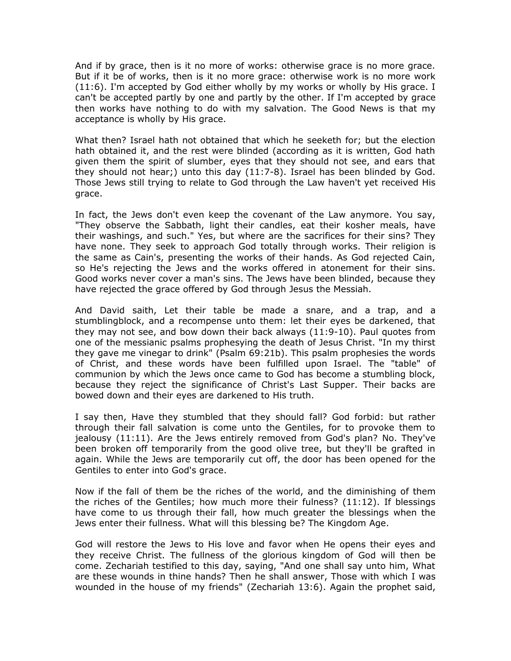And if by grace, then is it no more of works: otherwise grace is no more grace. But if it be of works, then is it no more grace: otherwise work is no more work (11:6). I'm accepted by God either wholly by my works or wholly by His grace. I can't be accepted partly by one and partly by the other. If I'm accepted by grace then works have nothing to do with my salvation. The Good News is that my acceptance is wholly by His grace.

What then? Israel hath not obtained that which he seeketh for; but the election hath obtained it, and the rest were blinded (according as it is written, God hath given them the spirit of slumber, eyes that they should not see, and ears that they should not hear;) unto this day (11:7-8). Israel has been blinded by God. Those Jews still trying to relate to God through the Law haven't yet received His grace.

In fact, the Jews don't even keep the covenant of the Law anymore. You say, "They observe the Sabbath, light their candles, eat their kosher meals, have their washings, and such." Yes, but where are the sacrifices for their sins? They have none. They seek to approach God totally through works. Their religion is the same as Cain's, presenting the works of their hands. As God rejected Cain, so He's rejecting the Jews and the works offered in atonement for their sins. Good works never cover a man's sins. The Jews have been blinded, because they have rejected the grace offered by God through Jesus the Messiah.

And David saith, Let their table be made a snare, and a trap, and a stumblingblock, and a recompense unto them: let their eyes be darkened, that they may not see, and bow down their back always (11:9-10). Paul quotes from one of the messianic psalms prophesying the death of Jesus Christ. "In my thirst they gave me vinegar to drink" (Psalm 69:21b). This psalm prophesies the words of Christ, and these words have been fulfilled upon Israel. The "table" of communion by which the Jews once came to God has become a stumbling block, because they reject the significance of Christ's Last Supper. Their backs are bowed down and their eyes are darkened to His truth.

I say then, Have they stumbled that they should fall? God forbid: but rather through their fall salvation is come unto the Gentiles, for to provoke them to jealousy (11:11). Are the Jews entirely removed from God's plan? No. They've been broken off temporarily from the good olive tree, but they'll be grafted in again. While the Jews are temporarily cut off, the door has been opened for the Gentiles to enter into God's grace.

Now if the fall of them be the riches of the world, and the diminishing of them the riches of the Gentiles; how much more their fulness? (11:12). If blessings have come to us through their fall, how much greater the blessings when the Jews enter their fullness. What will this blessing be? The Kingdom Age.

God will restore the Jews to His love and favor when He opens their eyes and they receive Christ. The fullness of the glorious kingdom of God will then be come. Zechariah testified to this day, saying, "And one shall say unto him, What are these wounds in thine hands? Then he shall answer, Those with which I was wounded in the house of my friends" (Zechariah 13:6). Again the prophet said,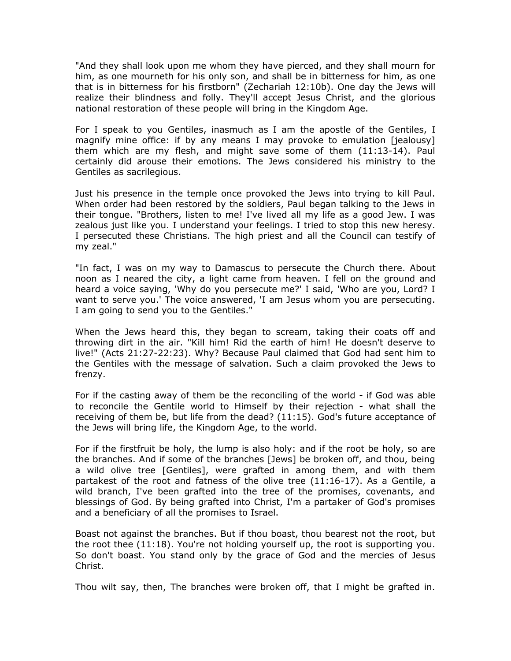"And they shall look upon me whom they have pierced, and they shall mourn for him, as one mourneth for his only son, and shall be in bitterness for him, as one that is in bitterness for his firstborn" (Zechariah 12:10b). One day the Jews will realize their blindness and folly. They'll accept Jesus Christ, and the glorious national restoration of these people will bring in the Kingdom Age.

For I speak to you Gentiles, inasmuch as I am the apostle of the Gentiles, I magnify mine office: if by any means I may provoke to emulation [jealousy] them which are my flesh, and might save some of them (11:13-14). Paul certainly did arouse their emotions. The Jews considered his ministry to the Gentiles as sacrilegious.

Just his presence in the temple once provoked the Jews into trying to kill Paul. When order had been restored by the soldiers, Paul began talking to the Jews in their tongue. "Brothers, listen to me! I've lived all my life as a good Jew. I was zealous just like you. I understand your feelings. I tried to stop this new heresy. I persecuted these Christians. The high priest and all the Council can testify of my zeal."

"In fact, I was on my way to Damascus to persecute the Church there. About noon as I neared the city, a light came from heaven. I fell on the ground and heard a voice saying, 'Why do you persecute me?' I said, 'Who are you, Lord? I want to serve you.' The voice answered, 'I am Jesus whom you are persecuting. I am going to send you to the Gentiles."

When the Jews heard this, they began to scream, taking their coats off and throwing dirt in the air. "Kill him! Rid the earth of him! He doesn't deserve to live!" (Acts 21:27-22:23). Why? Because Paul claimed that God had sent him to the Gentiles with the message of salvation. Such a claim provoked the Jews to frenzy.

For if the casting away of them be the reconciling of the world - if God was able to reconcile the Gentile world to Himself by their rejection - what shall the receiving of them be, but life from the dead? (11:15). God's future acceptance of the Jews will bring life, the Kingdom Age, to the world.

For if the firstfruit be holy, the lump is also holy: and if the root be holy, so are the branches. And if some of the branches [Jews] be broken off, and thou, being a wild olive tree [Gentiles], were grafted in among them, and with them partakest of the root and fatness of the olive tree (11:16-17). As a Gentile, a wild branch, I've been grafted into the tree of the promises, covenants, and blessings of God. By being grafted into Christ, I'm a partaker of God's promises and a beneficiary of all the promises to Israel.

Boast not against the branches. But if thou boast, thou bearest not the root, but the root thee (11:18). You're not holding yourself up, the root is supporting you. So don't boast. You stand only by the grace of God and the mercies of Jesus Christ.

Thou wilt say, then, The branches were broken off, that I might be grafted in.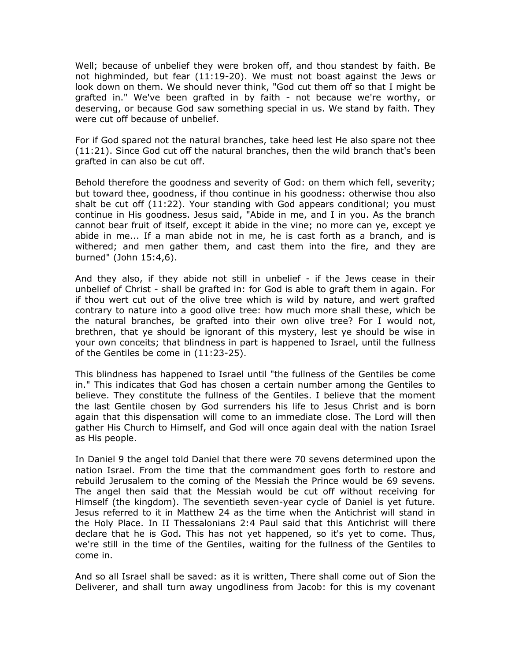Well; because of unbelief they were broken off, and thou standest by faith. Be not highminded, but fear (11:19-20). We must not boast against the Jews or look down on them. We should never think, "God cut them off so that I might be grafted in." We've been grafted in by faith - not because we're worthy, or deserving, or because God saw something special in us. We stand by faith. They were cut off because of unbelief.

For if God spared not the natural branches, take heed lest He also spare not thee (11:21). Since God cut off the natural branches, then the wild branch that's been grafted in can also be cut off.

Behold therefore the goodness and severity of God: on them which fell, severity; but toward thee, goodness, if thou continue in his goodness: otherwise thou also shalt be cut off (11:22). Your standing with God appears conditional; you must continue in His goodness. Jesus said, "Abide in me, and I in you. As the branch cannot bear fruit of itself, except it abide in the vine; no more can ye, except ye abide in me... If a man abide not in me, he is cast forth as a branch, and is withered; and men gather them, and cast them into the fire, and they are burned" (John 15:4,6).

And they also, if they abide not still in unbelief - if the Jews cease in their unbelief of Christ - shall be grafted in: for God is able to graft them in again. For if thou wert cut out of the olive tree which is wild by nature, and wert grafted contrary to nature into a good olive tree: how much more shall these, which be the natural branches, be grafted into their own olive tree? For I would not, brethren, that ye should be ignorant of this mystery, lest ye should be wise in your own conceits; that blindness in part is happened to Israel, until the fullness of the Gentiles be come in (11:23-25).

This blindness has happened to Israel until "the fullness of the Gentiles be come in." This indicates that God has chosen a certain number among the Gentiles to believe. They constitute the fullness of the Gentiles. I believe that the moment the last Gentile chosen by God surrenders his life to Jesus Christ and is born again that this dispensation will come to an immediate close. The Lord will then gather His Church to Himself, and God will once again deal with the nation Israel as His people.

In Daniel 9 the angel told Daniel that there were 70 sevens determined upon the nation Israel. From the time that the commandment goes forth to restore and rebuild Jerusalem to the coming of the Messiah the Prince would be 69 sevens. The angel then said that the Messiah would be cut off without receiving for Himself (the kingdom). The seventieth seven-year cycle of Daniel is yet future. Jesus referred to it in Matthew 24 as the time when the Antichrist will stand in the Holy Place. In II Thessalonians 2:4 Paul said that this Antichrist will there declare that he is God. This has not yet happened, so it's yet to come. Thus, we're still in the time of the Gentiles, waiting for the fullness of the Gentiles to come in.

And so all Israel shall be saved: as it is written, There shall come out of Sion the Deliverer, and shall turn away ungodliness from Jacob: for this is my covenant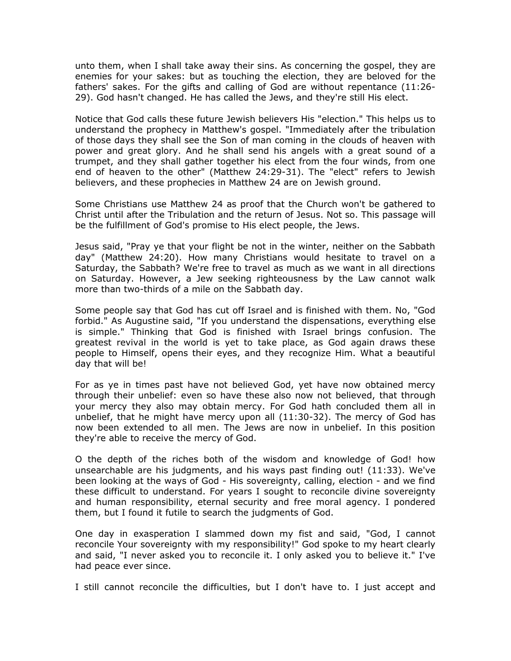unto them, when I shall take away their sins. As concerning the gospel, they are enemies for your sakes: but as touching the election, they are beloved for the fathers' sakes. For the gifts and calling of God are without repentance (11:26- 29). God hasn't changed. He has called the Jews, and they're still His elect.

Notice that God calls these future Jewish believers His "election." This helps us to understand the prophecy in Matthew's gospel. "Immediately after the tribulation of those days they shall see the Son of man coming in the clouds of heaven with power and great glory. And he shall send his angels with a great sound of a trumpet, and they shall gather together his elect from the four winds, from one end of heaven to the other" (Matthew 24:29-31). The "elect" refers to Jewish believers, and these prophecies in Matthew 24 are on Jewish ground.

Some Christians use Matthew 24 as proof that the Church won't be gathered to Christ until after the Tribulation and the return of Jesus. Not so. This passage will be the fulfillment of God's promise to His elect people, the Jews.

Jesus said, "Pray ye that your flight be not in the winter, neither on the Sabbath day" (Matthew 24:20). How many Christians would hesitate to travel on a Saturday, the Sabbath? We're free to travel as much as we want in all directions on Saturday. However, a Jew seeking righteousness by the Law cannot walk more than two-thirds of a mile on the Sabbath day.

Some people say that God has cut off Israel and is finished with them. No, "God forbid." As Augustine said, "If you understand the dispensations, everything else is simple." Thinking that God is finished with Israel brings confusion. The greatest revival in the world is yet to take place, as God again draws these people to Himself, opens their eyes, and they recognize Him. What a beautiful day that will be!

For as ye in times past have not believed God, yet have now obtained mercy through their unbelief: even so have these also now not believed, that through your mercy they also may obtain mercy. For God hath concluded them all in unbelief, that he might have mercy upon all (11:30-32). The mercy of God has now been extended to all men. The Jews are now in unbelief. In this position they're able to receive the mercy of God.

O the depth of the riches both of the wisdom and knowledge of God! how unsearchable are his judgments, and his ways past finding out! (11:33). We've been looking at the ways of God - His sovereignty, calling, election - and we find these difficult to understand. For years I sought to reconcile divine sovereignty and human responsibility, eternal security and free moral agency. I pondered them, but I found it futile to search the judgments of God.

One day in exasperation I slammed down my fist and said, "God, I cannot reconcile Your sovereignty with my responsibility!" God spoke to my heart clearly and said, "I never asked you to reconcile it. I only asked you to believe it." I've had peace ever since.

I still cannot reconcile the difficulties, but I don't have to. I just accept and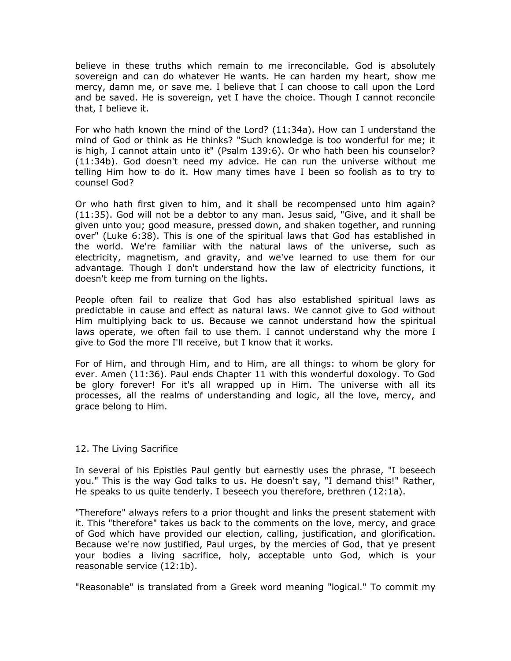believe in these truths which remain to me irreconcilable. God is absolutely sovereign and can do whatever He wants. He can harden my heart, show me mercy, damn me, or save me. I believe that I can choose to call upon the Lord and be saved. He is sovereign, yet I have the choice. Though I cannot reconcile that, I believe it.

For who hath known the mind of the Lord? (11:34a). How can I understand the mind of God or think as He thinks? "Such knowledge is too wonderful for me; it is high, I cannot attain unto it" (Psalm 139:6). Or who hath been his counselor? (11:34b). God doesn't need my advice. He can run the universe without me telling Him how to do it. How many times have I been so foolish as to try to counsel God?

Or who hath first given to him, and it shall be recompensed unto him again? (11:35). God will not be a debtor to any man. Jesus said, "Give, and it shall be given unto you; good measure, pressed down, and shaken together, and running over" (Luke 6:38). This is one of the spiritual laws that God has established in the world. We're familiar with the natural laws of the universe, such as electricity, magnetism, and gravity, and we've learned to use them for our advantage. Though I don't understand how the law of electricity functions, it doesn't keep me from turning on the lights.

People often fail to realize that God has also established spiritual laws as predictable in cause and effect as natural laws. We cannot give to God without Him multiplying back to us. Because we cannot understand how the spiritual laws operate, we often fail to use them. I cannot understand why the more I give to God the more I'll receive, but I know that it works.

For of Him, and through Him, and to Him, are all things: to whom be glory for ever. Amen (11:36). Paul ends Chapter 11 with this wonderful doxology. To God be glory forever! For it's all wrapped up in Him. The universe with all its processes, all the realms of understanding and logic, all the love, mercy, and grace belong to Him.

## 12. The Living Sacrifice

In several of his Epistles Paul gently but earnestly uses the phrase, "I beseech you." This is the way God talks to us. He doesn't say, "I demand this!" Rather, He speaks to us quite tenderly. I beseech you therefore, brethren (12:1a).

"Therefore" always refers to a prior thought and links the present statement with it. This "therefore" takes us back to the comments on the love, mercy, and grace of God which have provided our election, calling, justification, and glorification. Because we're now justified, Paul urges, by the mercies of God, that ye present your bodies a living sacrifice, holy, acceptable unto God, which is your reasonable service (12:1b).

"Reasonable" is translated from a Greek word meaning "logical." To commit my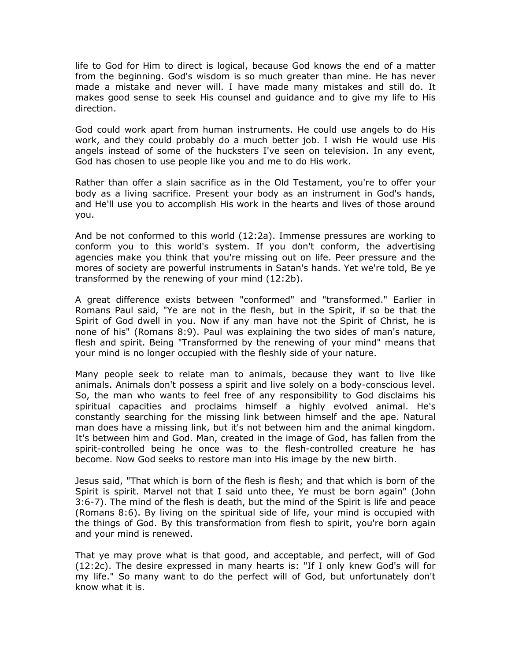life to God for Him to direct is logical, because God knows the end of a matter from the beginning. God's wisdom is so much greater than mine. He has never made a mistake and never will. I have made many mistakes and still do. It makes good sense to seek His counsel and guidance and to give my life to His direction.

God could work apart from human instruments. He could use angels to do His work, and they could probably do a much better job. I wish He would use His angels instead of some of the hucksters I've seen on television. In any event, God has chosen to use people like you and me to do His work.

Rather than offer a slain sacrifice as in the Old Testament, you're to offer your body as a living sacrifice. Present your body as an instrument in God's hands, and He'll use you to accomplish His work in the hearts and lives of those around you.

And be not conformed to this world (12:2a). Immense pressures are working to conform you to this world's system. If you don't conform, the advertising agencies make you think that you're missing out on life. Peer pressure and the mores of society are powerful instruments in Satan's hands. Yet we're told, Be ye transformed by the renewing of your mind (12:2b).

A great difference exists between "conformed" and "transformed." Earlier in Romans Paul said, "Ye are not in the flesh, but in the Spirit, if so be that the Spirit of God dwell in you. Now if any man have not the Spirit of Christ, he is none of his" (Romans 8:9). Paul was explaining the two sides of man's nature, flesh and spirit. Being "Transformed by the renewing of your mind" means that your mind is no longer occupied with the fleshly side of your nature.

Many people seek to relate man to animals, because they want to live like animals. Animals don't possess a spirit and live solely on a body-conscious level. So, the man who wants to feel free of any responsibility to God disclaims his spiritual capacities and proclaims himself a highly evolved animal. He's constantly searching for the missing link between himself and the ape. Natural man does have a missing link, but it's not between him and the animal kingdom. It's between him and God. Man, created in the image of God, has fallen from the spirit-controlled being he once was to the flesh-controlled creature he has become. Now God seeks to restore man into His image by the new birth.

Jesus said, "That which is born of the flesh is flesh; and that which is born of the Spirit is spirit. Marvel not that I said unto thee, Ye must be born again" (John 3:6-7). The mind of the flesh is death, but the mind of the Spirit is life and peace (Romans 8:6). By living on the spiritual side of life, your mind is occupied with the things of God. By this transformation from flesh to spirit, you're born again and your mind is renewed.

That ye may prove what is that good, and acceptable, and perfect, will of God (12:2c). The desire expressed in many hearts is: "If I only knew God's will for my life." So many want to do the perfect will of God, but unfortunately don't know what it is.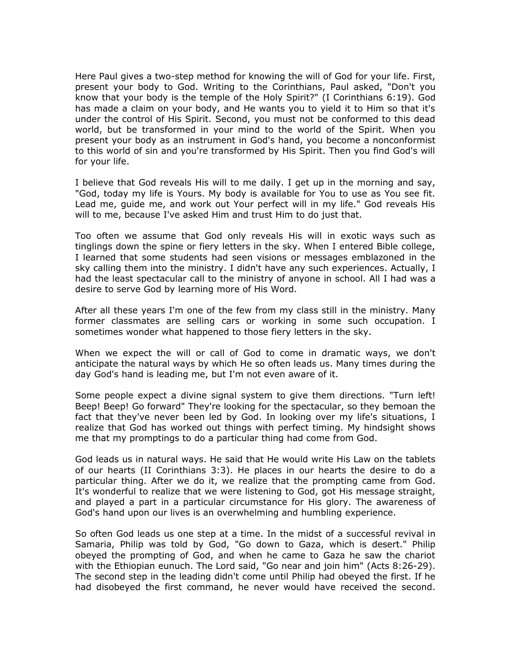Here Paul gives a two-step method for knowing the will of God for your life. First, present your body to God. Writing to the Corinthians, Paul asked, "Don't you know that your body is the temple of the Holy Spirit?" (I Corinthians 6:19). God has made a claim on your body, and He wants you to yield it to Him so that it's under the control of His Spirit. Second, you must not be conformed to this dead world, but be transformed in your mind to the world of the Spirit. When you present your body as an instrument in God's hand, you become a nonconformist to this world of sin and you're transformed by His Spirit. Then you find God's will for your life.

I believe that God reveals His will to me daily. I get up in the morning and say, "God, today my life is Yours. My body is available for You to use as You see fit. Lead me, guide me, and work out Your perfect will in my life." God reveals His will to me, because I've asked Him and trust Him to do just that.

Too often we assume that God only reveals His will in exotic ways such as tinglings down the spine or fiery letters in the sky. When I entered Bible college, I learned that some students had seen visions or messages emblazoned in the sky calling them into the ministry. I didn't have any such experiences. Actually, I had the least spectacular call to the ministry of anyone in school. All I had was a desire to serve God by learning more of His Word.

After all these years I'm one of the few from my class still in the ministry. Many former classmates are selling cars or working in some such occupation. I sometimes wonder what happened to those fiery letters in the sky.

When we expect the will or call of God to come in dramatic ways, we don't anticipate the natural ways by which He so often leads us. Many times during the day God's hand is leading me, but I'm not even aware of it.

Some people expect a divine signal system to give them directions. "Turn left! Beep! Beep! Go forward" They're looking for the spectacular, so they bemoan the fact that they've never been led by God. In looking over my life's situations, I realize that God has worked out things with perfect timing. My hindsight shows me that my promptings to do a particular thing had come from God.

God leads us in natural ways. He said that He would write His Law on the tablets of our hearts (II Corinthians 3:3). He places in our hearts the desire to do a particular thing. After we do it, we realize that the prompting came from God. It's wonderful to realize that we were listening to God, got His message straight, and played a part in a particular circumstance for His glory. The awareness of God's hand upon our lives is an overwhelming and humbling experience.

So often God leads us one step at a time. In the midst of a successful revival in Samaria, Philip was told by God, "Go down to Gaza, which is desert." Philip obeyed the prompting of God, and when he came to Gaza he saw the chariot with the Ethiopian eunuch. The Lord said, "Go near and join him" (Acts 8:26-29). The second step in the leading didn't come until Philip had obeyed the first. If he had disobeyed the first command, he never would have received the second.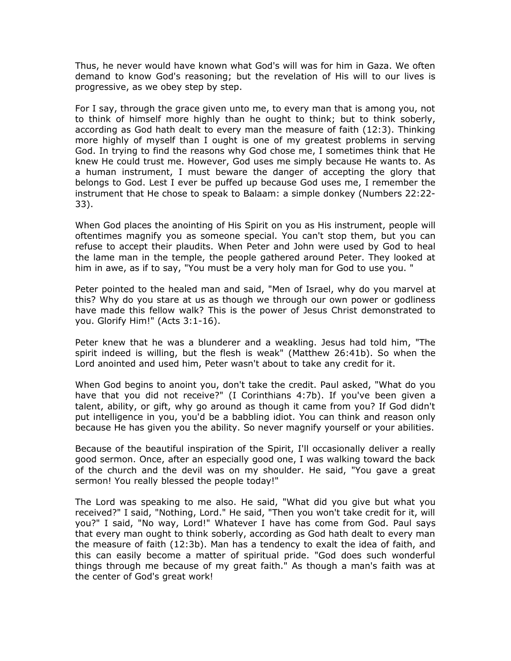Thus, he never would have known what God's will was for him in Gaza. We often demand to know God's reasoning; but the revelation of His will to our lives is progressive, as we obey step by step.

For I say, through the grace given unto me, to every man that is among you, not to think of himself more highly than he ought to think; but to think soberly, according as God hath dealt to every man the measure of faith (12:3). Thinking more highly of myself than I ought is one of my greatest problems in serving God. In trying to find the reasons why God chose me, I sometimes think that He knew He could trust me. However, God uses me simply because He wants to. As a human instrument, I must beware the danger of accepting the glory that belongs to God. Lest I ever be puffed up because God uses me, I remember the instrument that He chose to speak to Balaam: a simple donkey (Numbers 22:22- 33).

When God places the anointing of His Spirit on you as His instrument, people will oftentimes magnify you as someone special. You can't stop them, but you can refuse to accept their plaudits. When Peter and John were used by God to heal the lame man in the temple, the people gathered around Peter. They looked at him in awe, as if to say, "You must be a very holy man for God to use you. "

Peter pointed to the healed man and said, "Men of Israel, why do you marvel at this? Why do you stare at us as though we through our own power or godliness have made this fellow walk? This is the power of Jesus Christ demonstrated to you. Glorify Him!" (Acts 3:1-16).

Peter knew that he was a blunderer and a weakling. Jesus had told him, "The spirit indeed is willing, but the flesh is weak" (Matthew 26:41b). So when the Lord anointed and used him, Peter wasn't about to take any credit for it.

When God begins to anoint you, don't take the credit. Paul asked, "What do you have that you did not receive?" (I Corinthians 4:7b). If you've been given a talent, ability, or gift, why go around as though it came from you? If God didn't put intelligence in you, you'd be a babbling idiot. You can think and reason only because He has given you the ability. So never magnify yourself or your abilities.

Because of the beautiful inspiration of the Spirit, I'll occasionally deliver a really good sermon. Once, after an especially good one, I was walking toward the back of the church and the devil was on my shoulder. He said, "You gave a great sermon! You really blessed the people today!"

The Lord was speaking to me also. He said, "What did you give but what you received?" I said, "Nothing, Lord." He said, "Then you won't take credit for it, will you?" I said, "No way, Lord!" Whatever I have has come from God. Paul says that every man ought to think soberly, according as God hath dealt to every man the measure of faith (12:3b). Man has a tendency to exalt the idea of faith, and this can easily become a matter of spiritual pride. "God does such wonderful things through me because of my great faith." As though a man's faith was at the center of God's great work!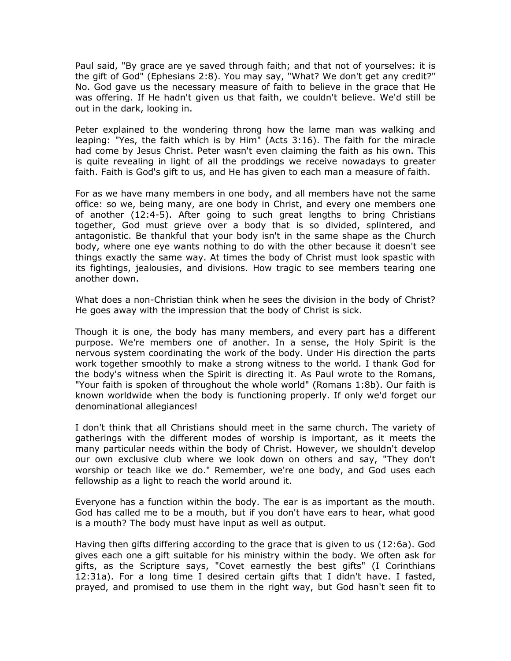Paul said, "By grace are ye saved through faith; and that not of yourselves: it is the gift of God" (Ephesians 2:8). You may say, "What? We don't get any credit?" No. God gave us the necessary measure of faith to believe in the grace that He was offering. If He hadn't given us that faith, we couldn't believe. We'd still be out in the dark, looking in.

Peter explained to the wondering throng how the lame man was walking and leaping: "Yes, the faith which is by Him" (Acts 3:16). The faith for the miracle had come by Jesus Christ. Peter wasn't even claiming the faith as his own. This is quite revealing in light of all the proddings we receive nowadays to greater faith. Faith is God's gift to us, and He has given to each man a measure of faith.

For as we have many members in one body, and all members have not the same office: so we, being many, are one body in Christ, and every one members one of another (12:4-5). After going to such great lengths to bring Christians together, God must grieve over a body that is so divided, splintered, and antagonistic. Be thankful that your body isn't in the same shape as the Church body, where one eye wants nothing to do with the other because it doesn't see things exactly the same way. At times the body of Christ must look spastic with its fightings, jealousies, and divisions. How tragic to see members tearing one another down.

What does a non-Christian think when he sees the division in the body of Christ? He goes away with the impression that the body of Christ is sick.

Though it is one, the body has many members, and every part has a different purpose. We're members one of another. In a sense, the Holy Spirit is the nervous system coordinating the work of the body. Under His direction the parts work together smoothly to make a strong witness to the world. I thank God for the body's witness when the Spirit is directing it. As Paul wrote to the Romans, "Your faith is spoken of throughout the whole world" (Romans 1:8b). Our faith is known worldwide when the body is functioning properly. If only we'd forget our denominational allegiances!

I don't think that all Christians should meet in the same church. The variety of gatherings with the different modes of worship is important, as it meets the many particular needs within the body of Christ. However, we shouldn't develop our own exclusive club where we look down on others and say, "They don't worship or teach like we do." Remember, we're one body, and God uses each fellowship as a light to reach the world around it.

Everyone has a function within the body. The ear is as important as the mouth. God has called me to be a mouth, but if you don't have ears to hear, what good is a mouth? The body must have input as well as output.

Having then gifts differing according to the grace that is given to us (12:6a). God gives each one a gift suitable for his ministry within the body. We often ask for gifts, as the Scripture says, "Covet earnestly the best gifts" (I Corinthians 12:31a). For a long time I desired certain gifts that I didn't have. I fasted, prayed, and promised to use them in the right way, but God hasn't seen fit to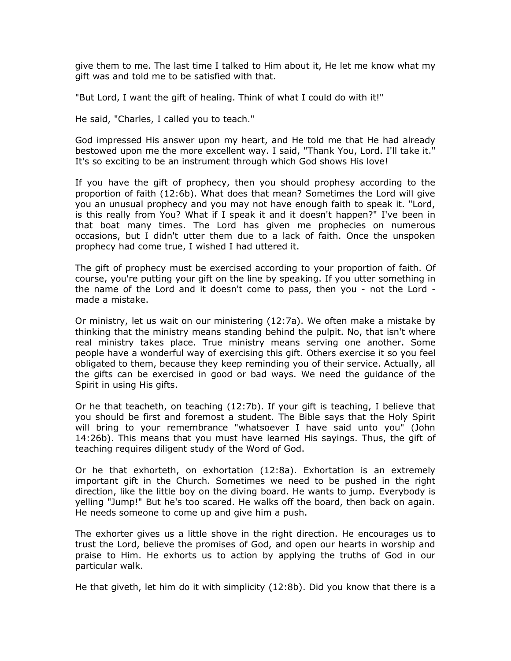give them to me. The last time I talked to Him about it, He let me know what my gift was and told me to be satisfied with that.

"But Lord, I want the gift of healing. Think of what I could do with it!"

He said, "Charles, I called you to teach."

God impressed His answer upon my heart, and He told me that He had already bestowed upon me the more excellent way. I said, "Thank You, Lord. I'll take it." It's so exciting to be an instrument through which God shows His love!

If you have the gift of prophecy, then you should prophesy according to the proportion of faith (12:6b). What does that mean? Sometimes the Lord will give you an unusual prophecy and you may not have enough faith to speak it. "Lord, is this really from You? What if I speak it and it doesn't happen?" I've been in that boat many times. The Lord has given me prophecies on numerous occasions, but I didn't utter them due to a lack of faith. Once the unspoken prophecy had come true, I wished I had uttered it.

The gift of prophecy must be exercised according to your proportion of faith. Of course, you're putting your gift on the line by speaking. If you utter something in the name of the Lord and it doesn't come to pass, then you - not the Lord made a mistake.

Or ministry, let us wait on our ministering (12:7a). We often make a mistake by thinking that the ministry means standing behind the pulpit. No, that isn't where real ministry takes place. True ministry means serving one another. Some people have a wonderful way of exercising this gift. Others exercise it so you feel obligated to them, because they keep reminding you of their service. Actually, all the gifts can be exercised in good or bad ways. We need the guidance of the Spirit in using His gifts.

Or he that teacheth, on teaching (12:7b). If your gift is teaching, I believe that you should be first and foremost a student. The Bible says that the Holy Spirit will bring to your remembrance "whatsoever I have said unto you" (John 14:26b). This means that you must have learned His sayings. Thus, the gift of teaching requires diligent study of the Word of God.

Or he that exhorteth, on exhortation (12:8a). Exhortation is an extremely important gift in the Church. Sometimes we need to be pushed in the right direction, like the little boy on the diving board. He wants to jump. Everybody is yelling "Jump!" But he's too scared. He walks off the board, then back on again. He needs someone to come up and give him a push.

The exhorter gives us a little shove in the right direction. He encourages us to trust the Lord, believe the promises of God, and open our hearts in worship and praise to Him. He exhorts us to action by applying the truths of God in our particular walk.

He that giveth, let him do it with simplicity (12:8b). Did you know that there is a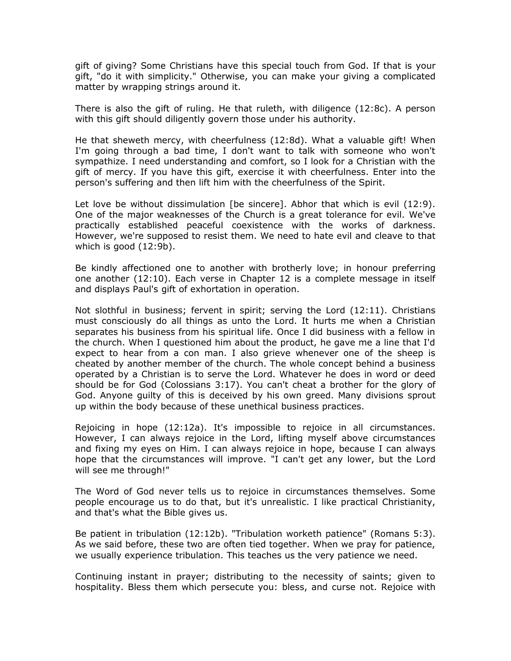gift of giving? Some Christians have this special touch from God. If that is your gift, "do it with simplicity." Otherwise, you can make your giving a complicated matter by wrapping strings around it.

There is also the gift of ruling. He that ruleth, with diligence (12:8c). A person with this gift should diligently govern those under his authority.

He that sheweth mercy, with cheerfulness (12:8d). What a valuable gift! When I'm going through a bad time, I don't want to talk with someone who won't sympathize. I need understanding and comfort, so I look for a Christian with the gift of mercy. If you have this gift, exercise it with cheerfulness. Enter into the person's suffering and then lift him with the cheerfulness of the Spirit.

Let love be without dissimulation [be sincere]. Abhor that which is evil (12:9). One of the major weaknesses of the Church is a great tolerance for evil. We've practically established peaceful coexistence with the works of darkness. However, we're supposed to resist them. We need to hate evil and cleave to that which is good (12:9b).

Be kindly affectioned one to another with brotherly love; in honour preferring one another (12:10). Each verse in Chapter 12 is a complete message in itself and displays Paul's gift of exhortation in operation.

Not slothful in business; fervent in spirit; serving the Lord (12:11). Christians must consciously do all things as unto the Lord. It hurts me when a Christian separates his business from his spiritual life. Once I did business with a fellow in the church. When I questioned him about the product, he gave me a line that I'd expect to hear from a con man. I also grieve whenever one of the sheep is cheated by another member of the church. The whole concept behind a business operated by a Christian is to serve the Lord. Whatever he does in word or deed should be for God (Colossians 3:17). You can't cheat a brother for the glory of God. Anyone guilty of this is deceived by his own greed. Many divisions sprout up within the body because of these unethical business practices.

Rejoicing in hope (12:12a). It's impossible to rejoice in all circumstances. However, I can always rejoice in the Lord, lifting myself above circumstances and fixing my eyes on Him. I can always rejoice in hope, because I can always hope that the circumstances will improve. "I can't get any lower, but the Lord will see me through!"

The Word of God never tells us to rejoice in circumstances themselves. Some people encourage us to do that, but it's unrealistic. I like practical Christianity, and that's what the Bible gives us.

Be patient in tribulation (12:12b). "Tribulation worketh patience" (Romans 5:3). As we said before, these two are often tied together. When we pray for patience, we usually experience tribulation. This teaches us the very patience we need.

Continuing instant in prayer; distributing to the necessity of saints; given to hospitality. Bless them which persecute you: bless, and curse not. Rejoice with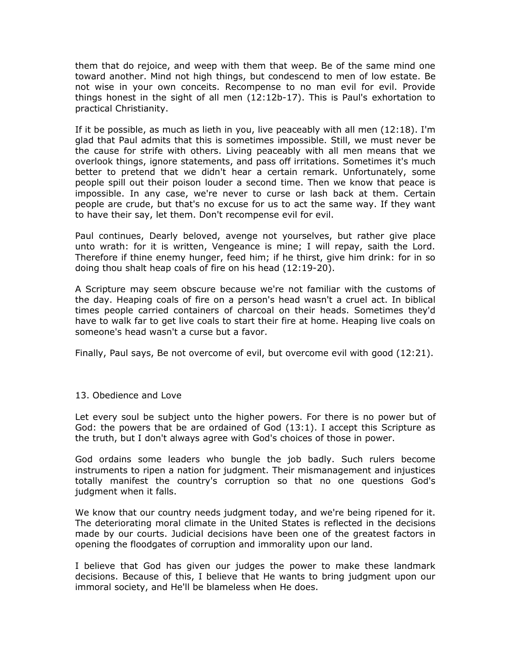them that do rejoice, and weep with them that weep. Be of the same mind one toward another. Mind not high things, but condescend to men of low estate. Be not wise in your own conceits. Recompense to no man evil for evil. Provide things honest in the sight of all men (12:12b-17). This is Paul's exhortation to practical Christianity.

If it be possible, as much as lieth in you, live peaceably with all men (12:18). I'm glad that Paul admits that this is sometimes impossible. Still, we must never be the cause for strife with others. Living peaceably with all men means that we overlook things, ignore statements, and pass off irritations. Sometimes it's much better to pretend that we didn't hear a certain remark. Unfortunately, some people spill out their poison louder a second time. Then we know that peace is impossible. In any case, we're never to curse or lash back at them. Certain people are crude, but that's no excuse for us to act the same way. If they want to have their say, let them. Don't recompense evil for evil.

Paul continues, Dearly beloved, avenge not yourselves, but rather give place unto wrath: for it is written, Vengeance is mine; I will repay, saith the Lord. Therefore if thine enemy hunger, feed him; if he thirst, give him drink: for in so doing thou shalt heap coals of fire on his head (12:19-20).

A Scripture may seem obscure because we're not familiar with the customs of the day. Heaping coals of fire on a person's head wasn't a cruel act. In biblical times people carried containers of charcoal on their heads. Sometimes they'd have to walk far to get live coals to start their fire at home. Heaping live coals on someone's head wasn't a curse but a favor.

Finally, Paul says, Be not overcome of evil, but overcome evil with good (12:21).

# 13. Obedience and Love

Let every soul be subject unto the higher powers. For there is no power but of God: the powers that be are ordained of God (13:1). I accept this Scripture as the truth, but I don't always agree with God's choices of those in power.

God ordains some leaders who bungle the job badly. Such rulers become instruments to ripen a nation for judgment. Their mismanagement and injustices totally manifest the country's corruption so that no one questions God's judgment when it falls.

We know that our country needs judgment today, and we're being ripened for it. The deteriorating moral climate in the United States is reflected in the decisions made by our courts. Judicial decisions have been one of the greatest factors in opening the floodgates of corruption and immorality upon our land.

I believe that God has given our judges the power to make these landmark decisions. Because of this, I believe that He wants to bring judgment upon our immoral society, and He'll be blameless when He does.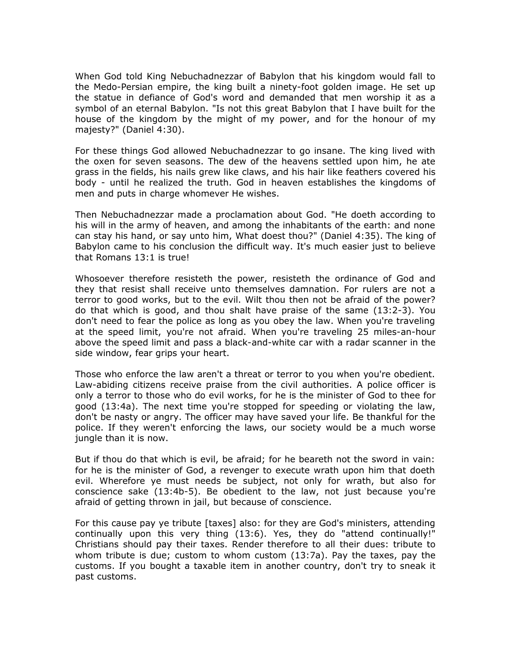When God told King Nebuchadnezzar of Babylon that his kingdom would fall to the Medo-Persian empire, the king built a ninety-foot golden image. He set up the statue in defiance of God's word and demanded that men worship it as a symbol of an eternal Babylon. "Is not this great Babylon that I have built for the house of the kingdom by the might of my power, and for the honour of my majesty?" (Daniel 4:30).

For these things God allowed Nebuchadnezzar to go insane. The king lived with the oxen for seven seasons. The dew of the heavens settled upon him, he ate grass in the fields, his nails grew like claws, and his hair like feathers covered his body - until he realized the truth. God in heaven establishes the kingdoms of men and puts in charge whomever He wishes.

Then Nebuchadnezzar made a proclamation about God. "He doeth according to his will in the army of heaven, and among the inhabitants of the earth: and none can stay his hand, or say unto him, What doest thou?" (Daniel 4:35). The king of Babylon came to his conclusion the difficult way. It's much easier just to believe that Romans 13:1 is true!

Whosoever therefore resisteth the power, resisteth the ordinance of God and they that resist shall receive unto themselves damnation. For rulers are not a terror to good works, but to the evil. Wilt thou then not be afraid of the power? do that which is good, and thou shalt have praise of the same (13:2-3). You don't need to fear the police as long as you obey the law. When you're traveling at the speed limit, you're not afraid. When you're traveling 25 miles-an-hour above the speed limit and pass a black-and-white car with a radar scanner in the side window, fear grips your heart.

Those who enforce the law aren't a threat or terror to you when you're obedient. Law-abiding citizens receive praise from the civil authorities. A police officer is only a terror to those who do evil works, for he is the minister of God to thee for good (13:4a). The next time you're stopped for speeding or violating the law, don't be nasty or angry. The officer may have saved your life. Be thankful for the police. If they weren't enforcing the laws, our society would be a much worse jungle than it is now.

But if thou do that which is evil, be afraid; for he beareth not the sword in vain: for he is the minister of God, a revenger to execute wrath upon him that doeth evil. Wherefore ye must needs be subject, not only for wrath, but also for conscience sake (13:4b-5). Be obedient to the law, not just because you're afraid of getting thrown in jail, but because of conscience.

For this cause pay ye tribute [taxes] also: for they are God's ministers, attending continually upon this very thing (13:6). Yes, they do "attend continually!" Christians should pay their taxes. Render therefore to all their dues: tribute to whom tribute is due; custom to whom custom (13:7a). Pay the taxes, pay the customs. If you bought a taxable item in another country, don't try to sneak it past customs.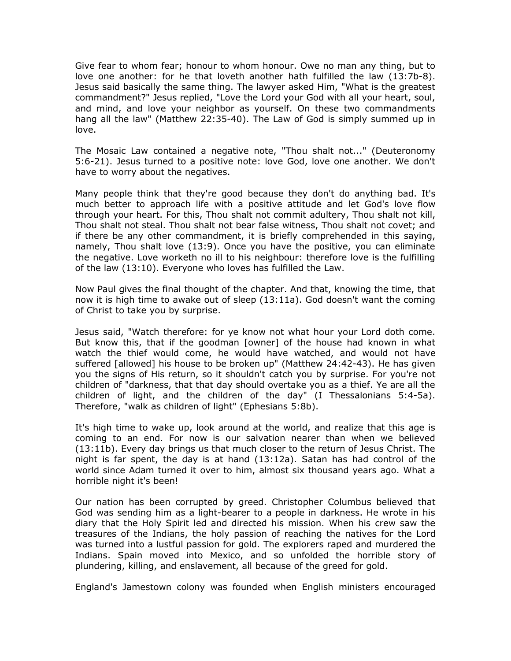Give fear to whom fear; honour to whom honour. Owe no man any thing, but to love one another: for he that loveth another hath fulfilled the law (13:7b-8). Jesus said basically the same thing. The lawyer asked Him, "What is the greatest commandment?" Jesus replied, "Love the Lord your God with all your heart, soul, and mind, and love your neighbor as yourself. On these two commandments hang all the law" (Matthew 22:35-40). The Law of God is simply summed up in love.

The Mosaic Law contained a negative note, "Thou shalt not..." (Deuteronomy 5:6-21). Jesus turned to a positive note: love God, love one another. We don't have to worry about the negatives.

Many people think that they're good because they don't do anything bad. It's much better to approach life with a positive attitude and let God's love flow through your heart. For this, Thou shalt not commit adultery, Thou shalt not kill, Thou shalt not steal. Thou shalt not bear false witness, Thou shalt not covet; and if there be any other commandment, it is briefly comprehended in this saying, namely, Thou shalt love (13:9). Once you have the positive, you can eliminate the negative. Love worketh no ill to his neighbour: therefore love is the fulfilling of the law (13:10). Everyone who loves has fulfilled the Law.

Now Paul gives the final thought of the chapter. And that, knowing the time, that now it is high time to awake out of sleep (13:11a). God doesn't want the coming of Christ to take you by surprise.

Jesus said, "Watch therefore: for ye know not what hour your Lord doth come. But know this, that if the goodman [owner] of the house had known in what watch the thief would come, he would have watched, and would not have suffered [allowed] his house to be broken up" (Matthew 24:42-43). He has given you the signs of His return, so it shouldn't catch you by surprise. For you're not children of "darkness, that that day should overtake you as a thief. Ye are all the children of light, and the children of the day" (I Thessalonians 5:4-5a). Therefore, "walk as children of light" (Ephesians 5:8b).

It's high time to wake up, look around at the world, and realize that this age is coming to an end. For now is our salvation nearer than when we believed (13:11b). Every day brings us that much closer to the return of Jesus Christ. The night is far spent, the day is at hand (13:12a). Satan has had control of the world since Adam turned it over to him, almost six thousand years ago. What a horrible night it's been!

Our nation has been corrupted by greed. Christopher Columbus believed that God was sending him as a light-bearer to a people in darkness. He wrote in his diary that the Holy Spirit led and directed his mission. When his crew saw the treasures of the Indians, the holy passion of reaching the natives for the Lord was turned into a lustful passion for gold. The explorers raped and murdered the Indians. Spain moved into Mexico, and so unfolded the horrible story of plundering, killing, and enslavement, all because of the greed for gold.

England's Jamestown colony was founded when English ministers encouraged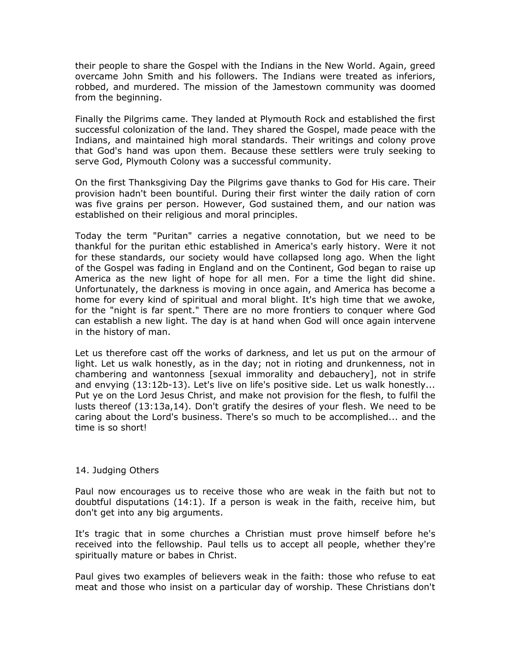their people to share the Gospel with the Indians in the New World. Again, greed overcame John Smith and his followers. The Indians were treated as inferiors, robbed, and murdered. The mission of the Jamestown community was doomed from the beginning.

Finally the Pilgrims came. They landed at Plymouth Rock and established the first successful colonization of the land. They shared the Gospel, made peace with the Indians, and maintained high moral standards. Their writings and colony prove that God's hand was upon them. Because these settlers were truly seeking to serve God, Plymouth Colony was a successful community.

On the first Thanksgiving Day the Pilgrims gave thanks to God for His care. Their provision hadn't been bountiful. During their first winter the daily ration of corn was five grains per person. However, God sustained them, and our nation was established on their religious and moral principles.

Today the term "Puritan" carries a negative connotation, but we need to be thankful for the puritan ethic established in America's early history. Were it not for these standards, our society would have collapsed long ago. When the light of the Gospel was fading in England and on the Continent, God began to raise up America as the new light of hope for all men. For a time the light did shine. Unfortunately, the darkness is moving in once again, and America has become a home for every kind of spiritual and moral blight. It's high time that we awoke, for the "night is far spent." There are no more frontiers to conquer where God can establish a new light. The day is at hand when God will once again intervene in the history of man.

Let us therefore cast off the works of darkness, and let us put on the armour of light. Let us walk honestly, as in the day; not in rioting and drunkenness, not in chambering and wantonness [sexual immorality and debauchery], not in strife and envying (13:12b-13). Let's live on life's positive side. Let us walk honestly... Put ye on the Lord Jesus Christ, and make not provision for the flesh, to fulfil the lusts thereof (13:13a,14). Don't gratify the desires of your flesh. We need to be caring about the Lord's business. There's so much to be accomplished... and the time is so short!

## 14. Judging Others

Paul now encourages us to receive those who are weak in the faith but not to doubtful disputations (14:1). If a person is weak in the faith, receive him, but don't get into any big arguments.

It's tragic that in some churches a Christian must prove himself before he's received into the fellowship. Paul tells us to accept all people, whether they're spiritually mature or babes in Christ.

Paul gives two examples of believers weak in the faith: those who refuse to eat meat and those who insist on a particular day of worship. These Christians don't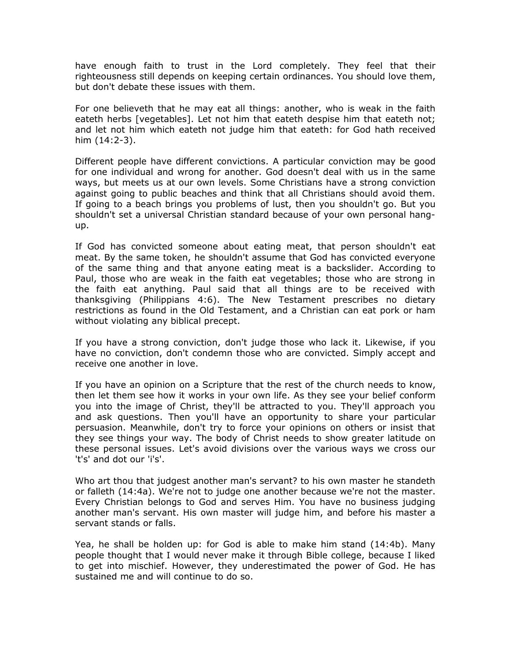have enough faith to trust in the Lord completely. They feel that their righteousness still depends on keeping certain ordinances. You should love them, but don't debate these issues with them.

For one believeth that he may eat all things: another, who is weak in the faith eateth herbs [vegetables]. Let not him that eateth despise him that eateth not; and let not him which eateth not judge him that eateth: for God hath received him (14:2-3).

Different people have different convictions. A particular conviction may be good for one individual and wrong for another. God doesn't deal with us in the same ways, but meets us at our own levels. Some Christians have a strong conviction against going to public beaches and think that all Christians should avoid them. If going to a beach brings you problems of lust, then you shouldn't go. But you shouldn't set a universal Christian standard because of your own personal hangup.

If God has convicted someone about eating meat, that person shouldn't eat meat. By the same token, he shouldn't assume that God has convicted everyone of the same thing and that anyone eating meat is a backslider. According to Paul, those who are weak in the faith eat vegetables; those who are strong in the faith eat anything. Paul said that all things are to be received with thanksgiving (Philippians 4:6). The New Testament prescribes no dietary restrictions as found in the Old Testament, and a Christian can eat pork or ham without violating any biblical precept.

If you have a strong conviction, don't judge those who lack it. Likewise, if you have no conviction, don't condemn those who are convicted. Simply accept and receive one another in love.

If you have an opinion on a Scripture that the rest of the church needs to know, then let them see how it works in your own life. As they see your belief conform you into the image of Christ, they'll be attracted to you. They'll approach you and ask questions. Then you'll have an opportunity to share your particular persuasion. Meanwhile, don't try to force your opinions on others or insist that they see things your way. The body of Christ needs to show greater latitude on these personal issues. Let's avoid divisions over the various ways we cross our 't's' and dot our 'i's'.

Who art thou that judgest another man's servant? to his own master he standeth or falleth (14:4a). We're not to judge one another because we're not the master. Every Christian belongs to God and serves Him. You have no business judging another man's servant. His own master will judge him, and before his master a servant stands or falls.

Yea, he shall be holden up: for God is able to make him stand (14:4b). Many people thought that I would never make it through Bible college, because I liked to get into mischief. However, they underestimated the power of God. He has sustained me and will continue to do so.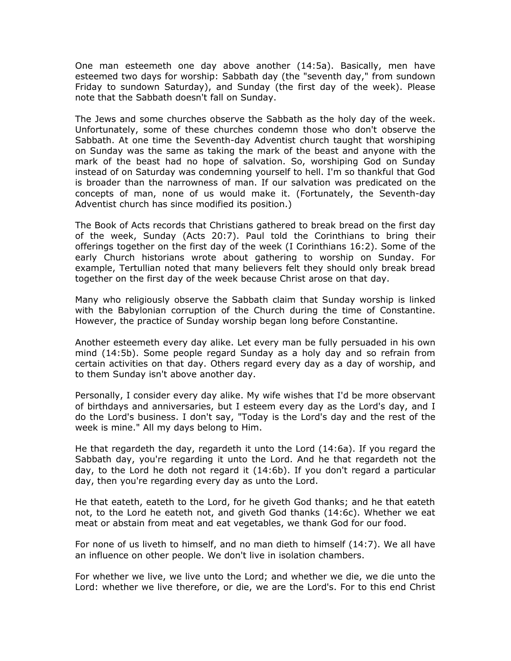One man esteemeth one day above another (14:5a). Basically, men have esteemed two days for worship: Sabbath day (the "seventh day," from sundown Friday to sundown Saturday), and Sunday (the first day of the week). Please note that the Sabbath doesn't fall on Sunday.

The Jews and some churches observe the Sabbath as the holy day of the week. Unfortunately, some of these churches condemn those who don't observe the Sabbath. At one time the Seventh-day Adventist church taught that worshiping on Sunday was the same as taking the mark of the beast and anyone with the mark of the beast had no hope of salvation. So, worshiping God on Sunday instead of on Saturday was condemning yourself to hell. I'm so thankful that God is broader than the narrowness of man. If our salvation was predicated on the concepts of man, none of us would make it. (Fortunately, the Seventh-day Adventist church has since modified its position.)

The Book of Acts records that Christians gathered to break bread on the first day of the week, Sunday (Acts 20:7). Paul told the Corinthians to bring their offerings together on the first day of the week (I Corinthians 16:2). Some of the early Church historians wrote about gathering to worship on Sunday. For example, Tertullian noted that many believers felt they should only break bread together on the first day of the week because Christ arose on that day.

Many who religiously observe the Sabbath claim that Sunday worship is linked with the Babylonian corruption of the Church during the time of Constantine. However, the practice of Sunday worship began long before Constantine.

Another esteemeth every day alike. Let every man be fully persuaded in his own mind (14:5b). Some people regard Sunday as a holy day and so refrain from certain activities on that day. Others regard every day as a day of worship, and to them Sunday isn't above another day.

Personally, I consider every day alike. My wife wishes that I'd be more observant of birthdays and anniversaries, but I esteem every day as the Lord's day, and I do the Lord's business. I don't say, "Today is the Lord's day and the rest of the week is mine." All my days belong to Him.

He that regardeth the day, regardeth it unto the Lord (14:6a). If you regard the Sabbath day, you're regarding it unto the Lord. And he that regardeth not the day, to the Lord he doth not regard it (14:6b). If you don't regard a particular day, then you're regarding every day as unto the Lord.

He that eateth, eateth to the Lord, for he giveth God thanks; and he that eateth not, to the Lord he eateth not, and giveth God thanks (14:6c). Whether we eat meat or abstain from meat and eat vegetables, we thank God for our food.

For none of us liveth to himself, and no man dieth to himself (14:7). We all have an influence on other people. We don't live in isolation chambers.

For whether we live, we live unto the Lord; and whether we die, we die unto the Lord: whether we live therefore, or die, we are the Lord's. For to this end Christ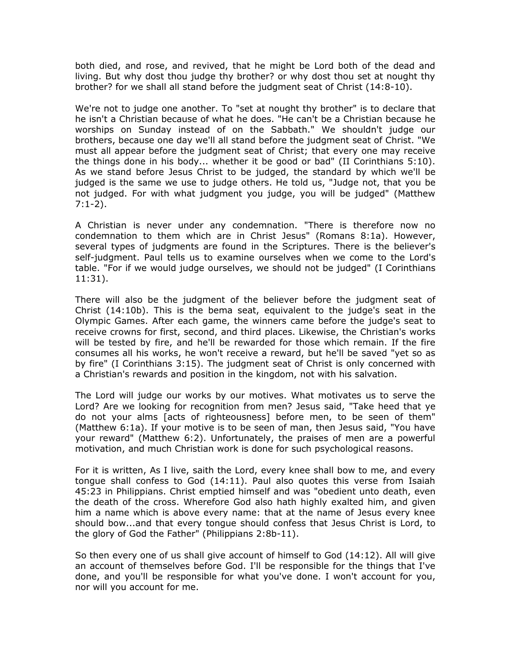both died, and rose, and revived, that he might be Lord both of the dead and living. But why dost thou judge thy brother? or why dost thou set at nought thy brother? for we shall all stand before the judgment seat of Christ (14:8-10).

We're not to judge one another. To "set at nought thy brother" is to declare that he isn't a Christian because of what he does. "He can't be a Christian because he worships on Sunday instead of on the Sabbath." We shouldn't judge our brothers, because one day we'll all stand before the judgment seat of Christ. "We must all appear before the judgment seat of Christ; that every one may receive the things done in his body... whether it be good or bad" (II Corinthians 5:10). As we stand before Jesus Christ to be judged, the standard by which we'll be judged is the same we use to judge others. He told us, "Judge not, that you be not judged. For with what judgment you judge, you will be judged" (Matthew 7:1-2).

A Christian is never under any condemnation. "There is therefore now no condemnation to them which are in Christ Jesus" (Romans 8:1a). However, several types of judgments are found in the Scriptures. There is the believer's self-judgment. Paul tells us to examine ourselves when we come to the Lord's table. "For if we would judge ourselves, we should not be judged" (I Corinthians 11:31).

There will also be the judgment of the believer before the judgment seat of Christ (14:10b). This is the bema seat, equivalent to the judge's seat in the Olympic Games. After each game, the winners came before the judge's seat to receive crowns for first, second, and third places. Likewise, the Christian's works will be tested by fire, and he'll be rewarded for those which remain. If the fire consumes all his works, he won't receive a reward, but he'll be saved "yet so as by fire" (I Corinthians 3:15). The judgment seat of Christ is only concerned with a Christian's rewards and position in the kingdom, not with his salvation.

The Lord will judge our works by our motives. What motivates us to serve the Lord? Are we looking for recognition from men? Jesus said, "Take heed that ye do not your alms [acts of righteousness] before men, to be seen of them" (Matthew 6:1a). If your motive is to be seen of man, then Jesus said, "You have your reward" (Matthew 6:2). Unfortunately, the praises of men are a powerful motivation, and much Christian work is done for such psychological reasons.

For it is written, As I live, saith the Lord, every knee shall bow to me, and every tongue shall confess to God (14:11). Paul also quotes this verse from Isaiah 45:23 in Philippians. Christ emptied himself and was "obedient unto death, even the death of the cross. Wherefore God also hath highly exalted him, and given him a name which is above every name: that at the name of Jesus every knee should bow...and that every tongue should confess that Jesus Christ is Lord, to the glory of God the Father" (Philippians 2:8b-11).

So then every one of us shall give account of himself to God (14:12). All will give an account of themselves before God. I'll be responsible for the things that I've done, and you'll be responsible for what you've done. I won't account for you, nor will you account for me.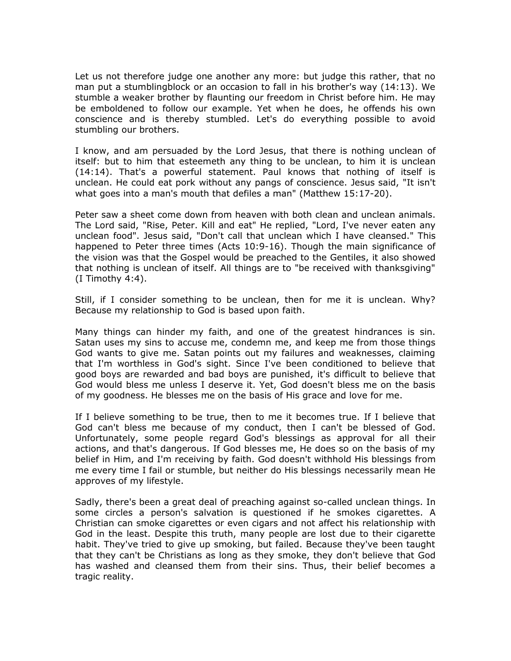Let us not therefore judge one another any more: but judge this rather, that no man put a stumblingblock or an occasion to fall in his brother's way (14:13). We stumble a weaker brother by flaunting our freedom in Christ before him. He may be emboldened to follow our example. Yet when he does, he offends his own conscience and is thereby stumbled. Let's do everything possible to avoid stumbling our brothers.

I know, and am persuaded by the Lord Jesus, that there is nothing unclean of itself: but to him that esteemeth any thing to be unclean, to him it is unclean (14:14). That's a powerful statement. Paul knows that nothing of itself is unclean. He could eat pork without any pangs of conscience. Jesus said, "It isn't what goes into a man's mouth that defiles a man" (Matthew 15:17-20).

Peter saw a sheet come down from heaven with both clean and unclean animals. The Lord said, "Rise, Peter. Kill and eat" He replied, "Lord, I've never eaten any unclean food". Jesus said, "Don't call that unclean which I have cleansed." This happened to Peter three times (Acts 10:9-16). Though the main significance of the vision was that the Gospel would be preached to the Gentiles, it also showed that nothing is unclean of itself. All things are to "be received with thanksgiving" (I Timothy 4:4).

Still, if I consider something to be unclean, then for me it is unclean. Why? Because my relationship to God is based upon faith.

Many things can hinder my faith, and one of the greatest hindrances is sin. Satan uses my sins to accuse me, condemn me, and keep me from those things God wants to give me. Satan points out my failures and weaknesses, claiming that I'm worthless in God's sight. Since I've been conditioned to believe that good boys are rewarded and bad boys are punished, it's difficult to believe that God would bless me unless I deserve it. Yet, God doesn't bless me on the basis of my goodness. He blesses me on the basis of His grace and love for me.

If I believe something to be true, then to me it becomes true. If I believe that God can't bless me because of my conduct, then I can't be blessed of God. Unfortunately, some people regard God's blessings as approval for all their actions, and that's dangerous. If God blesses me, He does so on the basis of my belief in Him, and I'm receiving by faith. God doesn't withhold His blessings from me every time I fail or stumble, but neither do His blessings necessarily mean He approves of my lifestyle.

Sadly, there's been a great deal of preaching against so-called unclean things. In some circles a person's salvation is questioned if he smokes cigarettes. A Christian can smoke cigarettes or even cigars and not affect his relationship with God in the least. Despite this truth, many people are lost due to their cigarette habit. They've tried to give up smoking, but failed. Because they've been taught that they can't be Christians as long as they smoke, they don't believe that God has washed and cleansed them from their sins. Thus, their belief becomes a tragic reality.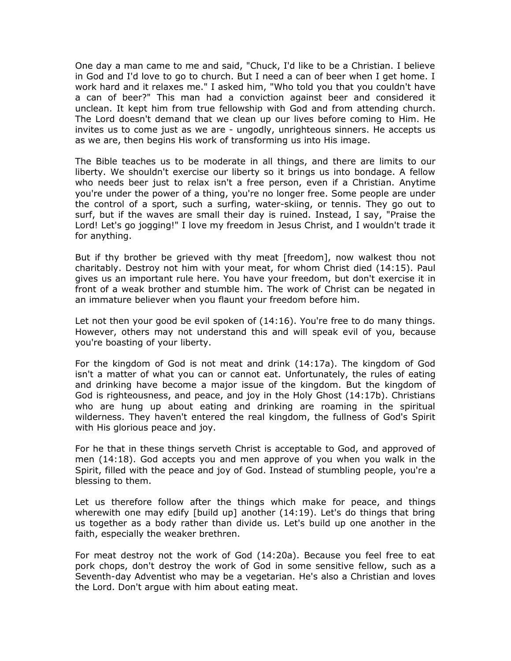One day a man came to me and said, "Chuck, I'd like to be a Christian. I believe in God and I'd love to go to church. But I need a can of beer when I get home. I work hard and it relaxes me." I asked him, "Who told you that you couldn't have a can of beer?" This man had a conviction against beer and considered it unclean. It kept him from true fellowship with God and from attending church. The Lord doesn't demand that we clean up our lives before coming to Him. He invites us to come just as we are - ungodly, unrighteous sinners. He accepts us as we are, then begins His work of transforming us into His image.

The Bible teaches us to be moderate in all things, and there are limits to our liberty. We shouldn't exercise our liberty so it brings us into bondage. A fellow who needs beer just to relax isn't a free person, even if a Christian. Anytime you're under the power of a thing, you're no longer free. Some people are under the control of a sport, such a surfing, water-skiing, or tennis. They go out to surf, but if the waves are small their day is ruined. Instead, I say, "Praise the Lord! Let's go jogging!" I love my freedom in Jesus Christ, and I wouldn't trade it for anything.

But if thy brother be grieved with thy meat [freedom], now walkest thou not charitably. Destroy not him with your meat, for whom Christ died (14:15). Paul gives us an important rule here. You have your freedom, but don't exercise it in front of a weak brother and stumble him. The work of Christ can be negated in an immature believer when you flaunt your freedom before him.

Let not then your good be evil spoken of (14:16). You're free to do many things. However, others may not understand this and will speak evil of you, because you're boasting of your liberty.

For the kingdom of God is not meat and drink (14:17a). The kingdom of God isn't a matter of what you can or cannot eat. Unfortunately, the rules of eating and drinking have become a major issue of the kingdom. But the kingdom of God is righteousness, and peace, and joy in the Holy Ghost (14:17b). Christians who are hung up about eating and drinking are roaming in the spiritual wilderness. They haven't entered the real kingdom, the fullness of God's Spirit with His glorious peace and joy.

For he that in these things serveth Christ is acceptable to God, and approved of men (14:18). God accepts you and men approve of you when you walk in the Spirit, filled with the peace and joy of God. Instead of stumbling people, you're a blessing to them.

Let us therefore follow after the things which make for peace, and things wherewith one may edify [build up] another  $(14:19)$ . Let's do things that bring us together as a body rather than divide us. Let's build up one another in the faith, especially the weaker brethren.

For meat destroy not the work of God (14:20a). Because you feel free to eat pork chops, don't destroy the work of God in some sensitive fellow, such as a Seventh-day Adventist who may be a vegetarian. He's also a Christian and loves the Lord. Don't argue with him about eating meat.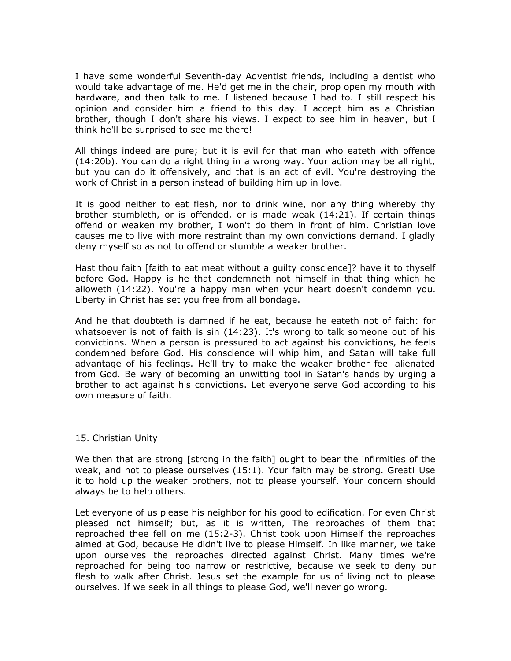I have some wonderful Seventh-day Adventist friends, including a dentist who would take advantage of me. He'd get me in the chair, prop open my mouth with hardware, and then talk to me. I listened because I had to. I still respect his opinion and consider him a friend to this day. I accept him as a Christian brother, though I don't share his views. I expect to see him in heaven, but I think he'll be surprised to see me there!

All things indeed are pure; but it is evil for that man who eateth with offence (14:20b). You can do a right thing in a wrong way. Your action may be all right, but you can do it offensively, and that is an act of evil. You're destroying the work of Christ in a person instead of building him up in love.

It is good neither to eat flesh, nor to drink wine, nor any thing whereby thy brother stumbleth, or is offended, or is made weak (14:21). If certain things offend or weaken my brother, I won't do them in front of him. Christian love causes me to live with more restraint than my own convictions demand. I gladly deny myself so as not to offend or stumble a weaker brother.

Hast thou faith [faith to eat meat without a guilty conscience]? have it to thyself before God. Happy is he that condemneth not himself in that thing which he alloweth (14:22). You're a happy man when your heart doesn't condemn you. Liberty in Christ has set you free from all bondage.

And he that doubteth is damned if he eat, because he eateth not of faith: for whatsoever is not of faith is sin (14:23). It's wrong to talk someone out of his convictions. When a person is pressured to act against his convictions, he feels condemned before God. His conscience will whip him, and Satan will take full advantage of his feelings. He'll try to make the weaker brother feel alienated from God. Be wary of becoming an unwitting tool in Satan's hands by urging a brother to act against his convictions. Let everyone serve God according to his own measure of faith.

## 15. Christian Unity

We then that are strong [strong in the faith] ought to bear the infirmities of the weak, and not to please ourselves (15:1). Your faith may be strong. Great! Use it to hold up the weaker brothers, not to please yourself. Your concern should always be to help others.

Let everyone of us please his neighbor for his good to edification. For even Christ pleased not himself; but, as it is written, The reproaches of them that reproached thee fell on me (15:2-3). Christ took upon Himself the reproaches aimed at God, because He didn't live to please Himself. In like manner, we take upon ourselves the reproaches directed against Christ. Many times we're reproached for being too narrow or restrictive, because we seek to deny our flesh to walk after Christ. Jesus set the example for us of living not to please ourselves. If we seek in all things to please God, we'll never go wrong.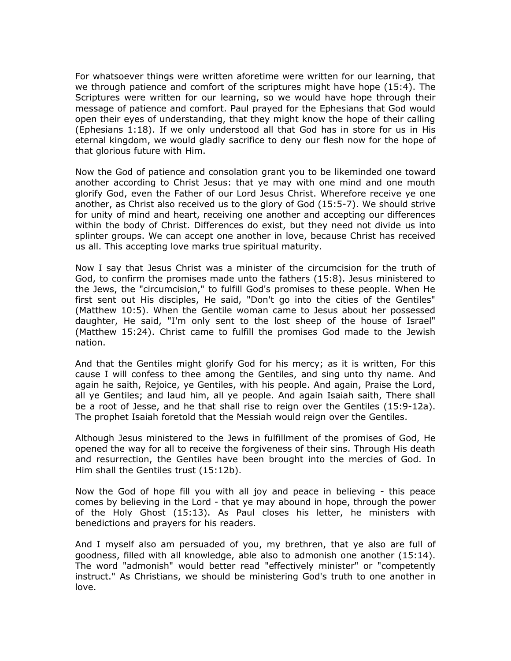For whatsoever things were written aforetime were written for our learning, that we through patience and comfort of the scriptures might have hope (15:4). The Scriptures were written for our learning, so we would have hope through their message of patience and comfort. Paul prayed for the Ephesians that God would open their eyes of understanding, that they might know the hope of their calling (Ephesians 1:18). If we only understood all that God has in store for us in His eternal kingdom, we would gladly sacrifice to deny our flesh now for the hope of that glorious future with Him.

Now the God of patience and consolation grant you to be likeminded one toward another according to Christ Jesus: that ye may with one mind and one mouth glorify God, even the Father of our Lord Jesus Christ. Wherefore receive ye one another, as Christ also received us to the glory of God (15:5-7). We should strive for unity of mind and heart, receiving one another and accepting our differences within the body of Christ. Differences do exist, but they need not divide us into splinter groups. We can accept one another in love, because Christ has received us all. This accepting love marks true spiritual maturity.

Now I say that Jesus Christ was a minister of the circumcision for the truth of God, to confirm the promises made unto the fathers (15:8). Jesus ministered to the Jews, the "circumcision," to fulfill God's promises to these people. When He first sent out His disciples, He said, "Don't go into the cities of the Gentiles" (Matthew 10:5). When the Gentile woman came to Jesus about her possessed daughter, He said, "I'm only sent to the lost sheep of the house of Israel" (Matthew 15:24). Christ came to fulfill the promises God made to the Jewish nation.

And that the Gentiles might glorify God for his mercy; as it is written, For this cause I will confess to thee among the Gentiles, and sing unto thy name. And again he saith, Rejoice, ye Gentiles, with his people. And again, Praise the Lord, all ye Gentiles; and laud him, all ye people. And again Isaiah saith, There shall be a root of Jesse, and he that shall rise to reign over the Gentiles (15:9-12a). The prophet Isaiah foretold that the Messiah would reign over the Gentiles.

Although Jesus ministered to the Jews in fulfillment of the promises of God, He opened the way for all to receive the forgiveness of their sins. Through His death and resurrection, the Gentiles have been brought into the mercies of God. In Him shall the Gentiles trust (15:12b).

Now the God of hope fill you with all joy and peace in believing - this peace comes by believing in the Lord - that ye may abound in hope, through the power of the Holy Ghost (15:13). As Paul closes his letter, he ministers with benedictions and prayers for his readers.

And I myself also am persuaded of you, my brethren, that ye also are full of goodness, filled with all knowledge, able also to admonish one another (15:14). The word "admonish" would better read "effectively minister" or "competently instruct." As Christians, we should be ministering God's truth to one another in love.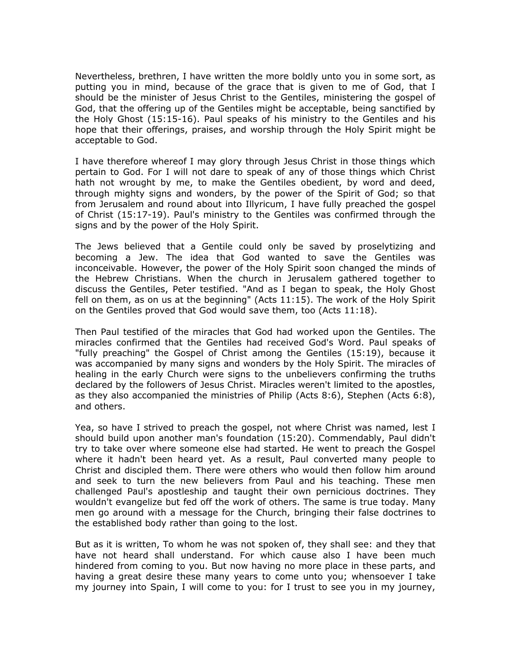Nevertheless, brethren, I have written the more boldly unto you in some sort, as putting you in mind, because of the grace that is given to me of God, that I should be the minister of Jesus Christ to the Gentiles, ministering the gospel of God, that the offering up of the Gentiles might be acceptable, being sanctified by the Holy Ghost (15:15-16). Paul speaks of his ministry to the Gentiles and his hope that their offerings, praises, and worship through the Holy Spirit might be acceptable to God.

I have therefore whereof I may glory through Jesus Christ in those things which pertain to God. For I will not dare to speak of any of those things which Christ hath not wrought by me, to make the Gentiles obedient, by word and deed, through mighty signs and wonders, by the power of the Spirit of God; so that from Jerusalem and round about into Illyricum, I have fully preached the gospel of Christ (15:17-19). Paul's ministry to the Gentiles was confirmed through the signs and by the power of the Holy Spirit.

The Jews believed that a Gentile could only be saved by proselytizing and becoming a Jew. The idea that God wanted to save the Gentiles was inconceivable. However, the power of the Holy Spirit soon changed the minds of the Hebrew Christians. When the church in Jerusalem gathered together to discuss the Gentiles, Peter testified. "And as I began to speak, the Holy Ghost fell on them, as on us at the beginning" (Acts 11:15). The work of the Holy Spirit on the Gentiles proved that God would save them, too (Acts 11:18).

Then Paul testified of the miracles that God had worked upon the Gentiles. The miracles confirmed that the Gentiles had received God's Word. Paul speaks of "fully preaching" the Gospel of Christ among the Gentiles (15:19), because it was accompanied by many signs and wonders by the Holy Spirit. The miracles of healing in the early Church were signs to the unbelievers confirming the truths declared by the followers of Jesus Christ. Miracles weren't limited to the apostles, as they also accompanied the ministries of Philip (Acts 8:6), Stephen (Acts 6:8), and others.

Yea, so have I strived to preach the gospel, not where Christ was named, lest I should build upon another man's foundation (15:20). Commendably, Paul didn't try to take over where someone else had started. He went to preach the Gospel where it hadn't been heard yet. As a result, Paul converted many people to Christ and discipled them. There were others who would then follow him around and seek to turn the new believers from Paul and his teaching. These men challenged Paul's apostleship and taught their own pernicious doctrines. They wouldn't evangelize but fed off the work of others. The same is true today. Many men go around with a message for the Church, bringing their false doctrines to the established body rather than going to the lost.

But as it is written, To whom he was not spoken of, they shall see: and they that have not heard shall understand. For which cause also I have been much hindered from coming to you. But now having no more place in these parts, and having a great desire these many years to come unto you; whensoever I take my journey into Spain, I will come to you: for I trust to see you in my journey,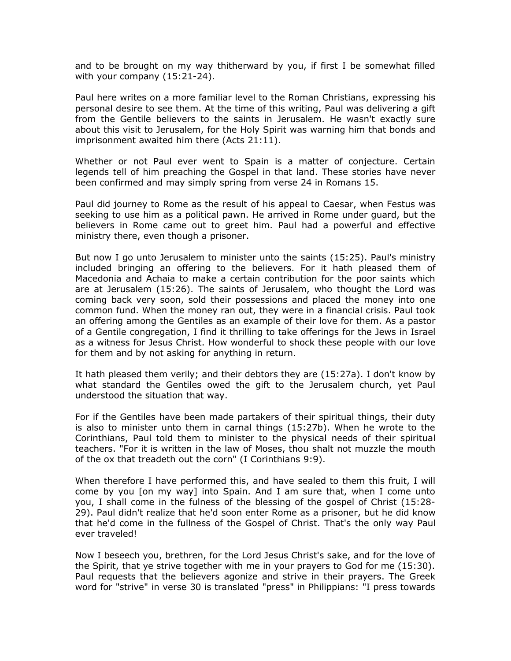and to be brought on my way thitherward by you, if first I be somewhat filled with your company (15:21-24).

Paul here writes on a more familiar level to the Roman Christians, expressing his personal desire to see them. At the time of this writing, Paul was delivering a gift from the Gentile believers to the saints in Jerusalem. He wasn't exactly sure about this visit to Jerusalem, for the Holy Spirit was warning him that bonds and imprisonment awaited him there (Acts 21:11).

Whether or not Paul ever went to Spain is a matter of conjecture. Certain legends tell of him preaching the Gospel in that land. These stories have never been confirmed and may simply spring from verse 24 in Romans 15.

Paul did journey to Rome as the result of his appeal to Caesar, when Festus was seeking to use him as a political pawn. He arrived in Rome under guard, but the believers in Rome came out to greet him. Paul had a powerful and effective ministry there, even though a prisoner.

But now I go unto Jerusalem to minister unto the saints (15:25). Paul's ministry included bringing an offering to the believers. For it hath pleased them of Macedonia and Achaia to make a certain contribution for the poor saints which are at Jerusalem (15:26). The saints of Jerusalem, who thought the Lord was coming back very soon, sold their possessions and placed the money into one common fund. When the money ran out, they were in a financial crisis. Paul took an offering among the Gentiles as an example of their love for them. As a pastor of a Gentile congregation, I find it thrilling to take offerings for the Jews in Israel as a witness for Jesus Christ. How wonderful to shock these people with our love for them and by not asking for anything in return.

It hath pleased them verily; and their debtors they are (15:27a). I don't know by what standard the Gentiles owed the gift to the Jerusalem church, yet Paul understood the situation that way.

For if the Gentiles have been made partakers of their spiritual things, their duty is also to minister unto them in carnal things (15:27b). When he wrote to the Corinthians, Paul told them to minister to the physical needs of their spiritual teachers. "For it is written in the law of Moses, thou shalt not muzzle the mouth of the ox that treadeth out the corn" (I Corinthians 9:9).

When therefore I have performed this, and have sealed to them this fruit, I will come by you [on my way] into Spain. And I am sure that, when I come unto you, I shall come in the fulness of the blessing of the gospel of Christ (15:28- 29). Paul didn't realize that he'd soon enter Rome as a prisoner, but he did know that he'd come in the fullness of the Gospel of Christ. That's the only way Paul ever traveled!

Now I beseech you, brethren, for the Lord Jesus Christ's sake, and for the love of the Spirit, that ye strive together with me in your prayers to God for me (15:30). Paul requests that the believers agonize and strive in their prayers. The Greek word for "strive" in verse 30 is translated "press" in Philippians: "I press towards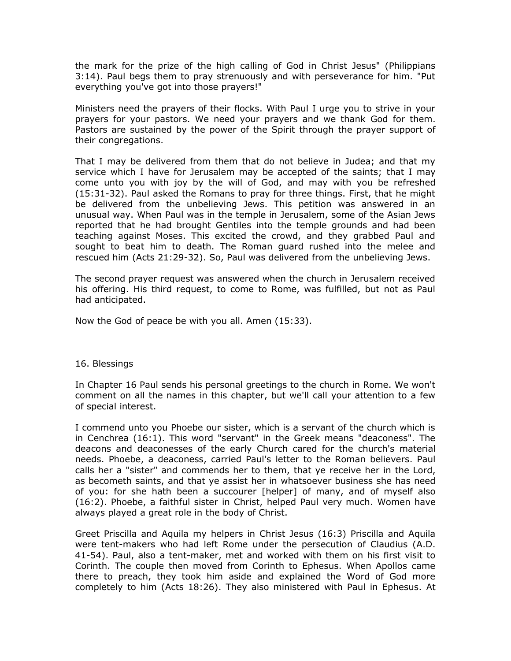the mark for the prize of the high calling of God in Christ Jesus" (Philippians 3:14). Paul begs them to pray strenuously and with perseverance for him. "Put everything you've got into those prayers!"

Ministers need the prayers of their flocks. With Paul I urge you to strive in your prayers for your pastors. We need your prayers and we thank God for them. Pastors are sustained by the power of the Spirit through the prayer support of their congregations.

That I may be delivered from them that do not believe in Judea; and that my service which I have for Jerusalem may be accepted of the saints; that I may come unto you with joy by the will of God, and may with you be refreshed (15:31-32). Paul asked the Romans to pray for three things. First, that he might be delivered from the unbelieving Jews. This petition was answered in an unusual way. When Paul was in the temple in Jerusalem, some of the Asian Jews reported that he had brought Gentiles into the temple grounds and had been teaching against Moses. This excited the crowd, and they grabbed Paul and sought to beat him to death. The Roman guard rushed into the melee and rescued him (Acts 21:29-32). So, Paul was delivered from the unbelieving Jews.

The second prayer request was answered when the church in Jerusalem received his offering. His third request, to come to Rome, was fulfilled, but not as Paul had anticipated.

Now the God of peace be with you all. Amen (15:33).

## 16. Blessings

In Chapter 16 Paul sends his personal greetings to the church in Rome. We won't comment on all the names in this chapter, but we'll call your attention to a few of special interest.

I commend unto you Phoebe our sister, which is a servant of the church which is in Cenchrea (16:1). This word "servant" in the Greek means "deaconess". The deacons and deaconesses of the early Church cared for the church's material needs. Phoebe, a deaconess, carried Paul's letter to the Roman believers. Paul calls her a "sister" and commends her to them, that ye receive her in the Lord, as becometh saints, and that ye assist her in whatsoever business she has need of you: for she hath been a succourer [helper] of many, and of myself also (16:2). Phoebe, a faithful sister in Christ, helped Paul very much. Women have always played a great role in the body of Christ.

Greet Priscilla and Aquila my helpers in Christ Jesus (16:3) Priscilla and Aquila were tent-makers who had left Rome under the persecution of Claudius (A.D. 41-54). Paul, also a tent-maker, met and worked with them on his first visit to Corinth. The couple then moved from Corinth to Ephesus. When Apollos came there to preach, they took him aside and explained the Word of God more completely to him (Acts 18:26). They also ministered with Paul in Ephesus. At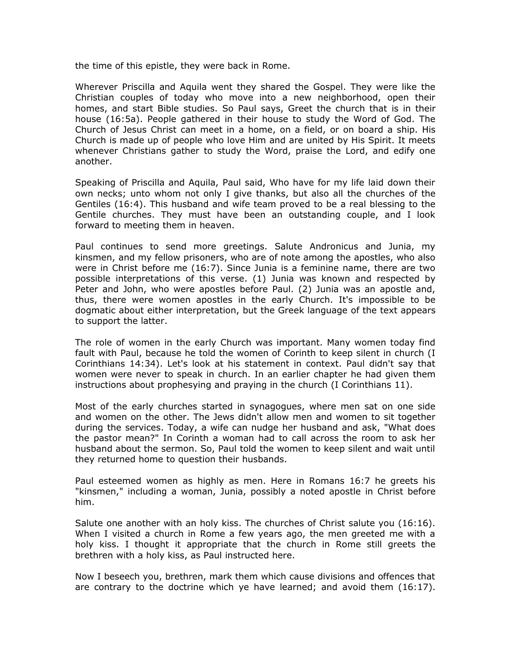the time of this epistle, they were back in Rome.

Wherever Priscilla and Aquila went they shared the Gospel. They were like the Christian couples of today who move into a new neighborhood, open their homes, and start Bible studies. So Paul says, Greet the church that is in their house (16:5a). People gathered in their house to study the Word of God. The Church of Jesus Christ can meet in a home, on a field, or on board a ship. His Church is made up of people who love Him and are united by His Spirit. It meets whenever Christians gather to study the Word, praise the Lord, and edify one another.

Speaking of Priscilla and Aquila, Paul said, Who have for my life laid down their own necks; unto whom not only I give thanks, but also all the churches of the Gentiles (16:4). This husband and wife team proved to be a real blessing to the Gentile churches. They must have been an outstanding couple, and I look forward to meeting them in heaven.

Paul continues to send more greetings. Salute Andronicus and Junia, my kinsmen, and my fellow prisoners, who are of note among the apostles, who also were in Christ before me (16:7). Since Junia is a feminine name, there are two possible interpretations of this verse. (1) Junia was known and respected by Peter and John, who were apostles before Paul. (2) Junia was an apostle and, thus, there were women apostles in the early Church. It's impossible to be dogmatic about either interpretation, but the Greek language of the text appears to support the latter.

The role of women in the early Church was important. Many women today find fault with Paul, because he told the women of Corinth to keep silent in church (I Corinthians 14:34). Let's look at his statement in context. Paul didn't say that women were never to speak in church. In an earlier chapter he had given them instructions about prophesying and praying in the church (I Corinthians 11).

Most of the early churches started in synagogues, where men sat on one side and women on the other. The Jews didn't allow men and women to sit together during the services. Today, a wife can nudge her husband and ask, "What does the pastor mean?" In Corinth a woman had to call across the room to ask her husband about the sermon. So, Paul told the women to keep silent and wait until they returned home to question their husbands.

Paul esteemed women as highly as men. Here in Romans 16:7 he greets his "kinsmen," including a woman, Junia, possibly a noted apostle in Christ before him.

Salute one another with an holy kiss. The churches of Christ salute you (16:16). When I visited a church in Rome a few years ago, the men greeted me with a holy kiss. I thought it appropriate that the church in Rome still greets the brethren with a holy kiss, as Paul instructed here.

Now I beseech you, brethren, mark them which cause divisions and offences that are contrary to the doctrine which ye have learned; and avoid them (16:17).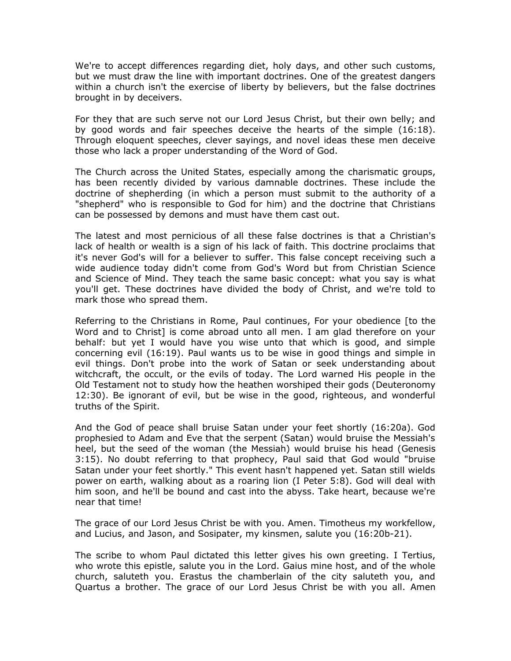We're to accept differences regarding diet, holy days, and other such customs, but we must draw the line with important doctrines. One of the greatest dangers within a church isn't the exercise of liberty by believers, but the false doctrines brought in by deceivers.

For they that are such serve not our Lord Jesus Christ, but their own belly; and by good words and fair speeches deceive the hearts of the simple (16:18). Through eloquent speeches, clever sayings, and novel ideas these men deceive those who lack a proper understanding of the Word of God.

The Church across the United States, especially among the charismatic groups, has been recently divided by various damnable doctrines. These include the doctrine of shepherding (in which a person must submit to the authority of a "shepherd" who is responsible to God for him) and the doctrine that Christians can be possessed by demons and must have them cast out.

The latest and most pernicious of all these false doctrines is that a Christian's lack of health or wealth is a sign of his lack of faith. This doctrine proclaims that it's never God's will for a believer to suffer. This false concept receiving such a wide audience today didn't come from God's Word but from Christian Science and Science of Mind. They teach the same basic concept: what you say is what you'll get. These doctrines have divided the body of Christ, and we're told to mark those who spread them.

Referring to the Christians in Rome, Paul continues, For your obedience [to the Word and to Christ] is come abroad unto all men. I am glad therefore on your behalf: but yet I would have you wise unto that which is good, and simple concerning evil (16:19). Paul wants us to be wise in good things and simple in evil things. Don't probe into the work of Satan or seek understanding about witchcraft, the occult, or the evils of today. The Lord warned His people in the Old Testament not to study how the heathen worshiped their gods (Deuteronomy 12:30). Be ignorant of evil, but be wise in the good, righteous, and wonderful truths of the Spirit.

And the God of peace shall bruise Satan under your feet shortly (16:20a). God prophesied to Adam and Eve that the serpent (Satan) would bruise the Messiah's heel, but the seed of the woman (the Messiah) would bruise his head (Genesis 3:15). No doubt referring to that prophecy, Paul said that God would "bruise Satan under your feet shortly." This event hasn't happened yet. Satan still wields power on earth, walking about as a roaring lion (I Peter 5:8). God will deal with him soon, and he'll be bound and cast into the abyss. Take heart, because we're near that time!

The grace of our Lord Jesus Christ be with you. Amen. Timotheus my workfellow, and Lucius, and Jason, and Sosipater, my kinsmen, salute you (16:20b-21).

The scribe to whom Paul dictated this letter gives his own greeting. I Tertius, who wrote this epistle, salute you in the Lord. Gaius mine host, and of the whole church, saluteth you. Erastus the chamberlain of the city saluteth you, and Quartus a brother. The grace of our Lord Jesus Christ be with you all. Amen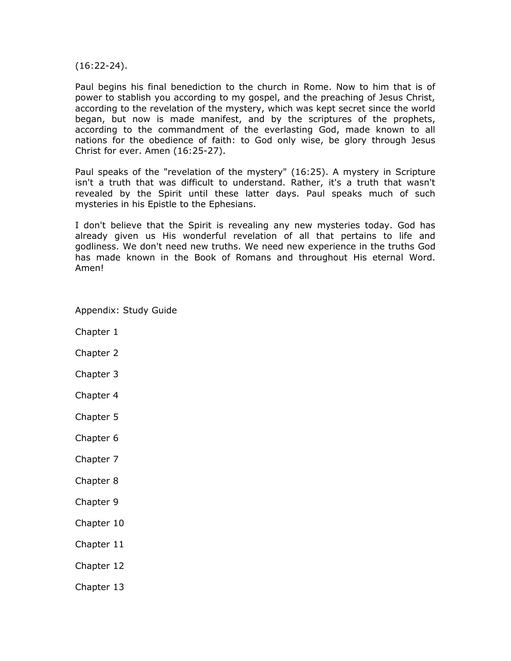(16:22-24).

Paul begins his final benediction to the church in Rome. Now to him that is of power to stablish you according to my gospel, and the preaching of Jesus Christ, according to the revelation of the mystery, which was kept secret since the world began, but now is made manifest, and by the scriptures of the prophets, according to the commandment of the everlasting God, made known to all nations for the obedience of faith: to God only wise, be glory through Jesus Christ for ever. Amen (16:25-27).

Paul speaks of the "revelation of the mystery" (16:25). A mystery in Scripture isn't a truth that was difficult to understand. Rather, it's a truth that wasn't revealed by the Spirit until these latter days. Paul speaks much of such mysteries in his Epistle to the Ephesians.

I don't believe that the Spirit is revealing any new mysteries today. God has already given us His wonderful revelation of all that pertains to life and godliness. We don't need new truths. We need new experience in the truths God has made known in the Book of Romans and throughout His eternal Word. Amen!

Appendix: Study Guide

Chapter 1

Chapter 2

Chapter 3

Chapter 4

Chapter 5

Chapter 6

Chapter 7

Chapter 8

Chapter 9

Chapter 10

Chapter 11

Chapter 12

Chapter 13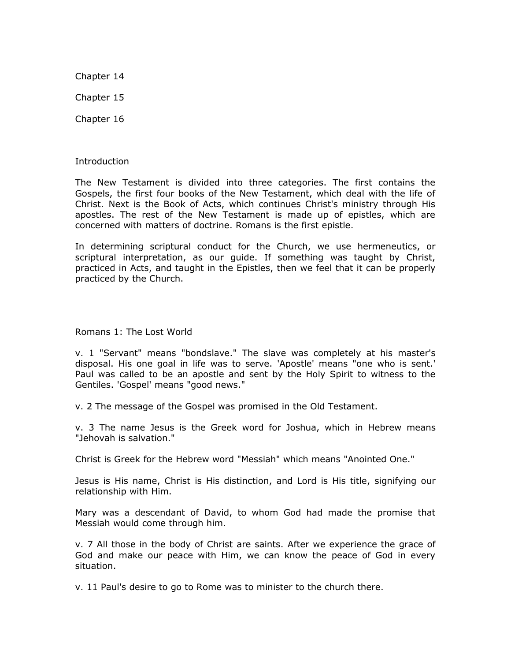Chapter 14

Chapter 15

Chapter 16

## **Introduction**

The New Testament is divided into three categories. The first contains the Gospels, the first four books of the New Testament, which deal with the life of Christ. Next is the Book of Acts, which continues Christ's ministry through His apostles. The rest of the New Testament is made up of epistles, which are concerned with matters of doctrine. Romans is the first epistle.

In determining scriptural conduct for the Church, we use hermeneutics, or scriptural interpretation, as our guide. If something was taught by Christ, practiced in Acts, and taught in the Epistles, then we feel that it can be properly practiced by the Church.

## Romans 1: The Lost World

v. 1 "Servant" means "bondslave." The slave was completely at his master's disposal. His one goal in life was to serve. 'Apostle' means "one who is sent.' Paul was called to be an apostle and sent by the Holy Spirit to witness to the Gentiles. 'Gospel' means "good news."

v. 2 The message of the Gospel was promised in the Old Testament.

v. 3 The name Jesus is the Greek word for Joshua, which in Hebrew means "Jehovah is salvation."

Christ is Greek for the Hebrew word "Messiah" which means "Anointed One."

Jesus is His name, Christ is His distinction, and Lord is His title, signifying our relationship with Him.

Mary was a descendant of David, to whom God had made the promise that Messiah would come through him.

v. 7 All those in the body of Christ are saints. After we experience the grace of God and make our peace with Him, we can know the peace of God in every situation.

v. 11 Paul's desire to go to Rome was to minister to the church there.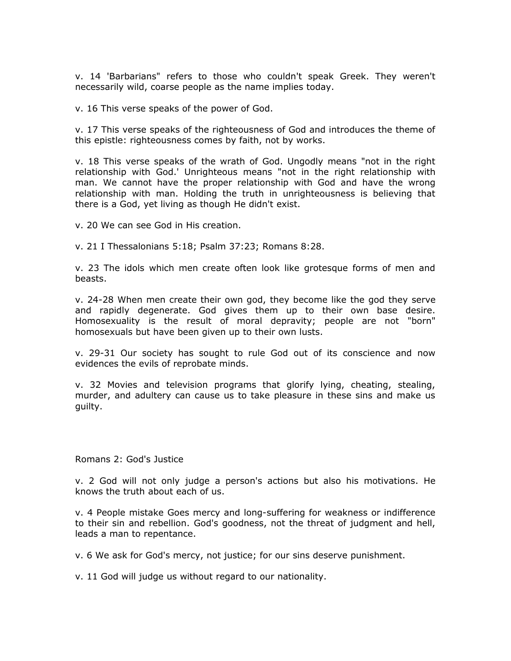v. 14 'Barbarians" refers to those who couldn't speak Greek. They weren't necessarily wild, coarse people as the name implies today.

v. 16 This verse speaks of the power of God.

v. 17 This verse speaks of the righteousness of God and introduces the theme of this epistle: righteousness comes by faith, not by works.

v. 18 This verse speaks of the wrath of God. Ungodly means "not in the right relationship with God.' Unrighteous means "not in the right relationship with man. We cannot have the proper relationship with God and have the wrong relationship with man. Holding the truth in unrighteousness is believing that there is a God, yet living as though He didn't exist.

v. 20 We can see God in His creation.

v. 21 I Thessalonians 5:18; Psalm 37:23; Romans 8:28.

v. 23 The idols which men create often look like grotesque forms of men and beasts.

v. 24-28 When men create their own god, they become like the god they serve and rapidly degenerate. God gives them up to their own base desire. Homosexuality is the result of moral depravity; people are not "born" homosexuals but have been given up to their own lusts.

v. 29-31 Our society has sought to rule God out of its conscience and now evidences the evils of reprobate minds.

v. 32 Movies and television programs that glorify lying, cheating, stealing, murder, and adultery can cause us to take pleasure in these sins and make us guilty.

Romans 2: God's Justice

v. 2 God will not only judge a person's actions but also his motivations. He knows the truth about each of us.

v. 4 People mistake Goes mercy and long-suffering for weakness or indifference to their sin and rebellion. God's goodness, not the threat of judgment and hell, leads a man to repentance.

v. 6 We ask for God's mercy, not justice; for our sins deserve punishment.

v. 11 God will judge us without regard to our nationality.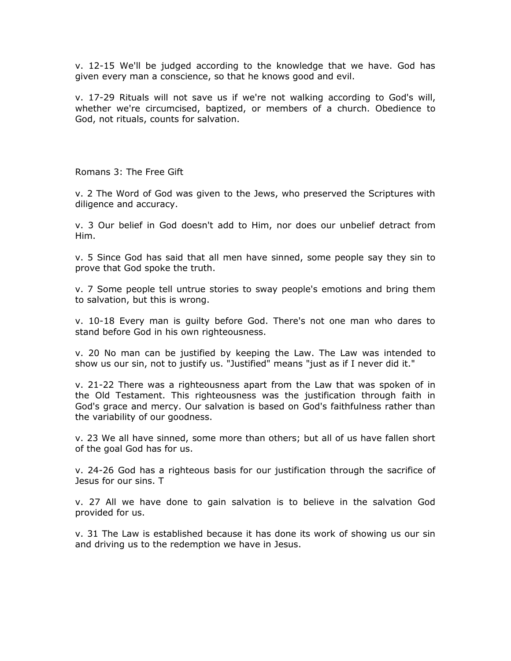v. 12-15 We'll be judged according to the knowledge that we have. God has given every man a conscience, so that he knows good and evil.

v. 17-29 Rituals will not save us if we're not walking according to God's will, whether we're circumcised, baptized, or members of a church. Obedience to God, not rituals, counts for salvation.

Romans 3: The Free Gift

v. 2 The Word of God was given to the Jews, who preserved the Scriptures with diligence and accuracy.

v. 3 Our belief in God doesn't add to Him, nor does our unbelief detract from Him.

v. 5 Since God has said that all men have sinned, some people say they sin to prove that God spoke the truth.

v. 7 Some people tell untrue stories to sway people's emotions and bring them to salvation, but this is wrong.

v. 10-18 Every man is guilty before God. There's not one man who dares to stand before God in his own righteousness.

v. 20 No man can be justified by keeping the Law. The Law was intended to show us our sin, not to justify us. "Justified" means "just as if I never did it."

v. 21-22 There was a righteousness apart from the Law that was spoken of in the Old Testament. This righteousness was the justification through faith in God's grace and mercy. Our salvation is based on God's faithfulness rather than the variability of our goodness.

v. 23 We all have sinned, some more than others; but all of us have fallen short of the goal God has for us.

v. 24-26 God has a righteous basis for our justification through the sacrifice of Jesus for our sins. T

v. 27 All we have done to gain salvation is to believe in the salvation God provided for us.

v. 31 The Law is established because it has done its work of showing us our sin and driving us to the redemption we have in Jesus.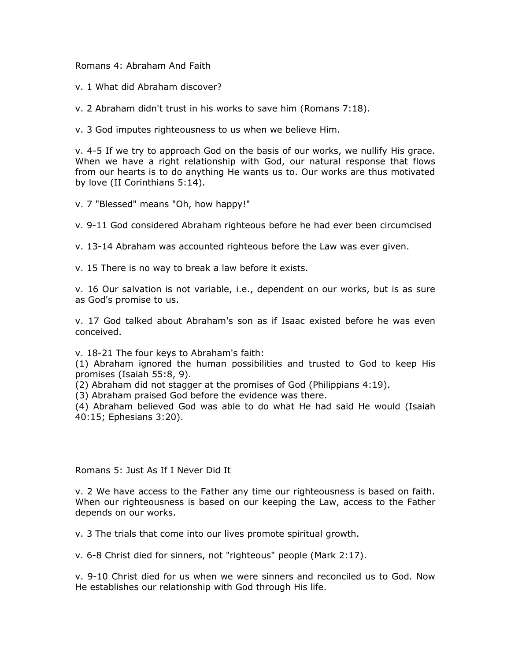Romans 4: Abraham And Faith

v. 1 What did Abraham discover?

v. 2 Abraham didn't trust in his works to save him (Romans 7:18).

v. 3 God imputes righteousness to us when we believe Him.

v. 4-5 If we try to approach God on the basis of our works, we nullify His grace. When we have a right relationship with God, our natural response that flows from our hearts is to do anything He wants us to. Our works are thus motivated by love (II Corinthians 5:14).

v. 7 "Blessed" means "Oh, how happy!"

v. 9-11 God considered Abraham righteous before he had ever been circumcised

v. 13-14 Abraham was accounted righteous before the Law was ever given.

v. 15 There is no way to break a law before it exists.

v. 16 Our salvation is not variable, i.e., dependent on our works, but is as sure as God's promise to us.

v. 17 God talked about Abraham's son as if Isaac existed before he was even conceived.

v. 18-21 The four keys to Abraham's faith:

(1) Abraham ignored the human possibilities and trusted to God to keep His promises (Isaiah 55:8, 9).

(2) Abraham did not stagger at the promises of God (Philippians 4:19).

(3) Abraham praised God before the evidence was there.

(4) Abraham believed God was able to do what He had said He would (Isaiah 40:15; Ephesians 3:20).

Romans 5: Just As If I Never Did It

v. 2 We have access to the Father any time our righteousness is based on faith. When our righteousness is based on our keeping the Law, access to the Father depends on our works.

v. 3 The trials that come into our lives promote spiritual growth.

v. 6-8 Christ died for sinners, not "righteous" people (Mark 2:17).

v. 9-10 Christ died for us when we were sinners and reconciled us to God. Now He establishes our relationship with God through His life.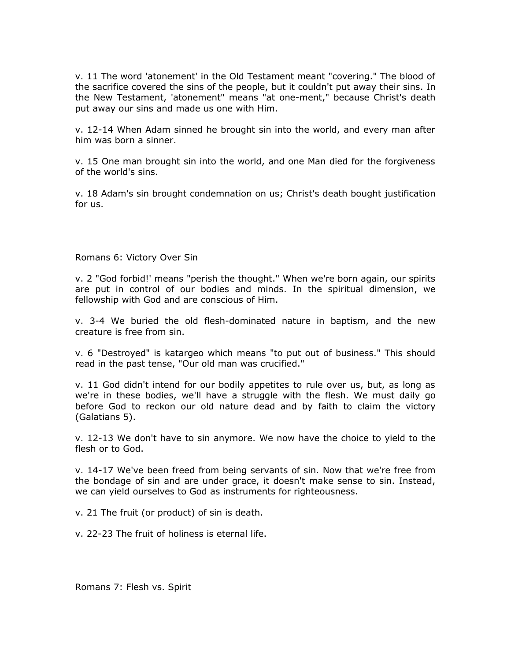v. 11 The word 'atonement' in the Old Testament meant "covering." The blood of the sacrifice covered the sins of the people, but it couldn't put away their sins. In the New Testament, 'atonement" means "at one-ment," because Christ's death put away our sins and made us one with Him.

v. 12-14 When Adam sinned he brought sin into the world, and every man after him was born a sinner.

v. 15 One man brought sin into the world, and one Man died for the forgiveness of the world's sins.

v. 18 Adam's sin brought condemnation on us; Christ's death bought justification for us.

Romans 6: Victory Over Sin

v. 2 "God forbid!' means "perish the thought." When we're born again, our spirits are put in control of our bodies and minds. In the spiritual dimension, we fellowship with God and are conscious of Him.

v. 3-4 We buried the old flesh-dominated nature in baptism, and the new creature is free from sin.

v. 6 "Destroyed" is katargeo which means "to put out of business." This should read in the past tense, "Our old man was crucified."

v. 11 God didn't intend for our bodily appetites to rule over us, but, as long as we're in these bodies, we'll have a struggle with the flesh. We must daily go before God to reckon our old nature dead and by faith to claim the victory (Galatians 5).

v. 12-13 We don't have to sin anymore. We now have the choice to yield to the flesh or to God.

v. 14-17 We've been freed from being servants of sin. Now that we're free from the bondage of sin and are under grace, it doesn't make sense to sin. Instead, we can yield ourselves to God as instruments for righteousness.

v. 21 The fruit (or product) of sin is death.

v. 22-23 The fruit of holiness is eternal life.

Romans 7: Flesh vs. Spirit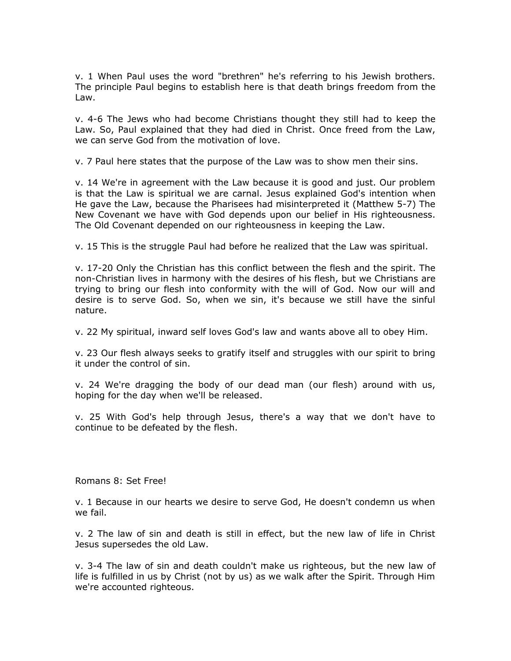v. 1 When Paul uses the word "brethren" he's referring to his Jewish brothers. The principle Paul begins to establish here is that death brings freedom from the Law.

v. 4-6 The Jews who had become Christians thought they still had to keep the Law. So, Paul explained that they had died in Christ. Once freed from the Law, we can serve God from the motivation of love.

v. 7 Paul here states that the purpose of the Law was to show men their sins.

v. 14 We're in agreement with the Law because it is good and just. Our problem is that the Law is spiritual we are carnal. Jesus explained God's intention when He gave the Law, because the Pharisees had misinterpreted it (Matthew 5-7) The New Covenant we have with God depends upon our belief in His righteousness. The Old Covenant depended on our righteousness in keeping the Law.

v. 15 This is the struggle Paul had before he realized that the Law was spiritual.

v. 17-20 Only the Christian has this conflict between the flesh and the spirit. The non-Christian lives in harmony with the desires of his flesh, but we Christians are trying to bring our flesh into conformity with the will of God. Now our will and desire is to serve God. So, when we sin, it's because we still have the sinful nature.

v. 22 My spiritual, inward self loves God's law and wants above all to obey Him.

v. 23 Our flesh always seeks to gratify itself and struggles with our spirit to bring it under the control of sin.

v. 24 We're dragging the body of our dead man (our flesh) around with us, hoping for the day when we'll be released.

v. 25 With God's help through Jesus, there's a way that we don't have to continue to be defeated by the flesh.

Romans 8: Set Free!

v. 1 Because in our hearts we desire to serve God, He doesn't condemn us when we fail.

v. 2 The law of sin and death is still in effect, but the new law of life in Christ Jesus supersedes the old Law.

v. 3-4 The law of sin and death couldn't make us righteous, but the new law of life is fulfilled in us by Christ (not by us) as we walk after the Spirit. Through Him we're accounted righteous.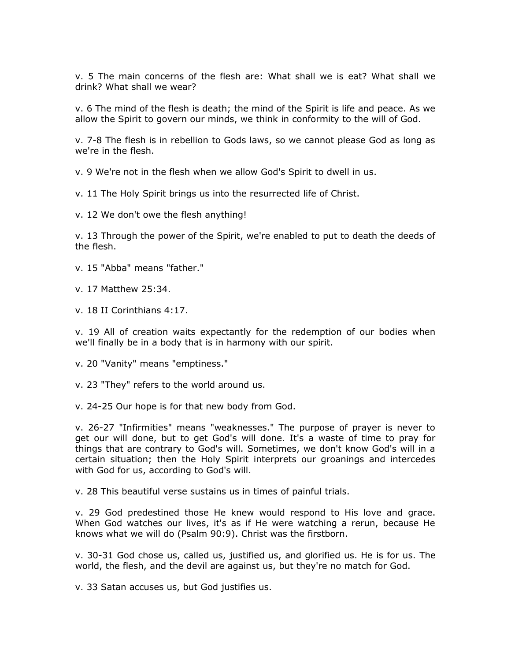v. 5 The main concerns of the flesh are: What shall we is eat? What shall we drink? What shall we wear?

v. 6 The mind of the flesh is death; the mind of the Spirit is life and peace. As we allow the Spirit to govern our minds, we think in conformity to the will of God.

v. 7-8 The flesh is in rebellion to Gods laws, so we cannot please God as long as we're in the flesh.

v. 9 We're not in the flesh when we allow God's Spirit to dwell in us.

v. 11 The Holy Spirit brings us into the resurrected life of Christ.

v. 12 We don't owe the flesh anything!

v. 13 Through the power of the Spirit, we're enabled to put to death the deeds of the flesh.

v. 15 "Abba" means "father."

v. 17 Matthew 25:34.

v. 18 II Corinthians 4:17.

v. 19 All of creation waits expectantly for the redemption of our bodies when we'll finally be in a body that is in harmony with our spirit.

v. 20 "Vanity" means "emptiness."

v. 23 "They" refers to the world around us.

v. 24-25 Our hope is for that new body from God.

v. 26-27 "Infirmities" means "weaknesses." The purpose of prayer is never to get our will done, but to get God's will done. It's a waste of time to pray for things that are contrary to God's will. Sometimes, we don't know God's will in a certain situation; then the Holy Spirit interprets our groanings and intercedes with God for us, according to God's will.

v. 28 This beautiful verse sustains us in times of painful trials.

v. 29 God predestined those He knew would respond to His love and grace. When God watches our lives, it's as if He were watching a rerun, because He knows what we will do (Psalm 90:9). Christ was the firstborn.

v. 30-31 God chose us, called us, justified us, and glorified us. He is for us. The world, the flesh, and the devil are against us, but they're no match for God.

v. 33 Satan accuses us, but God justifies us.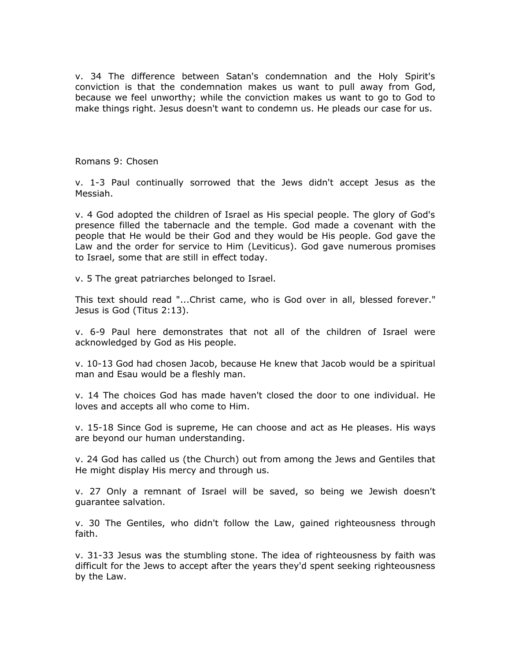v. 34 The difference between Satan's condemnation and the Holy Spirit's conviction is that the condemnation makes us want to pull away from God, because we feel unworthy; while the conviction makes us want to go to God to make things right. Jesus doesn't want to condemn us. He pleads our case for us.

Romans 9: Chosen

v. 1-3 Paul continually sorrowed that the Jews didn't accept Jesus as the Messiah.

v. 4 God adopted the children of Israel as His special people. The glory of God's presence filled the tabernacle and the temple. God made a covenant with the people that He would be their God and they would be His people. God gave the Law and the order for service to Him (Leviticus). God gave numerous promises to Israel, some that are still in effect today.

v. 5 The great patriarches belonged to Israel.

This text should read "...Christ came, who is God over in all, blessed forever." Jesus is God (Titus 2:13).

v. 6-9 Paul here demonstrates that not all of the children of Israel were acknowledged by God as His people.

v. 10-13 God had chosen Jacob, because He knew that Jacob would be a spiritual man and Esau would be a fleshly man.

v. 14 The choices God has made haven't closed the door to one individual. He loves and accepts all who come to Him.

v. 15-18 Since God is supreme, He can choose and act as He pleases. His ways are beyond our human understanding.

v. 24 God has called us (the Church) out from among the Jews and Gentiles that He might display His mercy and through us.

v. 27 Only a remnant of Israel will be saved, so being we Jewish doesn't guarantee salvation.

v. 30 The Gentiles, who didn't follow the Law, gained righteousness through faith.

v. 31-33 Jesus was the stumbling stone. The idea of righteousness by faith was difficult for the Jews to accept after the years they'd spent seeking righteousness by the Law.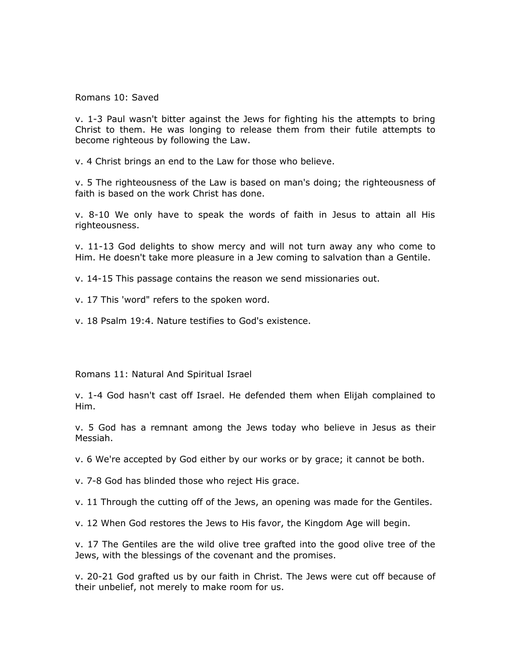Romans 10: Saved

v. 1-3 Paul wasn't bitter against the Jews for fighting his the attempts to bring Christ to them. He was longing to release them from their futile attempts to become righteous by following the Law.

v. 4 Christ brings an end to the Law for those who believe.

v. 5 The righteousness of the Law is based on man's doing; the righteousness of faith is based on the work Christ has done.

v. 8-10 We only have to speak the words of faith in Jesus to attain all His righteousness.

v. 11-13 God delights to show mercy and will not turn away any who come to Him. He doesn't take more pleasure in a Jew coming to salvation than a Gentile.

v. 14-15 This passage contains the reason we send missionaries out.

v. 17 This 'word" refers to the spoken word.

v. 18 Psalm 19:4. Nature testifies to God's existence.

Romans 11: Natural And Spiritual Israel

v. 1-4 God hasn't cast off Israel. He defended them when Elijah complained to Him.

v. 5 God has a remnant among the Jews today who believe in Jesus as their Messiah.

v. 6 We're accepted by God either by our works or by grace; it cannot be both.

v. 7-8 God has blinded those who reject His grace.

v. 11 Through the cutting off of the Jews, an opening was made for the Gentiles.

v. 12 When God restores the Jews to His favor, the Kingdom Age will begin.

v. 17 The Gentiles are the wild olive tree grafted into the good olive tree of the Jews, with the blessings of the covenant and the promises.

v. 20-21 God grafted us by our faith in Christ. The Jews were cut off because of their unbelief, not merely to make room for us.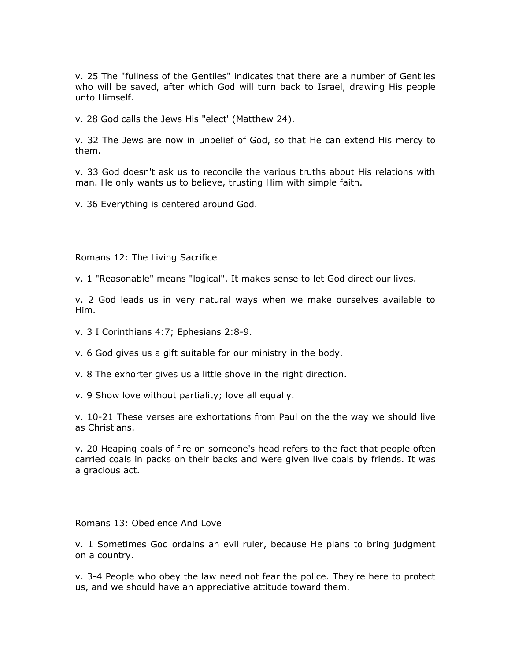v. 25 The "fullness of the Gentiles" indicates that there are a number of Gentiles who will be saved, after which God will turn back to Israel, drawing His people unto Himself.

v. 28 God calls the Jews His "elect' (Matthew 24).

v. 32 The Jews are now in unbelief of God, so that He can extend His mercy to them.

v. 33 God doesn't ask us to reconcile the various truths about His relations with man. He only wants us to believe, trusting Him with simple faith.

v. 36 Everything is centered around God.

Romans 12: The Living Sacrifice

v. 1 "Reasonable" means "logical". It makes sense to let God direct our lives.

v. 2 God leads us in very natural ways when we make ourselves available to Him.

v. 3 I Corinthians 4:7; Ephesians 2:8-9.

v. 6 God gives us a gift suitable for our ministry in the body.

v. 8 The exhorter gives us a little shove in the right direction.

v. 9 Show love without partiality; love all equally.

v. 10-21 These verses are exhortations from Paul on the the way we should live as Christians.

v. 20 Heaping coals of fire on someone's head refers to the fact that people often carried coals in packs on their backs and were given live coals by friends. It was a gracious act.

Romans 13: Obedience And Love

v. 1 Sometimes God ordains an evil ruler, because He plans to bring judgment on a country.

v. 3-4 People who obey the law need not fear the police. They're here to protect us, and we should have an appreciative attitude toward them.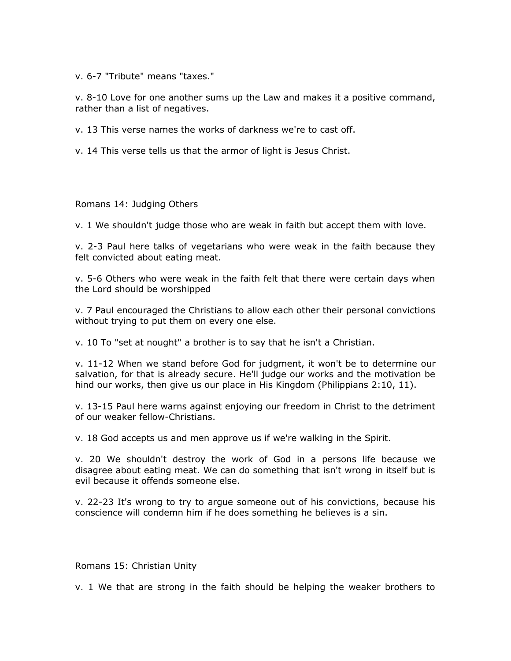v. 6-7 "Tribute" means "taxes."

v. 8-10 Love for one another sums up the Law and makes it a positive command, rather than a list of negatives.

v. 13 This verse names the works of darkness we're to cast off.

v. 14 This verse tells us that the armor of light is Jesus Christ.

# Romans 14: Judging Others

v. 1 We shouldn't judge those who are weak in faith but accept them with love.

v. 2-3 Paul here talks of vegetarians who were weak in the faith because they felt convicted about eating meat.

v. 5-6 Others who were weak in the faith felt that there were certain days when the Lord should be worshipped

v. 7 Paul encouraged the Christians to allow each other their personal convictions without trying to put them on every one else.

v. 10 To "set at nought" a brother is to say that he isn't a Christian.

v. 11-12 When we stand before God for judgment, it won't be to determine our salvation, for that is already secure. He'll judge our works and the motivation be hind our works, then give us our place in His Kingdom (Philippians 2:10, 11).

v. 13-15 Paul here warns against enjoying our freedom in Christ to the detriment of our weaker fellow-Christians.

v. 18 God accepts us and men approve us if we're walking in the Spirit.

v. 20 We shouldn't destroy the work of God in a persons life because we disagree about eating meat. We can do something that isn't wrong in itself but is evil because it offends someone else.

v. 22-23 It's wrong to try to argue someone out of his convictions, because his conscience will condemn him if he does something he believes is a sin.

Romans 15: Christian Unity

v. 1 We that are strong in the faith should be helping the weaker brothers to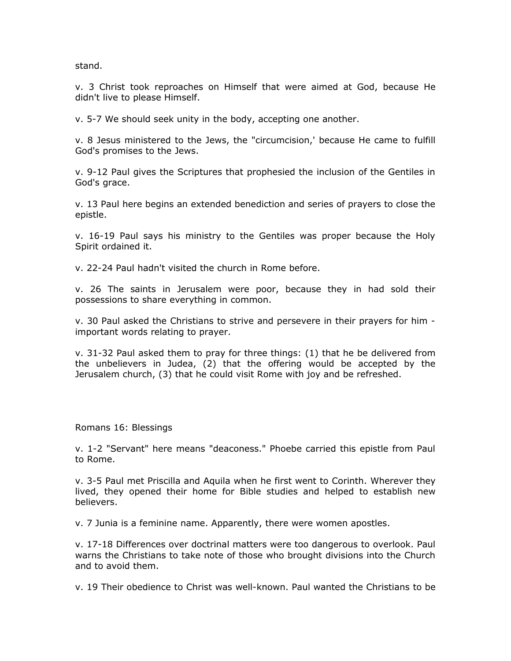stand.

v. 3 Christ took reproaches on Himself that were aimed at God, because He didn't live to please Himself.

v. 5-7 We should seek unity in the body, accepting one another.

v. 8 Jesus ministered to the Jews, the "circumcision,' because He came to fulfill God's promises to the Jews.

v. 9-12 Paul gives the Scriptures that prophesied the inclusion of the Gentiles in God's grace.

v. 13 Paul here begins an extended benediction and series of prayers to close the epistle.

v. 16-19 Paul says his ministry to the Gentiles was proper because the Holy Spirit ordained it.

v. 22-24 Paul hadn't visited the church in Rome before.

v. 26 The saints in Jerusalem were poor, because they in had sold their possessions to share everything in common.

v. 30 Paul asked the Christians to strive and persevere in their prayers for him important words relating to prayer.

v. 31-32 Paul asked them to pray for three things: (1) that he be delivered from the unbelievers in Judea, (2) that the offering would be accepted by the Jerusalem church, (3) that he could visit Rome with joy and be refreshed.

Romans 16: Blessings

v. 1-2 "Servant" here means "deaconess." Phoebe carried this epistle from Paul to Rome.

v. 3-5 Paul met Priscilla and Aquila when he first went to Corinth. Wherever they lived, they opened their home for Bible studies and helped to establish new believers.

v. 7 Junia is a feminine name. Apparently, there were women apostles.

v. 17-18 Differences over doctrinal matters were too dangerous to overlook. Paul warns the Christians to take note of those who brought divisions into the Church and to avoid them.

v. 19 Their obedience to Christ was well-known. Paul wanted the Christians to be